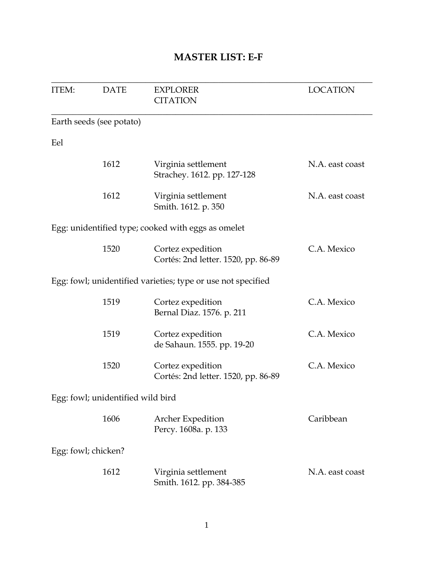### **MASTER LIST: E-F**

| <b>ITEM:</b>        | <b>DATE</b>                       | <b>EXPLORER</b><br><b>CITATION</b>                           | <b>LOCATION</b> |
|---------------------|-----------------------------------|--------------------------------------------------------------|-----------------|
|                     | Earth seeds (see potato)          |                                                              |                 |
| Eel                 |                                   |                                                              |                 |
|                     | 1612                              | Virginia settlement<br>Strachey. 1612. pp. 127-128           | N.A. east coast |
|                     | 1612                              | Virginia settlement<br>Smith. 1612. p. 350                   | N.A. east coast |
|                     |                                   | Egg: unidentified type; cooked with eggs as omelet           |                 |
|                     | 1520                              | Cortez expedition<br>Cortés: 2nd letter. 1520, pp. 86-89     | C.A. Mexico     |
|                     |                                   | Egg: fowl; unidentified varieties; type or use not specified |                 |
|                     | 1519                              | Cortez expedition<br>Bernal Diaz. 1576. p. 211               | C.A. Mexico     |
|                     | 1519                              | Cortez expedition<br>de Sahaun. 1555. pp. 19-20              | C.A. Mexico     |
|                     | 1520                              | Cortez expedition<br>Cortés: 2nd letter. 1520, pp. 86-89     | C.A. Mexico     |
|                     | Egg: fowl; unidentified wild bird |                                                              |                 |
|                     | 1606                              | <b>Archer Expedition</b><br>Percy. 1608a. p. 133             | Caribbean       |
| Egg: fowl; chicken? |                                   |                                                              |                 |
|                     | 1612                              | Virginia settlement<br>Smith. 1612. pp. 384-385              | N.A. east coast |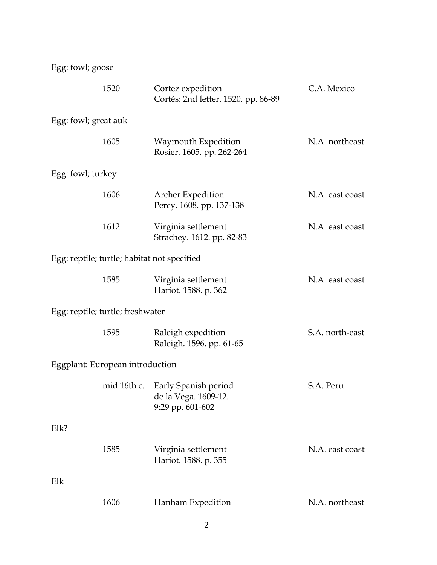Egg: fowl; goose

|                                  | 1520                                        | Cortez expedition<br>Cortés: 2nd letter. 1520, pp. 86-89         | C.A. Mexico     |
|----------------------------------|---------------------------------------------|------------------------------------------------------------------|-----------------|
| Egg: fowl; great auk             |                                             |                                                                  |                 |
|                                  | 1605                                        | Waymouth Expedition<br>Rosier. 1605. pp. 262-264                 | N.A. northeast  |
| Egg: fowl; turkey                |                                             |                                                                  |                 |
|                                  | 1606                                        | Archer Expedition<br>Percy. 1608. pp. 137-138                    | N.A. east coast |
|                                  | 1612                                        | Virginia settlement<br>Strachey. 1612. pp. 82-83                 | N.A. east coast |
|                                  | Egg: reptile; turtle; habitat not specified |                                                                  |                 |
|                                  | 1585                                        | Virginia settlement<br>Hariot. 1588. p. 362                      | N.A. east coast |
| Egg: reptile; turtle; freshwater |                                             |                                                                  |                 |
|                                  | 1595                                        | Raleigh expedition<br>Raleigh. 1596. pp. 61-65                   | S.A. north-east |
|                                  | Eggplant: European introduction             |                                                                  |                 |
|                                  | mid 16th c.                                 | Early Spanish period<br>de la Vega. 1609-12.<br>9:29 pp. 601-602 | S.A. Peru       |
| Elk?                             |                                             |                                                                  |                 |
|                                  | 1585                                        | Virginia settlement<br>Hariot. 1588. p. 355                      | N.A. east coast |
| Elk                              |                                             |                                                                  |                 |
|                                  | 1606                                        | Hanham Expedition                                                | N.A. northeast  |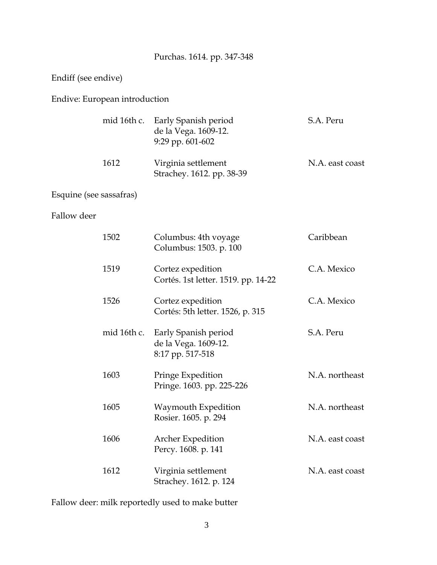# Purchas. 1614. pp. 347-348

#### Endiff (see endive)

#### Endive: European introduction

|      | mid 16th c. Early Spanish period<br>de la Vega. 1609-12.<br>$9:29$ pp. $601-602$ | S.A. Peru       |
|------|----------------------------------------------------------------------------------|-----------------|
| 1612 | Virginia settlement<br>Strachey. 1612. pp. 38-39                                 | N.A. east coast |

### Esquine (see sassafras)

#### Fallow deer

| 1502        | Columbus: 4th voyage<br>Columbus: 1503. p. 100                   | Caribbean       |
|-------------|------------------------------------------------------------------|-----------------|
| 1519        | Cortez expedition<br>Cortés. 1st letter. 1519. pp. 14-22         | C.A. Mexico     |
| 1526        | Cortez expedition<br>Cortés: 5th letter. 1526, p. 315            | C.A. Mexico     |
| mid 16th c. | Early Spanish period<br>de la Vega. 1609-12.<br>8:17 pp. 517-518 | S.A. Peru       |
| 1603        | Pringe Expedition<br>Pringe. 1603. pp. 225-226                   | N.A. northeast  |
| 1605        | Waymouth Expedition<br>Rosier. 1605. p. 294                      | N.A. northeast  |
| 1606        | Archer Expedition<br>Percy. 1608. p. 141                         | N.A. east coast |
| 1612        | Virginia settlement<br>Strachey. 1612. p. 124                    | N.A. east coast |

Fallow deer: milk reportedly used to make butter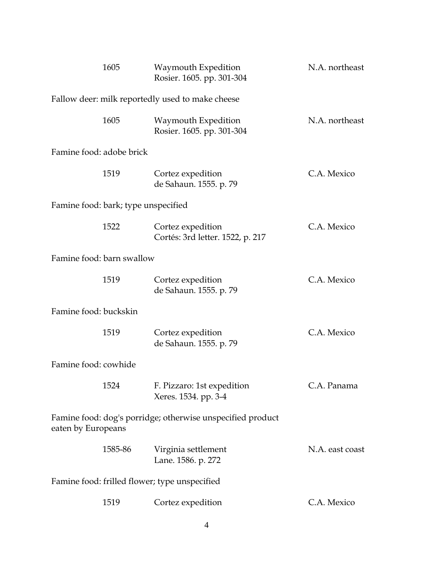|                           | 1605                                | Waymouth Expedition<br>Rosier. 1605. pp. 301-304           | N.A. northeast  |
|---------------------------|-------------------------------------|------------------------------------------------------------|-----------------|
|                           |                                     | Fallow deer: milk reportedly used to make cheese           |                 |
|                           | 1605                                | Waymouth Expedition<br>Rosier. 1605. pp. 301-304           | N.A. northeast  |
| Famine food: adobe brick  |                                     |                                                            |                 |
|                           | 1519                                | Cortez expedition<br>de Sahaun. 1555. p. 79                | C.A. Mexico     |
|                           | Famine food: bark; type unspecified |                                                            |                 |
|                           | 1522                                | Cortez expedition<br>Cortés: 3rd letter. 1522, p. 217      | C.A. Mexico     |
| Famine food: barn swallow |                                     |                                                            |                 |
|                           | 1519                                | Cortez expedition<br>de Sahaun. 1555. p. 79                | C.A. Mexico     |
| Famine food: buckskin     |                                     |                                                            |                 |
|                           | 1519                                | Cortez expedition<br>de Sahaun. 1555. p. 79                | C.A. Mexico     |
| Famine food: cowhide      |                                     |                                                            |                 |
|                           | 1524                                | F. Pizzaro: 1st expedition<br>Xeres. 1534. pp. 3-4         | C.A. Panama     |
| eaten by Europeans        |                                     | Famine food: dog's porridge; otherwise unspecified product |                 |
|                           | 1585-86                             | Virginia settlement<br>Lane. 1586. p. 272                  | N.A. east coast |
|                           |                                     | Famine food: frilled flower; type unspecified              |                 |
|                           | 1519                                | Cortez expedition                                          | C.A. Mexico     |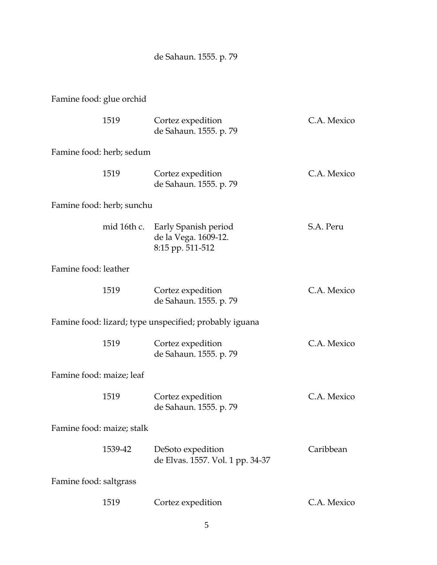de Sahaun. 1555. p. 79

Famine food: glue orchid

|                           | 1519                      | Cortez expedition<br>de Sahaun. 1555. p. 79                                  | C.A. Mexico |
|---------------------------|---------------------------|------------------------------------------------------------------------------|-------------|
|                           | Famine food: herb; sedum  |                                                                              |             |
|                           | 1519                      | Cortez expedition<br>de Sahaun. 1555. p. 79                                  | C.A. Mexico |
|                           | Famine food: herb; sunchu |                                                                              |             |
|                           |                           | mid 16th c. Early Spanish period<br>de la Vega. 1609-12.<br>8:15 pp. 511-512 | S.A. Peru   |
| Famine food: leather      |                           |                                                                              |             |
|                           | 1519                      | Cortez expedition<br>de Sahaun. 1555. p. 79                                  | C.A. Mexico |
|                           |                           | Famine food: lizard; type unspecified; probably iguana                       |             |
|                           | 1519                      | Cortez expedition<br>de Sahaun. 1555. p. 79                                  | C.A. Mexico |
| Famine food: maize; leaf  |                           |                                                                              |             |
|                           | 1519                      | Cortez expedition<br>de Sahaun. 1555. p. 79                                  | C.A. Mexico |
| Famine food: maize; stalk |                           |                                                                              |             |
|                           | 1539-42                   | DeSoto expedition<br>de Elvas. 1557. Vol. 1 pp. 34-37                        | Caribbean   |
| Famine food: saltgrass    |                           |                                                                              |             |
|                           | 1519                      | Cortez expedition                                                            | C.A. Mexico |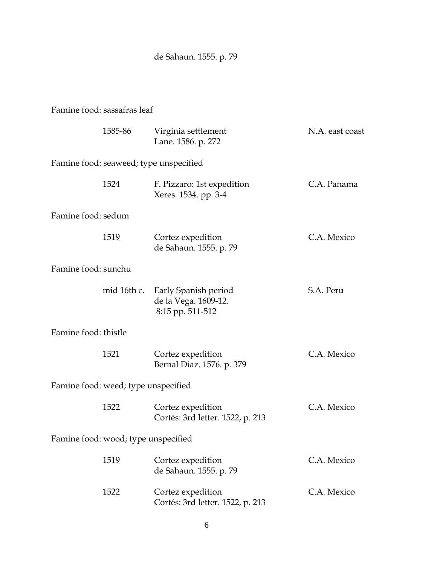de Sahaun. 1555. p. 79

#### Famine food: sassafras leaf

|                      | 1585-86                             | Virginia settlement<br>Lane. 1586. p. 272                        | N.A. east coast |
|----------------------|-------------------------------------|------------------------------------------------------------------|-----------------|
|                      |                                     | Famine food: seaweed; type unspecified                           |                 |
|                      | 1524                                | F. Pizzaro: 1st expedition<br>Xeres. 1534. pp. 3-4               | C.A. Panama     |
| Famine food: sedum   |                                     |                                                                  |                 |
|                      | 1519                                | Cortez expedition<br>de Sahaun. 1555. p. 79                      | C.A. Mexico     |
| Famine food: sunchu  |                                     |                                                                  |                 |
|                      | mid 16th c.                         | Early Spanish period<br>de la Vega. 1609-12.<br>8:15 pp. 511-512 | S.A. Peru       |
| Famine food: thistle |                                     |                                                                  |                 |
|                      | 1521                                | Cortez expedition<br>Bernal Diaz. 1576. p. 379                   | C.A. Mexico     |
|                      | Famine food: weed; type unspecified |                                                                  |                 |
|                      | 1522                                | Cortez expedition<br>Cortés: 3rd letter. 1522, p. 213            | C.A. Mexico     |
|                      | Famine food: wood; type unspecified |                                                                  |                 |
|                      | 1519                                | Cortez expedition<br>de Sahaun. 1555. p. 79                      | C.A. Mexico     |
|                      | 1522                                | Cortez expedition<br>Cortés: 3rd letter. 1522, p. 213            | C.A. Mexico     |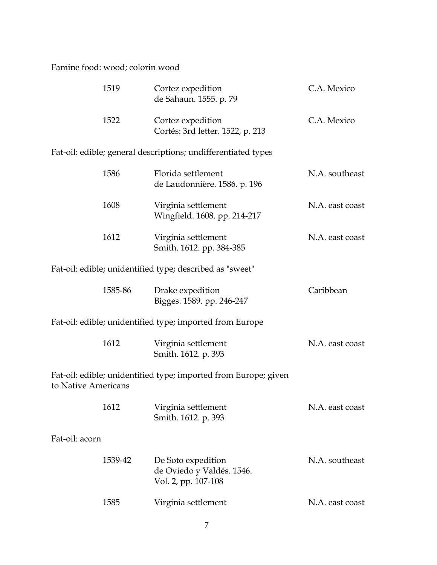Famine food: wood; colorin wood

|                     | 1519    | Cortez expedition<br>de Sahaun. 1555. p. 79                            | C.A. Mexico     |
|---------------------|---------|------------------------------------------------------------------------|-----------------|
|                     | 1522    | Cortez expedition<br>Cortés: 3rd letter. 1522, p. 213                  | C.A. Mexico     |
|                     |         | Fat-oil: edible; general descriptions; undifferentiated types          |                 |
|                     | 1586    | Florida settlement<br>de Laudonnière. 1586. p. 196                     | N.A. southeast  |
|                     | 1608    | Virginia settlement<br>Wingfield. 1608. pp. 214-217                    | N.A. east coast |
|                     | 1612    | Virginia settlement<br>Smith. 1612. pp. 384-385                        | N.A. east coast |
|                     |         | Fat-oil: edible; unidentified type; described as "sweet"               |                 |
|                     | 1585-86 | Drake expedition<br>Bigges. 1589. pp. 246-247                          | Caribbean       |
|                     |         | Fat-oil: edible; unidentified type; imported from Europe               |                 |
|                     | 1612    | Virginia settlement<br>Smith. 1612. p. 393                             | N.A. east coast |
| to Native Americans |         | Fat-oil: edible; unidentified type; imported from Europe; given        |                 |
|                     | 1612    | Virginia settlement<br>Smith. 1612. p. 393                             | N.A. east coast |
| Fat-oil: acorn      |         |                                                                        |                 |
|                     | 1539-42 | De Soto expedition<br>de Oviedo y Valdés. 1546.<br>Vol. 2, pp. 107-108 | N.A. southeast  |
|                     | 1585    | Virginia settlement                                                    | N.A. east coast |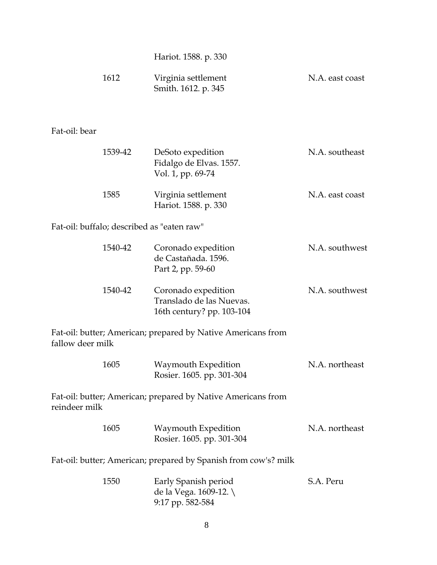Hariot. 1588. p. 330

| 1612 | Virginia settlement | N.A. east coast |
|------|---------------------|-----------------|
|      | Smith. 1612. p. 345 |                 |

#### Fat-oil: bear

| 1539-42 | DeSoto expedition<br>Fidalgo de Elvas. 1557.<br>Vol. 1, pp. 69-74 | N.A. southeast  |
|---------|-------------------------------------------------------------------|-----------------|
| 1585    | Virginia settlement<br>Hariot. 1588. p. 330                       | N.A. east coast |

Fat-oil: buffalo; described as "eaten raw"

| 1540-42 | Coronado expedition<br>de Castañada. 1596.<br>Part 2, pp. 59-60              | N.A. southwest |
|---------|------------------------------------------------------------------------------|----------------|
| 1540-42 | Coronado expedition<br>Translado de las Nuevas.<br>16th century? pp. 103-104 | N.A. southwest |

Fat-oil: butter; American; prepared by Native Americans from fallow deer milk

| 1605 | Waymouth Expedition       | N.A. northeast |
|------|---------------------------|----------------|
|      | Rosier. 1605. pp. 301-304 |                |

Fat-oil: butter; American; prepared by Native Americans from reindeer milk

| 1605 | Waymouth Expedition       | N.A. northeast |
|------|---------------------------|----------------|
|      | Rosier. 1605. pp. 301-304 |                |

Fat-oil: butter; American; prepared by Spanish from cow's? milk

| 1550 | Early Spanish period   | S.A. Peru |
|------|------------------------|-----------|
|      | de la Vega. $1609-12.$ |           |
|      | $9:17$ pp. 582-584     |           |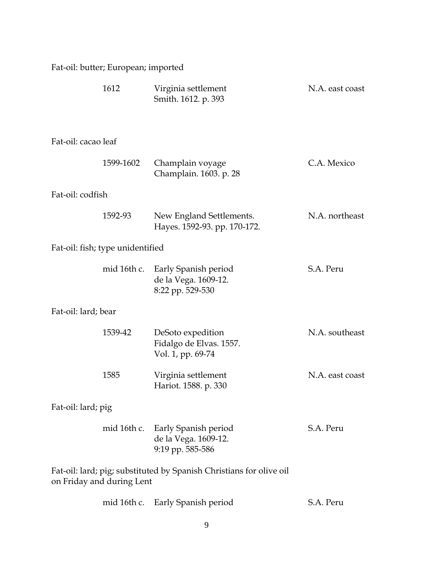| Fat-oil: butter; European; imported |  |  |
|-------------------------------------|--|--|
|                                     |  |  |

| 1612                                                                                             |             | Virginia settlement<br>Smith. 1612. p. 393                                   | N.A. east coast |
|--------------------------------------------------------------------------------------------------|-------------|------------------------------------------------------------------------------|-----------------|
| Fat-oil: cacao leaf                                                                              |             |                                                                              |                 |
|                                                                                                  | 1599-1602   | Champlain voyage<br>Champlain. 1603. p. 28                                   | C.A. Mexico     |
| Fat-oil: codfish                                                                                 |             |                                                                              |                 |
|                                                                                                  | 1592-93     | New England Settlements.<br>Hayes. 1592-93. pp. 170-172.                     | N.A. northeast  |
| Fat-oil: fish; type unidentified                                                                 |             |                                                                              |                 |
|                                                                                                  | mid 16th c. | Early Spanish period<br>de la Vega. 1609-12.<br>8:22 pp. 529-530             | S.A. Peru       |
| Fat-oil: lard; bear                                                                              |             |                                                                              |                 |
|                                                                                                  | 1539-42     | DeSoto expedition<br>Fidalgo de Elvas. 1557.<br>Vol. 1, pp. 69-74            | N.A. southeast  |
| 1585                                                                                             |             | Virginia settlement<br>Hariot. 1588. p. 330                                  | N.A. east coast |
| Fat-oil: lard; pig                                                                               |             |                                                                              |                 |
|                                                                                                  |             | mid 16th c. Early Spanish period<br>de la Vega. 1609-12.<br>9:19 pp. 585-586 | S.A. Peru       |
| Fat-oil: lard; pig; substituted by Spanish Christians for olive oil<br>on Friday and during Lent |             |                                                                              |                 |
|                                                                                                  |             | mid 16th c. Early Spanish period                                             | S.A. Peru       |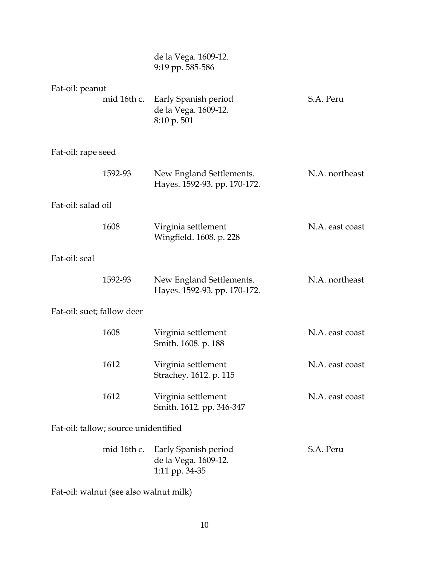|                                      |             | de la Vega. 1609-12.<br>9:19 pp. 585-586                       |                 |
|--------------------------------------|-------------|----------------------------------------------------------------|-----------------|
| Fat-oil: peanut                      | mid 16th c. | Early Spanish period<br>de la Vega. 1609-12.<br>8:10 p. 501    | S.A. Peru       |
| Fat-oil: rape seed                   |             |                                                                |                 |
|                                      | 1592-93     | New England Settlements.<br>Hayes. 1592-93. pp. 170-172.       | N.A. northeast  |
| Fat-oil: salad oil                   |             |                                                                |                 |
|                                      | 1608        | Virginia settlement<br>Wingfield. 1608. p. 228                 | N.A. east coast |
| Fat-oil: seal                        |             |                                                                |                 |
|                                      | 1592-93     | New England Settlements.<br>Hayes. 1592-93. pp. 170-172.       | N.A. northeast  |
| Fat-oil: suet; fallow deer           |             |                                                                |                 |
|                                      | 1608        | Virginia settlement<br>Smith. 1608. p. 188                     | N.A. east coast |
|                                      | 1612        | Virginia settlement<br>Strachey. 1612. p. 115                  | N.A. east coast |
|                                      | 1612        | Virginia settlement<br>Smith. 1612. pp. 346-347                | N.A. east coast |
| Fat-oil: tallow; source unidentified |             |                                                                |                 |
|                                      | mid 16th c. | Early Spanish period<br>de la Vega. 1609-12.<br>1:11 pp. 34-35 | S.A. Peru       |

Fat-oil: walnut (see also walnut milk)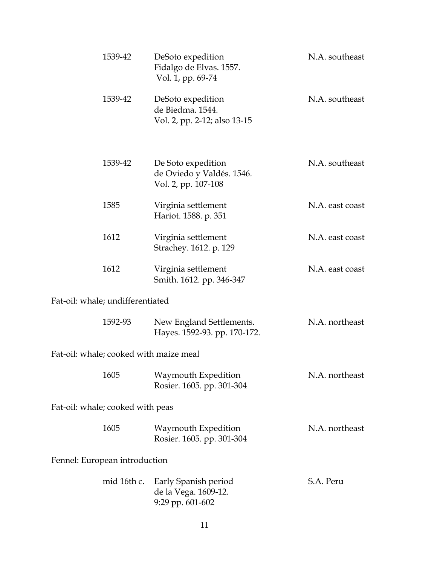| 1539-42                                | DeSoto expedition<br>Fidalgo de Elvas. 1557.<br>Vol. 1, pp. 69-74      | N.A. southeast  |  |
|----------------------------------------|------------------------------------------------------------------------|-----------------|--|
| 1539-42                                | DeSoto expedition<br>de Biedma. 1544.<br>Vol. 2, pp. 2-12; also 13-15  | N.A. southeast  |  |
| 1539-42                                | De Soto expedition<br>de Oviedo y Valdés. 1546.<br>Vol. 2, pp. 107-108 | N.A. southeast  |  |
| 1585                                   | Virginia settlement<br>Hariot. 1588. p. 351                            | N.A. east coast |  |
| 1612                                   | Virginia settlement<br>Strachey. 1612. p. 129                          | N.A. east coast |  |
| 1612                                   | Virginia settlement<br>Smith. 1612. pp. 346-347                        | N.A. east coast |  |
| Fat-oil: whale; undifferentiated       |                                                                        |                 |  |
| 1592-93                                | New England Settlements.<br>Hayes. 1592-93. pp. 170-172.               | N.A. northeast  |  |
| Fat-oil: whale; cooked with maize meal |                                                                        |                 |  |
| 1605                                   | Waymouth Expedition<br>Rosier. 1605. pp. 301-304                       | N.A. northeast  |  |
| Fat-oil: whale; cooked with peas       |                                                                        |                 |  |
| 1605                                   | Waymouth Expedition<br>Rosier. 1605. pp. 301-304                       | N.A. northeast  |  |
| Fennel: European introduction          |                                                                        |                 |  |
| mid 16th c.                            | Early Spanish period<br>de la Vega. 1609-12.<br>9:29 pp. 601-602       | S.A. Peru       |  |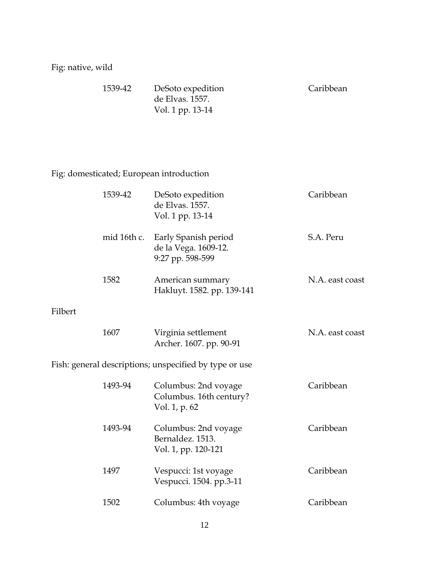# Fig: native, wild

| 1539-42 | DeSoto expedition | Caribbean |
|---------|-------------------|-----------|
|         | de Elvas. 1557.   |           |
|         | Vol. 1 pp. 13-14  |           |

# Fig: domesticated; European introduction

|         | 1539-42     | DeSoto expedition<br>de Elvas. 1557.<br>Vol. 1 pp. 13-14         | Caribbean       |
|---------|-------------|------------------------------------------------------------------|-----------------|
|         | mid 16th c. | Early Spanish period<br>de la Vega. 1609-12.<br>9:27 pp. 598-599 | S.A. Peru       |
|         | 1582        | American summary<br>Hakluyt. 1582. pp. 139-141                   | N.A. east coast |
| Filbert |             |                                                                  |                 |
|         | 1607        | Virginia settlement<br>Archer. 1607. pp. 90-91                   | N.A. east coast |
|         |             | Fish: general descriptions; unspecified by type or use           |                 |
|         | 1493-94     | Columbus: 2nd voyage<br>Columbus. 16th century?<br>Vol. 1, p. 62 | Caribbean       |
|         | 1493-94     | Columbus: 2nd voyage<br>Bernaldez, 1513.<br>Vol. 1, pp. 120-121  | Caribbean       |
|         | 1497        | Vespucci: 1st voyage<br>Vespucci. 1504. pp.3-11                  | Caribbean       |
|         | 1502        | Columbus: 4th voyage                                             | Caribbean       |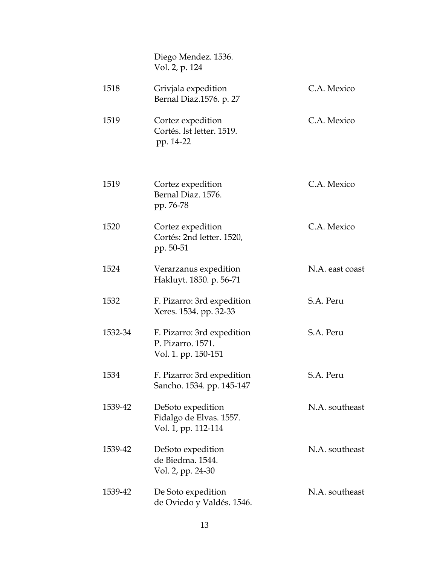|         | Diego Mendez. 1536.<br>Vol. 2, p. 124                                  |                 |
|---------|------------------------------------------------------------------------|-----------------|
| 1518    | Grivjala expedition<br>Bernal Diaz.1576. p. 27                         | C.A. Mexico     |
| 1519    | Cortez expedition<br>Cortés. 1st letter. 1519.<br>pp. 14-22            | C.A. Mexico     |
| 1519    | Cortez expedition<br>Bernal Diaz. 1576.<br>pp. 76-78                   | C.A. Mexico     |
| 1520    | Cortez expedition<br>Cortés: 2nd letter. 1520,<br>pp. 50-51            | C.A. Mexico     |
| 1524    | Verarzanus expedition<br>Hakluyt. 1850. p. 56-71                       | N.A. east coast |
| 1532    | F. Pizarro: 3rd expedition<br>Xeres. 1534. pp. 32-33                   | S.A. Peru       |
| 1532-34 | F. Pizarro: 3rd expedition<br>P. Pizarro. 1571.<br>Vol. 1. pp. 150-151 | S.A. Peru       |
| 1534    | F. Pizarro: 3rd expedition<br>Sancho. 1534. pp. 145-147                | S.A. Peru       |
| 1539-42 | DeSoto expedition<br>Fidalgo de Elvas. 1557.<br>Vol. 1, pp. 112-114    | N.A. southeast  |
| 1539-42 | DeSoto expedition<br>de Biedma. 1544.<br>Vol. 2, pp. 24-30             | N.A. southeast  |
| 1539-42 | De Soto expedition<br>de Oviedo y Valdés. 1546.                        | N.A. southeast  |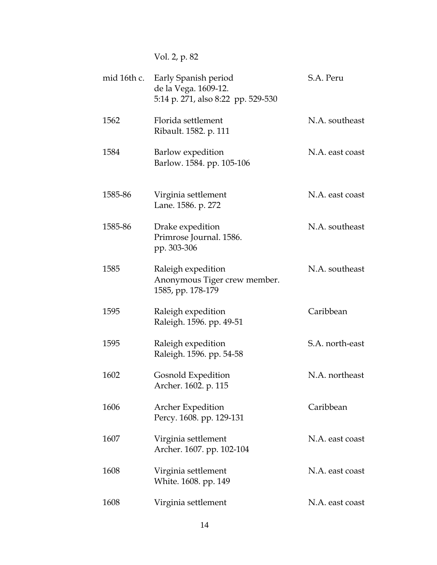Vol. 2, p. 82

| mid 16th c. | Early Spanish period<br>de la Vega. 1609-12.<br>5:14 p. 271, also 8:22 pp. 529-530 | S.A. Peru       |
|-------------|------------------------------------------------------------------------------------|-----------------|
| 1562        | Florida settlement<br>Ribault. 1582. p. 111                                        | N.A. southeast  |
| 1584        | Barlow expedition<br>Barlow. 1584. pp. 105-106                                     | N.A. east coast |
| 1585-86     | Virginia settlement<br>Lane. 1586. p. 272                                          | N.A. east coast |
| 1585-86     | Drake expedition<br>Primrose Journal. 1586.<br>pp. 303-306                         | N.A. southeast  |
| 1585        | Raleigh expedition<br>Anonymous Tiger crew member.<br>1585, pp. 178-179            | N.A. southeast  |
| 1595        | Raleigh expedition<br>Raleigh. 1596. pp. 49-51                                     | Caribbean       |
| 1595        | Raleigh expedition<br>Raleigh. 1596. pp. 54-58                                     | S.A. north-east |
| 1602        | Gosnold Expedition<br>Archer. 1602. p. 115                                         | N.A. northeast  |
| 1606        | <b>Archer Expedition</b><br>Percy. 1608. pp. 129-131                               | Caribbean       |
| 1607        | Virginia settlement<br>Archer. 1607. pp. 102-104                                   | N.A. east coast |
| 1608        | Virginia settlement<br>White. 1608. pp. 149                                        | N.A. east coast |
| 1608        | Virginia settlement                                                                | N.A. east coast |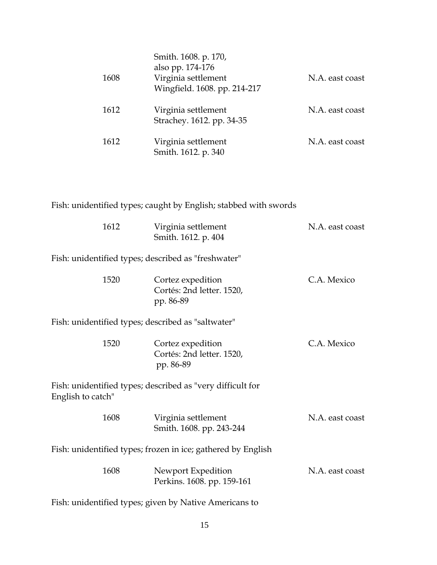| 1608 | Smith. 1608. p. 170,<br>also pp. 174-176<br>Virginia settlement<br>Wingfield. 1608. pp. 214-217 | N.A. east coast |
|------|-------------------------------------------------------------------------------------------------|-----------------|
| 1612 | Virginia settlement<br>Strachey. 1612. pp. 34-35                                                | N.A. east coast |
| 1612 | Virginia settlement<br>Smith. 1612. p. 340                                                      | N.A. east coast |

# Fish: unidentified types; caught by English; stabbed with swords

| 1612              | Virginia settlement<br>Smith. 1612. p. 404                   | N.A. east coast |
|-------------------|--------------------------------------------------------------|-----------------|
|                   | Fish: unidentified types; described as "freshwater"          |                 |
| 1520              | Cortez expedition<br>Cortés: 2nd letter. 1520,<br>pp. 86-89  | C.A. Mexico     |
|                   | Fish: unidentified types; described as "saltwater"           |                 |
| 1520              | Cortez expedition<br>Cortés: 2nd letter. 1520,<br>pp. 86-89  | C.A. Mexico     |
| English to catch" | Fish: unidentified types; described as "very difficult for   |                 |
| 1608              | Virginia settlement<br>Smith. 1608. pp. 243-244              | N.A. east coast |
|                   | Fish: unidentified types; frozen in ice; gathered by English |                 |
| 1608              | Newport Expedition<br>Perkins. 1608. pp. 159-161             | N.A. east coast |
|                   | Fish: unidentified types; given by Native Americans to       |                 |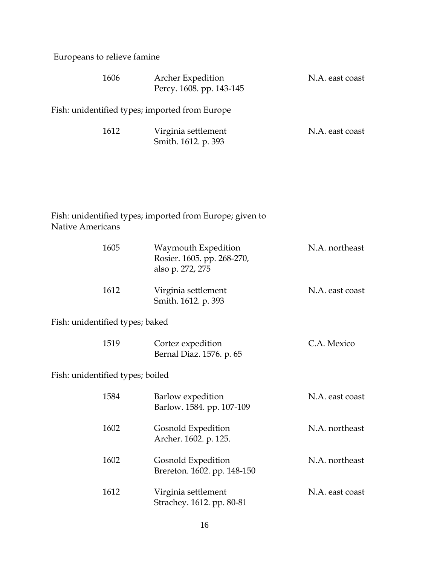Europeans to relieve famine

| 1606 | Archer Expedition<br>Percy. 1608. pp. 143-145  | N.A. east coast |
|------|------------------------------------------------|-----------------|
|      | Fish: unidentified types; imported from Europe |                 |
| 1612 | Virginia settlement<br>Smith. 1612. p. 393     | N.A. east coast |

### Fish: unidentified types; imported from Europe; given to Native Americans

| 1605                             |  | Waymouth Expedition<br>Rosier. 1605. pp. 268-270,<br>also p. 272, 275 | N.A. northeast  |
|----------------------------------|--|-----------------------------------------------------------------------|-----------------|
| 1612                             |  | Virginia settlement<br>Smith. 1612. p. 393                            | N.A. east coast |
| Fish: unidentified types; baked  |  |                                                                       |                 |
| 1519                             |  | Cortez expedition<br>Bernal Diaz. 1576. p. 65                         | C.A. Mexico     |
| Fish: unidentified types; boiled |  |                                                                       |                 |
| 1584                             |  | Barlow expedition<br>Barlow. 1584. pp. 107-109                        | N.A. east coast |
| 1602                             |  | Gosnold Expedition<br>Archer. 1602. p. 125.                           | N.A. northeast  |
| 1602                             |  | Gosnold Expedition<br>Brereton. 1602. pp. 148-150                     | N.A. northeast  |
| 1612                             |  | Virginia settlement<br>Strachey. 1612. pp. 80-81                      | N.A. east coast |
|                                  |  |                                                                       |                 |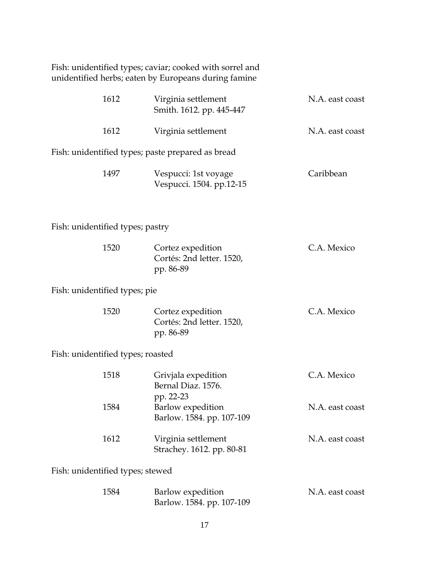|                                                   | Fish: unidentified types; caviar; cooked with sorrel and<br>unidentified herbs; eaten by Europeans during famine |                 |  |  |
|---------------------------------------------------|------------------------------------------------------------------------------------------------------------------|-----------------|--|--|
| 1612                                              | Virginia settlement<br>Smith. 1612. pp. 445-447                                                                  | N.A. east coast |  |  |
| 1612                                              | Virginia settlement                                                                                              | N.A. east coast |  |  |
| Fish: unidentified types; paste prepared as bread |                                                                                                                  |                 |  |  |
| 1497                                              | Vespucci: 1st voyage<br>Vespucci. 1504. pp.12-15                                                                 | Caribbean       |  |  |
| Fish: unidentified types; pastry                  |                                                                                                                  |                 |  |  |
| 1520                                              | Cortez expedition<br>Cortés: 2nd letter. 1520,<br>pp. 86-89                                                      | C.A. Mexico     |  |  |
| Fish: unidentified types; pie                     |                                                                                                                  |                 |  |  |
| 1520                                              | Cortez expedition<br>Cortés: 2nd letter. 1520,<br>pp. 86-89                                                      | C.A. Mexico     |  |  |
| Fish: unidentified types; roasted                 |                                                                                                                  |                 |  |  |
| 1518                                              | Grivjala expedition<br>Bernal Diaz. 1576.<br>pp. 22-23                                                           | C.A. Mexico     |  |  |
| 1584                                              | <b>Barlow</b> expedition<br>Barlow. 1584. pp. 107-109                                                            | N.A. east coast |  |  |
| 1612                                              | Virginia settlement<br>Strachey. 1612. pp. 80-81                                                                 | N.A. east coast |  |  |
| Fish: unidentified types; stewed                  |                                                                                                                  |                 |  |  |
| 1584                                              | Barlow expedition<br>Barlow. 1584. pp. 107-109                                                                   | N.A. east coast |  |  |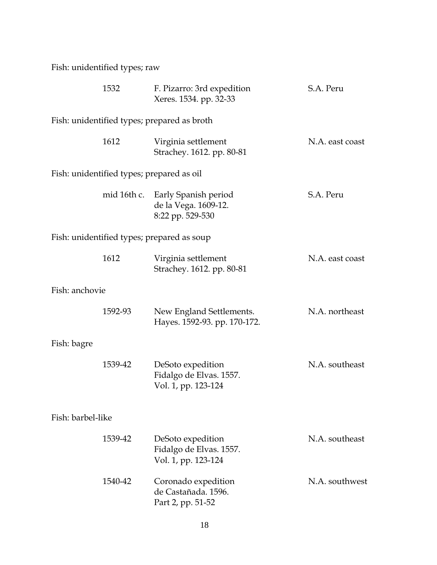Fish: unidentified types; raw

|                | 1532              | F. Pizarro: 3rd expedition<br>Xeres. 1534. pp. 32-33                | S.A. Peru       |  |  |
|----------------|-------------------|---------------------------------------------------------------------|-----------------|--|--|
|                |                   | Fish: unidentified types; prepared as broth                         |                 |  |  |
|                | 1612              | Virginia settlement<br>Strachey. 1612. pp. 80-81                    | N.A. east coast |  |  |
|                |                   | Fish: unidentified types; prepared as oil                           |                 |  |  |
|                | mid 16th c.       | Early Spanish period<br>de la Vega. 1609-12.<br>8:22 pp. 529-530    | S.A. Peru       |  |  |
|                |                   | Fish: unidentified types; prepared as soup                          |                 |  |  |
|                | 1612              | Virginia settlement<br>Strachey. 1612. pp. 80-81                    | N.A. east coast |  |  |
| Fish: anchovie |                   |                                                                     |                 |  |  |
|                | 1592-93           | New England Settlements.<br>Hayes. 1592-93. pp. 170-172.            | N.A. northeast  |  |  |
| Fish: bagre    |                   |                                                                     |                 |  |  |
|                | 1539-42           | DeSoto expedition<br>Fidalgo de Elvas. 1557.<br>Vol. 1, pp. 123-124 | N.A. southeast  |  |  |
|                | Fish: barbel-like |                                                                     |                 |  |  |
|                | 1539-42           | DeSoto expedition<br>Fidalgo de Elvas. 1557.<br>Vol. 1, pp. 123-124 | N.A. southeast  |  |  |
|                | 1540-42           | Coronado expedition<br>de Castañada. 1596.<br>Part 2, pp. 51-52     | N.A. southwest  |  |  |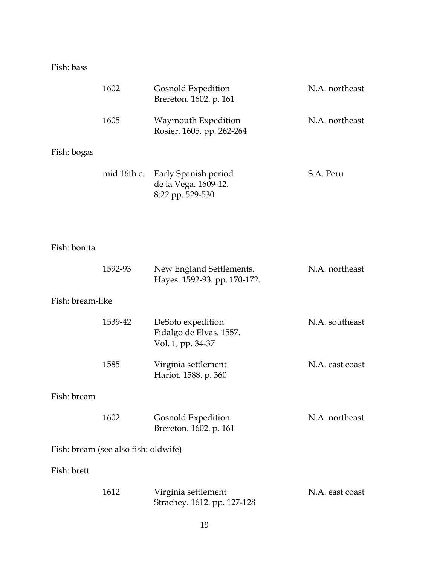Fish: bass

|                  | 1602                                 | Gosnold Expedition<br>Brereton. 1602. p. 161                      | N.A. northeast  |
|------------------|--------------------------------------|-------------------------------------------------------------------|-----------------|
|                  | 1605                                 | Waymouth Expedition<br>Rosier. 1605. pp. 262-264                  | N.A. northeast  |
| Fish: bogas      |                                      |                                                                   |                 |
|                  | mid 16th c.                          | Early Spanish period<br>de la Vega. 1609-12.<br>8:22 pp. 529-530  | S.A. Peru       |
|                  |                                      |                                                                   |                 |
| Fish: bonita     |                                      |                                                                   |                 |
|                  | 1592-93                              | New England Settlements.<br>Hayes. 1592-93. pp. 170-172.          | N.A. northeast  |
| Fish: bream-like |                                      |                                                                   |                 |
|                  | 1539-42                              | DeSoto expedition<br>Fidalgo de Elvas. 1557.<br>Vol. 1, pp. 34-37 | N.A. southeast  |
|                  | 1585                                 | Virginia settlement<br>Hariot. 1588. p. 360                       | N.A. east coast |
| Fish: bream      |                                      |                                                                   |                 |
|                  | 1602                                 | Gosnold Expedition<br>Brereton. 1602. p. 161                      | N.A. northeast  |
|                  | Fish: bream (see also fish: oldwife) |                                                                   |                 |
| Fish: brett      |                                      |                                                                   |                 |
|                  | 1612                                 | Virginia settlement<br>Strachey. 1612. pp. 127-128                | N.A. east coast |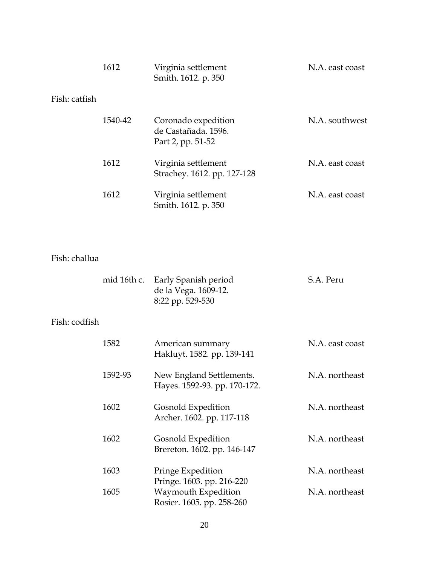|               | 1612    | Virginia settlement<br>Smith. 1612. p. 350                      | N.A. east coast |
|---------------|---------|-----------------------------------------------------------------|-----------------|
| Fish: catfish |         |                                                                 |                 |
|               | 1540-42 | Coronado expedition<br>de Castañada, 1596.<br>Part 2, pp. 51-52 | N.A. southwest  |
|               | 1612    | Virginia settlement<br>Strachey. 1612. pp. 127-128              | N.A. east coast |
|               | 1612    | Virginia settlement<br>Smith. 1612. p. 350                      | N.A. east coast |

### Fish: challua

| mid 16th c. Early Spanish period | S.A. Peru |
|----------------------------------|-----------|
| de la Vega. 1609-12.             |           |
| 8:22 pp. 529-530                 |           |

### Fish: codfish

| 1582    | American summary<br>Hakluyt. 1582. pp. 139-141           | N.A. east coast |
|---------|----------------------------------------------------------|-----------------|
| 1592-93 | New England Settlements.<br>Hayes. 1592-93. pp. 170-172. | N.A. northeast  |
| 1602    | Gosnold Expedition<br>Archer. 1602. pp. 117-118          | N.A. northeast  |
| 1602    | Gosnold Expedition<br>Brereton. 1602. pp. 146-147        | N.A. northeast  |
| 1603    | Pringe Expedition<br>Pringe. 1603. pp. 216-220           | N.A. northeast  |
| 1605    | Waymouth Expedition<br>Rosier. 1605. pp. 258-260         | N.A. northeast  |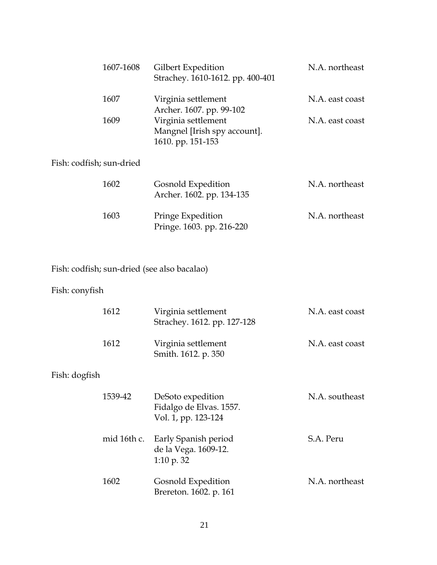| 1607-1608 | Gilbert Expedition<br>Strachey. 1610-1612. pp. 400-401                   | N.A. northeast  |
|-----------|--------------------------------------------------------------------------|-----------------|
| 1607      | Virginia settlement<br>Archer. 1607. pp. 99-102                          | N.A. east coast |
| 1609      | Virginia settlement<br>Mangnel [Irish spy account].<br>1610. pp. 151-153 | N.A. east coast |

# Fish: codfish; sun-dried

| 1602 | Gosnold Expedition<br>Archer. 1602. pp. 134-135 | N.A. northeast |
|------|-------------------------------------------------|----------------|
| 1603 | Pringe Expedition<br>Pringe. 1603. pp. 216-220  | N.A. northeast |

# Fish: codfish; sun-dried (see also bacalao)

### Fish: conyfish

|               | 1612        | Virginia settlement<br>Strachey. 1612. pp. 127-128                  | N.A. east coast |
|---------------|-------------|---------------------------------------------------------------------|-----------------|
|               | 1612        | Virginia settlement<br>Smith. 1612. p. 350                          | N.A. east coast |
| Fish: dogfish |             |                                                                     |                 |
|               | 1539-42     | DeSoto expedition<br>Fidalgo de Elvas. 1557.<br>Vol. 1, pp. 123-124 | N.A. southeast  |
|               | mid 16th c. | Early Spanish period<br>de la Vega. 1609-12.<br>1:10 p. $32$        | S.A. Peru       |
|               | 1602        | Gosnold Expedition<br>Brereton. 1602. p. 161                        | N.A. northeast  |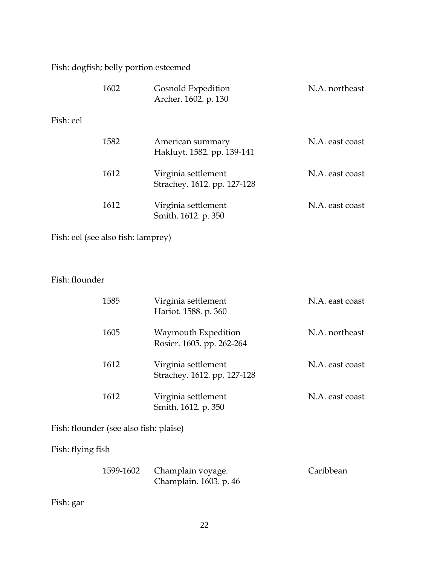Fish: dogfish; belly portion esteemed

|           | 1602 | Gosnold Expedition<br>Archer. 1602. p. 130         | N.A. northeast  |
|-----------|------|----------------------------------------------------|-----------------|
| Fish: eel |      |                                                    |                 |
|           | 1582 | American summary<br>Hakluyt. 1582. pp. 139-141     | N.A. east coast |
|           | 1612 | Virginia settlement<br>Strachey. 1612. pp. 127-128 | N.A. east coast |
|           | 1612 | Virginia settlement<br>Smith. 1612. p. 350         | N.A. east coast |

Fish: eel (see also fish: lamprey)

### Fish: flounder

| 1585 | Virginia settlement<br>Hariot. 1588. p. 360        | N.A. east coast |
|------|----------------------------------------------------|-----------------|
| 1605 | Waymouth Expedition<br>Rosier. 1605. pp. 262-264   | N.A. northeast  |
| 1612 | Virginia settlement<br>Strachey. 1612. pp. 127-128 | N.A. east coast |
| 1612 | Virginia settlement<br>Smith. 1612. p. 350         | N.A. east coast |

Fish: flounder (see also fish: plaise)

Fish: flying fish

| 1599-1602 Champlain voyage. | Caribbean |
|-----------------------------|-----------|
| Champlain. 1603. p. 46      |           |

Fish: gar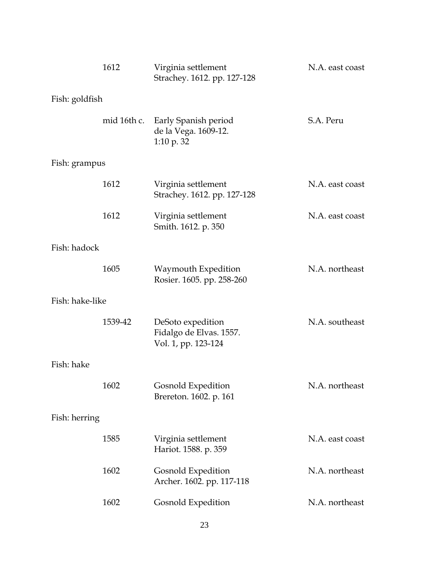|                 | 1612    | Virginia settlement<br>Strachey. 1612. pp. 127-128                     | N.A. east coast |
|-----------------|---------|------------------------------------------------------------------------|-----------------|
| Fish: goldfish  |         |                                                                        |                 |
|                 |         | mid 16th c. Early Spanish period<br>de la Vega. 1609-12.<br>1:10 p. 32 | S.A. Peru       |
| Fish: grampus   |         |                                                                        |                 |
|                 | 1612    | Virginia settlement<br>Strachey. 1612. pp. 127-128                     | N.A. east coast |
|                 | 1612    | Virginia settlement<br>Smith. 1612. p. 350                             | N.A. east coast |
| Fish: hadock    |         |                                                                        |                 |
|                 | 1605    | Waymouth Expedition<br>Rosier. 1605. pp. 258-260                       | N.A. northeast  |
| Fish: hake-like |         |                                                                        |                 |
|                 | 1539-42 | DeSoto expedition<br>Fidalgo de Elvas. 1557.<br>Vol. 1, pp. 123-124    | N.A. southeast  |
| Fish: hake      |         |                                                                        |                 |
|                 | 1602    | Gosnold Expedition<br>Brereton. 1602. p. 161                           | N.A. northeast  |
| Fish: herring   |         |                                                                        |                 |
|                 | 1585    | Virginia settlement<br>Hariot. 1588. p. 359                            | N.A. east coast |
|                 | 1602    | Gosnold Expedition<br>Archer. 1602. pp. 117-118                        | N.A. northeast  |
|                 | 1602    | Gosnold Expedition                                                     | N.A. northeast  |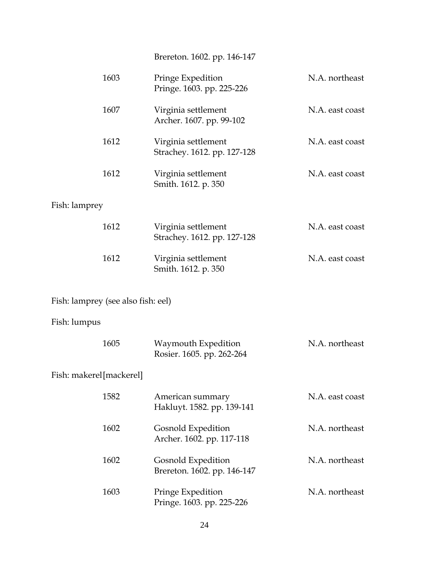Brereton. 1602. pp. 146-147

| 1603                               | Pringe Expedition<br>Pringe. 1603. pp. 225-226     | N.A. northeast  |
|------------------------------------|----------------------------------------------------|-----------------|
| 1607                               | Virginia settlement<br>Archer. 1607. pp. 99-102    | N.A. east coast |
| 1612                               | Virginia settlement<br>Strachey. 1612. pp. 127-128 | N.A. east coast |
| 1612                               | Virginia settlement<br>Smith. 1612. p. 350         | N.A. east coast |
| Fish: lamprey                      |                                                    |                 |
| 1612                               | Virginia settlement<br>Strachey. 1612. pp. 127-128 | N.A. east coast |
| 1612                               | Virginia settlement<br>Smith. 1612. p. 350         | N.A. east coast |
|                                    |                                                    |                 |
| Fish: lamprey (see also fish: eel) |                                                    |                 |
| Fish: lumpus                       |                                                    |                 |
| 1605                               | Waymouth Expedition<br>Rosier. 1605. pp. 262-264   | N.A. northeast  |
| Fish: makerel [mackerel]           |                                                    |                 |
| 1582                               | American summary<br>Hakluyt. 1582. pp. 139-141     | N.A. east coast |
| 1602                               | Gosnold Expedition<br>Archer. 1602. pp. 117-118    | N.A. northeast  |
| 1602                               | Gosnold Expedition<br>Brereton. 1602. pp. 146-147  | N.A. northeast  |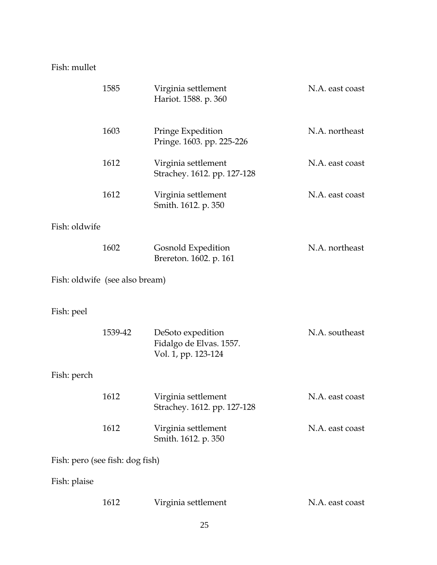### Fish: mullet

|               | 1585                            | Virginia settlement<br>Hariot. 1588. p. 360                         | N.A. east coast |
|---------------|---------------------------------|---------------------------------------------------------------------|-----------------|
|               | 1603                            | Pringe Expedition<br>Pringe. 1603. pp. 225-226                      | N.A. northeast  |
|               | 1612                            | Virginia settlement<br>Strachey. 1612. pp. 127-128                  | N.A. east coast |
|               | 1612                            | Virginia settlement<br>Smith. 1612. p. 350                          | N.A. east coast |
| Fish: oldwife |                                 |                                                                     |                 |
|               | 1602                            | Gosnold Expedition<br>Brereton. 1602. p. 161                        | N.A. northeast  |
|               | Fish: oldwife (see also bream)  |                                                                     |                 |
| Fish: peel    |                                 |                                                                     |                 |
|               | 1539-42                         | DeSoto expedition<br>Fidalgo de Elvas. 1557.<br>Vol. 1, pp. 123-124 | N.A. southeast  |
| Fish: perch   |                                 |                                                                     |                 |
|               | 1612                            | Virginia settlement<br>Strachey. 1612. pp. 127-128                  | N.A. east coast |
|               |                                 |                                                                     |                 |
|               | 1612                            | Virginia settlement<br>Smith. 1612. p. 350                          | N.A. east coast |
|               | Fish: pero (see fish: dog fish) |                                                                     |                 |
| Fish: plaise  |                                 |                                                                     |                 |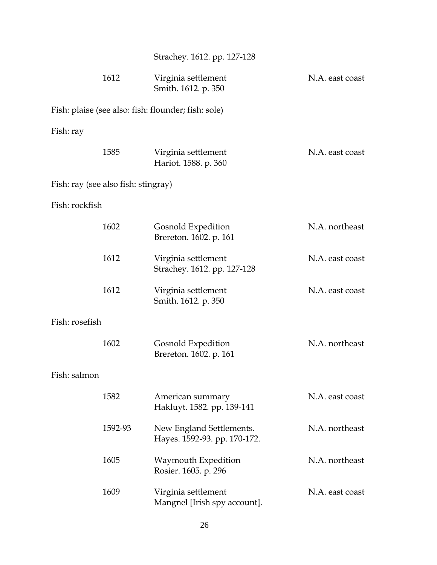|                |                                     | Strachey. 1612. pp. 127-128                              |                 |
|----------------|-------------------------------------|----------------------------------------------------------|-----------------|
|                | 1612                                | Virginia settlement<br>Smith. 1612. p. 350               | N.A. east coast |
|                |                                     | Fish: plaise (see also: fish: flounder; fish: sole)      |                 |
| Fish: ray      |                                     |                                                          |                 |
|                | 1585                                | Virginia settlement<br>Hariot. 1588. p. 360              | N.A. east coast |
|                | Fish: ray (see also fish: stingray) |                                                          |                 |
| Fish: rockfish |                                     |                                                          |                 |
|                | 1602                                | Gosnold Expedition<br>Brereton. 1602. p. 161             | N.A. northeast  |
|                | 1612                                | Virginia settlement<br>Strachey. 1612. pp. 127-128       | N.A. east coast |
|                | 1612                                | Virginia settlement<br>Smith. 1612. p. 350               | N.A. east coast |
| Fish: rosefish |                                     |                                                          |                 |
|                | 1602                                | Gosnold Expedition<br>Brereton. 1602. p. 161             | N.A. northeast  |
| Fish: salmon   |                                     |                                                          |                 |
|                | 1582                                | American summary<br>Hakluyt. 1582. pp. 139-141           | N.A. east coast |
|                | 1592-93                             | New England Settlements.<br>Hayes. 1592-93. pp. 170-172. | N.A. northeast  |
|                | 1605                                | Waymouth Expedition<br>Rosier. 1605. p. 296              | N.A. northeast  |
|                | 1609                                | Virginia settlement<br>Mangnel [Irish spy account].      | N.A. east coast |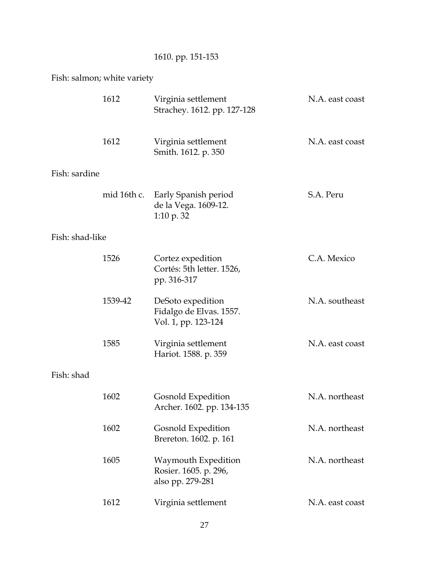# 1610. pp. 151-153

# Fish: salmon; white variety

|                 | 1612        | Virginia settlement<br>Strachey. 1612. pp. 127-128                  | N.A. east coast |
|-----------------|-------------|---------------------------------------------------------------------|-----------------|
|                 | 1612        | Virginia settlement<br>Smith. 1612. p. 350                          | N.A. east coast |
| Fish: sardine   |             |                                                                     |                 |
|                 | mid 16th c. | Early Spanish period<br>de la Vega. 1609-12.<br>1:10 p. $32$        | S.A. Peru       |
| Fish: shad-like |             |                                                                     |                 |
|                 | 1526        | Cortez expedition<br>Cortés: 5th letter. 1526,<br>pp. 316-317       | C.A. Mexico     |
|                 | 1539-42     | DeSoto expedition<br>Fidalgo de Elvas. 1557.<br>Vol. 1, pp. 123-124 | N.A. southeast  |
|                 | 1585        | Virginia settlement<br>Hariot. 1588. p. 359                         | N.A. east coast |
| Fish: shad      |             |                                                                     |                 |
|                 | 1602        | Gosnold Expedition<br>Archer. 1602. pp. 134-135                     | N.A. northeast  |
|                 | 1602        | Gosnold Expedition<br>Brereton. 1602. p. 161                        | N.A. northeast  |
|                 | 1605        | Waymouth Expedition<br>Rosier. 1605. p. 296,<br>also pp. 279-281    | N.A. northeast  |
|                 | 1612        | Virginia settlement                                                 | N.A. east coast |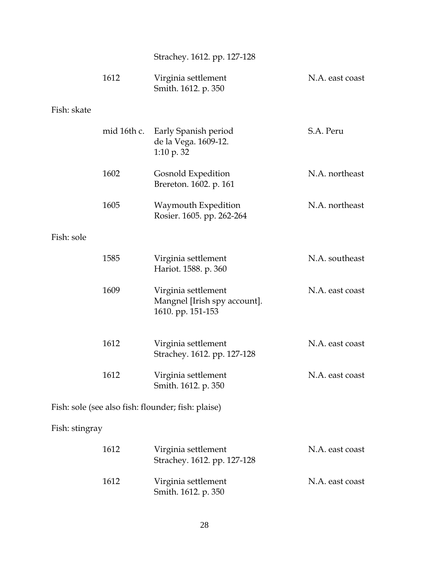Strachey. 1612. pp. 127-128

|                | 1612        | Virginia settlement<br>Smith. 1612. p. 350                               | N.A. east coast |
|----------------|-------------|--------------------------------------------------------------------------|-----------------|
| Fish: skate    |             |                                                                          |                 |
|                | mid 16th c. | Early Spanish period<br>de la Vega. 1609-12.<br>$1:10 \text{ p. }32$     | S.A. Peru       |
|                | 1602        | Gosnold Expedition<br>Brereton. 1602. p. 161                             | N.A. northeast  |
|                | 1605        | Waymouth Expedition<br>Rosier. 1605. pp. 262-264                         | N.A. northeast  |
| Fish: sole     |             |                                                                          |                 |
|                | 1585        | Virginia settlement<br>Hariot. 1588. p. 360                              | N.A. southeast  |
|                | 1609        | Virginia settlement<br>Mangnel [Irish spy account].<br>1610. pp. 151-153 | N.A. east coast |
|                | 1612        | Virginia settlement<br>Strachey. 1612. pp. 127-128                       | N.A. east coast |
|                | 1612        | Virginia settlement<br>Smith. 1612. p. 350                               | N.A. east coast |
|                |             | Fish: sole (see also fish: flounder; fish: plaise)                       |                 |
| Fish: stingray |             |                                                                          |                 |
|                | 1612        | Virginia settlement<br>Strachey. 1612. pp. 127-128                       | N.A. east coast |
|                | 1612        | Virginia settlement<br>Smith. 1612. p. 350                               | N.A. east coast |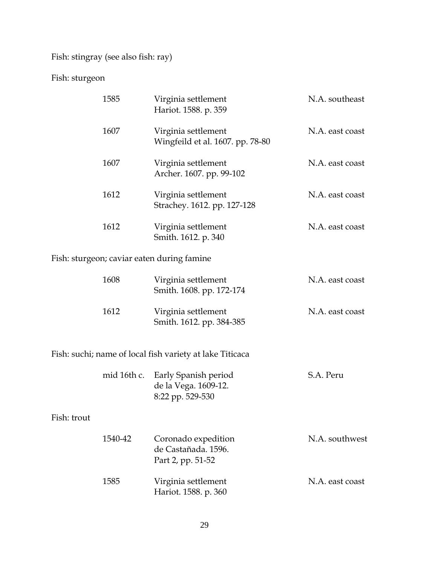Fish: stingray (see also fish: ray)

#### Fish: sturgeon

|             | 1585        | Virginia settlement<br>Hariot. 1588. p. 359                      | N.A. southeast  |
|-------------|-------------|------------------------------------------------------------------|-----------------|
|             | 1607        | Virginia settlement<br>Wingfeild et al. 1607. pp. 78-80          | N.A. east coast |
|             | 1607        | Virginia settlement<br>Archer. 1607. pp. 99-102                  | N.A. east coast |
|             | 1612        | Virginia settlement<br>Strachey. 1612. pp. 127-128               | N.A. east coast |
|             | 1612        | Virginia settlement<br>Smith. 1612. p. 340                       | N.A. east coast |
|             |             | Fish: sturgeon; caviar eaten during famine                       |                 |
|             | 1608        | Virginia settlement<br>Smith. 1608. pp. 172-174                  | N.A. east coast |
|             | 1612        | Virginia settlement<br>Smith. 1612. pp. 384-385                  | N.A. east coast |
|             |             | Fish: suchi; name of local fish variety at lake Titicaca         |                 |
|             | mid 16th c. | Early Spanish period<br>de la Vega. 1609-12.<br>8:22 pp. 529-530 | S.A. Peru       |
| Fish: trout |             |                                                                  |                 |
|             | 1540-42     | Coronado expedition<br>de Castañada. 1596.<br>Part 2, pp. 51-52  | N.A. southwest  |
|             | 1585        | Virginia settlement                                              | N.A. east coast |

Hariot. 1588. p. 360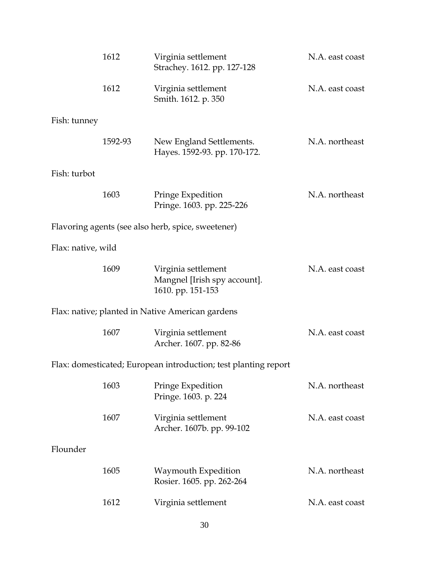|                    | 1612    | Virginia settlement<br>Strachey. 1612. pp. 127-128                       | N.A. east coast |
|--------------------|---------|--------------------------------------------------------------------------|-----------------|
|                    | 1612    | Virginia settlement<br>Smith. 1612. p. 350                               | N.A. east coast |
| Fish: tunney       |         |                                                                          |                 |
|                    | 1592-93 | New England Settlements.<br>Hayes. 1592-93. pp. 170-172.                 | N.A. northeast  |
| Fish: turbot       |         |                                                                          |                 |
|                    | 1603    | Pringe Expedition<br>Pringe. 1603. pp. 225-226                           | N.A. northeast  |
|                    |         | Flavoring agents (see also herb, spice, sweetener)                       |                 |
| Flax: native, wild |         |                                                                          |                 |
|                    | 1609    | Virginia settlement<br>Mangnel [Irish spy account].<br>1610. pp. 151-153 | N.A. east coast |
|                    |         | Flax: native; planted in Native American gardens                         |                 |
|                    | 1607    | Virginia settlement<br>Archer. 1607. pp. 82-86                           | N.A. east coast |
|                    |         | Flax: domesticated; European introduction; test planting report          |                 |
|                    | 1603    | Pringe Expedition<br>Pringe. 1603. p. 224                                | N.A. northeast  |
|                    | 1607    | Virginia settlement<br>Archer. 1607b. pp. 99-102                         | N.A. east coast |
| Flounder           |         |                                                                          |                 |
|                    | 1605    | Waymouth Expedition<br>Rosier. 1605. pp. 262-264                         | N.A. northeast  |
|                    | 1612    | Virginia settlement                                                      | N.A. east coast |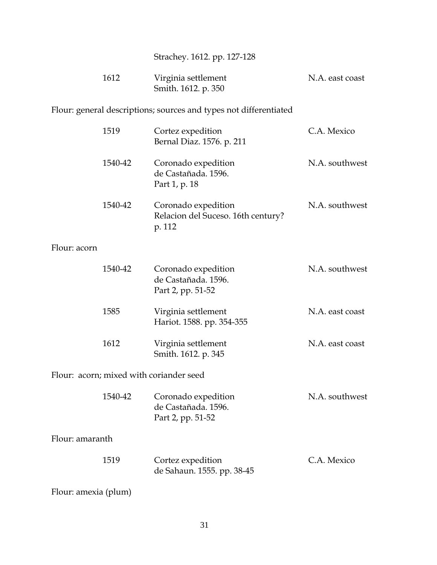| Strachey. 1612. pp. 127-128 |  |
|-----------------------------|--|
|-----------------------------|--|

| 1612 | Virginia settlement | N.A. east coast     |  |
|------|---------------------|---------------------|--|
|      |                     | Smith. 1612. p. 350 |  |

Flour: general descriptions; sources and types not differentiated

|                 | 1519    | Cortez expedition<br>Bernal Diaz. 1576. p. 211                      | C.A. Mexico     |
|-----------------|---------|---------------------------------------------------------------------|-----------------|
|                 | 1540-42 | Coronado expedition<br>de Castañada. 1596.<br>Part 1, p. 18         | N.A. southwest  |
|                 | 1540-42 | Coronado expedition<br>Relacion del Suceso. 16th century?<br>p. 112 | N.A. southwest  |
| Flour: acorn    |         |                                                                     |                 |
|                 | 1540-42 | Coronado expedition<br>de Castañada. 1596.<br>Part 2, pp. 51-52     | N.A. southwest  |
|                 | 1585    | Virginia settlement<br>Hariot. 1588. pp. 354-355                    | N.A. east coast |
|                 | 1612    | Virginia settlement<br>Smith. 1612. p. 345                          | N.A. east coast |
|                 |         | Flour: acorn; mixed with coriander seed                             |                 |
|                 | 1540-42 | Coronado expedition<br>de Castañada. 1596.<br>Part 2, pp. 51-52     | N.A. southwest  |
| Flour: amaranth |         |                                                                     |                 |
|                 | 1519    | Cortez expedition<br>de Sahaun. 1555. pp. 38-45                     | C.A. Mexico     |
|                 |         |                                                                     |                 |

Flour: amexia (plum)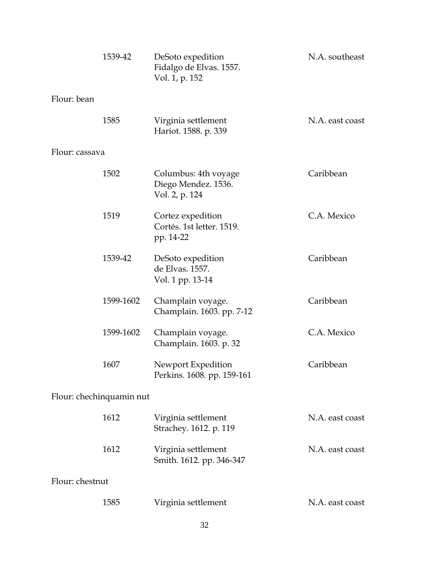|                          | 1539-42   | DeSoto expedition<br>Fidalgo de Elvas. 1557.<br>Vol. 1, p. 152 | N.A. southeast  |
|--------------------------|-----------|----------------------------------------------------------------|-----------------|
| Flour: bean              |           |                                                                |                 |
|                          | 1585      | Virginia settlement<br>Hariot. 1588. p. 339                    | N.A. east coast |
| Flour: cassava           |           |                                                                |                 |
|                          | 1502      | Columbus: 4th voyage<br>Diego Mendez. 1536.<br>Vol. 2, p. 124  | Caribbean       |
|                          | 1519      | Cortez expedition<br>Cortés. 1st letter. 1519.<br>pp. 14-22    | C.A. Mexico     |
|                          | 1539-42   | DeSoto expedition<br>de Elvas. 1557.<br>Vol. 1 pp. 13-14       | Caribbean       |
|                          | 1599-1602 | Champlain voyage.<br>Champlain. 1603. pp. 7-12                 | Caribbean       |
|                          | 1599-1602 | Champlain voyage.<br>Champlain. 1603. p. 32                    | C.A. Mexico     |
|                          | 1607      | Newport Expedition<br>Perkins. 1608. pp. 159-161               | Caribbean       |
| Flour: chechinquamin nut |           |                                                                |                 |
|                          | 1612      | Virginia settlement<br>Strachey. 1612. p. 119                  | N.A. east coast |
|                          | 1612      | Virginia settlement<br>Smith. 1612. pp. 346-347                | N.A. east coast |
| Flour: chestnut          |           |                                                                |                 |
|                          | 1585      | Virginia settlement                                            | N.A. east coast |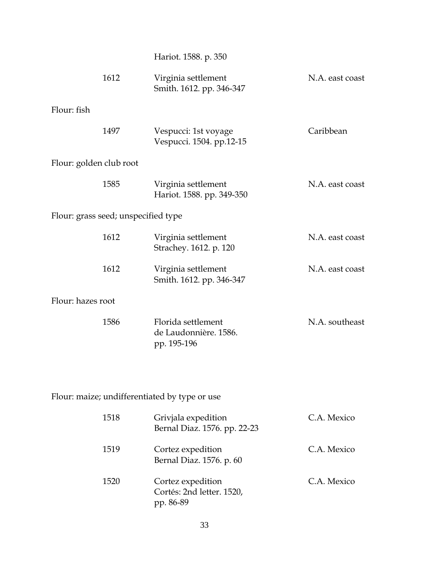Hariot. 1588. p. 350

|                         | 1612                                | Virginia settlement<br>Smith. 1612. pp. 346-347            | N.A. east coast |  |  |
|-------------------------|-------------------------------------|------------------------------------------------------------|-----------------|--|--|
| Flour: fish             |                                     |                                                            |                 |  |  |
|                         | 1497                                | Vespucci: 1st voyage<br>Vespucci. 1504. pp.12-15           | Caribbean       |  |  |
| Flour: golden club root |                                     |                                                            |                 |  |  |
|                         | 1585                                | Virginia settlement<br>Hariot. 1588. pp. 349-350           | N.A. east coast |  |  |
|                         | Flour: grass seed; unspecified type |                                                            |                 |  |  |
|                         | 1612                                | Virginia settlement<br>Strachey. 1612. p. 120              | N.A. east coast |  |  |
|                         | 1612                                | Virginia settlement<br>Smith. 1612. pp. 346-347            | N.A. east coast |  |  |
| Flour: hazes root       |                                     |                                                            |                 |  |  |
|                         | 1586                                | Florida settlement<br>de Laudonnière. 1586.<br>pp. 195-196 | N.A. southeast  |  |  |

Flour: maize; undifferentiated by type or use

| 1518 | Grivjala expedition<br>Bernal Diaz. 1576. pp. 22-23         | C.A. Mexico |
|------|-------------------------------------------------------------|-------------|
| 1519 | Cortez expedition<br>Bernal Diaz. 1576. p. 60               | C.A. Mexico |
| 1520 | Cortez expedition<br>Cortés: 2nd letter. 1520,<br>pp. 86-89 | C.A. Mexico |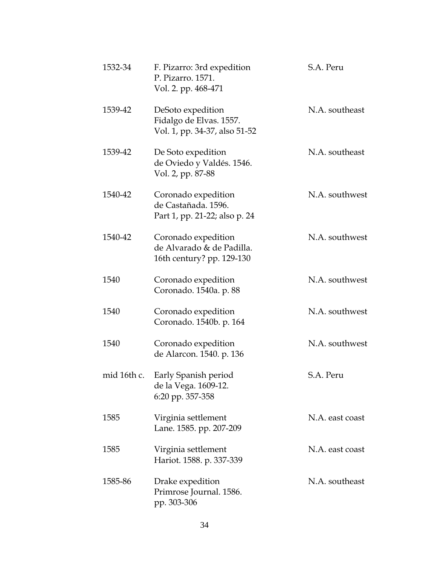| 1532-34     | F. Pizarro: 3rd expedition<br>P. Pizarro. 1571.<br>Vol. 2. pp. 468-471        | S.A. Peru       |
|-------------|-------------------------------------------------------------------------------|-----------------|
| 1539-42     | DeSoto expedition<br>Fidalgo de Elvas. 1557.<br>Vol. 1, pp. 34-37, also 51-52 | N.A. southeast  |
| 1539-42     | De Soto expedition<br>de Oviedo y Valdés. 1546.<br>Vol. 2, pp. 87-88          | N.A. southeast  |
| 1540-42     | Coronado expedition<br>de Castañada. 1596.<br>Part 1, pp. 21-22; also p. 24   | N.A. southwest  |
| 1540-42     | Coronado expedition<br>de Alvarado & de Padilla.<br>16th century? pp. 129-130 | N.A. southwest  |
| 1540        | Coronado expedition<br>Coronado. 1540a. p. 88                                 | N.A. southwest  |
| 1540        | Coronado expedition<br>Coronado. 1540b. p. 164                                | N.A. southwest  |
| 1540        | Coronado expedition<br>de Alarcon. 1540. p. 136                               | N.A. southwest  |
| mid 16th c. | Early Spanish period<br>de la Vega. 1609-12.<br>6:20 pp. 357-358              | S.A. Peru       |
| 1585        | Virginia settlement<br>Lane. 1585. pp. 207-209                                | N.A. east coast |
| 1585        | Virginia settlement<br>Hariot. 1588. p. 337-339                               | N.A. east coast |
| 1585-86     | Drake expedition<br>Primrose Journal. 1586.<br>pp. 303-306                    | N.A. southeast  |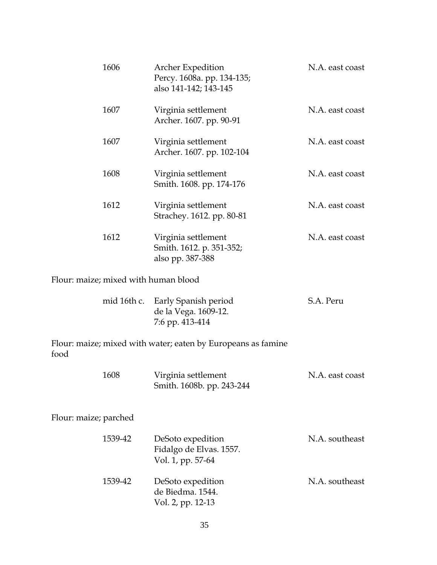|                       | 1606                                 | <b>Archer Expedition</b><br>Percy. 1608a. pp. 134-135;<br>also 141-142; 143-145 | N.A. east coast |
|-----------------------|--------------------------------------|---------------------------------------------------------------------------------|-----------------|
|                       | 1607                                 | Virginia settlement<br>Archer. 1607. pp. 90-91                                  | N.A. east coast |
|                       | 1607                                 | Virginia settlement<br>Archer. 1607. pp. 102-104                                | N.A. east coast |
|                       | 1608                                 | Virginia settlement<br>Smith. 1608. pp. 174-176                                 | N.A. east coast |
|                       | 1612                                 | Virginia settlement<br>Strachey. 1612. pp. 80-81                                | N.A. east coast |
|                       | 1612                                 | Virginia settlement<br>Smith. 1612. p. 351-352;<br>also pp. 387-388             | N.A. east coast |
|                       | Flour: maize; mixed with human blood |                                                                                 |                 |
|                       | mid 16th c.                          | Early Spanish period<br>de la Vega. 1609-12.<br>7:6 pp. 413-414                 | S.A. Peru       |
| food                  |                                      | Flour: maize; mixed with water; eaten by Europeans as famine                    |                 |
|                       | 1608                                 | Virginia settlement<br>Smith. 1608b. pp. 243-244                                | N.A. east coast |
| Flour: maize; parched |                                      |                                                                                 |                 |
|                       | 1539-42                              | DeSoto expedition                                                               | N.A. southeast  |

| 1539-42 | DeSoto expedition | N.A. southeast |
|---------|-------------------|----------------|
|         | de Biedma, 1544.  |                |
|         | Vol. 2, pp. 12-13 |                |
|         |                   |                |

Vol. 1, pp. 57-64

Fidalgo de Elvas. 1557.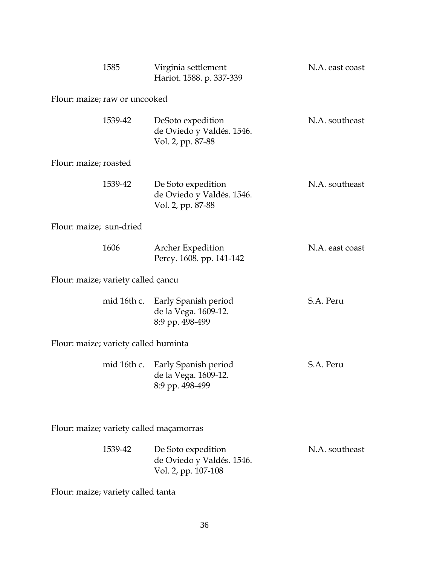|                                         | 1585                               | Virginia settlement<br>Hariot. 1588. p. 337-339                             | N.A. east coast |  |
|-----------------------------------------|------------------------------------|-----------------------------------------------------------------------------|-----------------|--|
|                                         | Flour: maize; raw or uncooked      |                                                                             |                 |  |
|                                         | 1539-42                            | DeSoto expedition<br>de Oviedo y Valdés. 1546.<br>Vol. 2, pp. 87-88         | N.A. southeast  |  |
| Flour: maize; roasted                   |                                    |                                                                             |                 |  |
|                                         | 1539-42                            | De Soto expedition<br>de Oviedo y Valdés. 1546.<br>Vol. 2, pp. 87-88        | N.A. southeast  |  |
| Flour: maize; sun-dried                 |                                    |                                                                             |                 |  |
|                                         | 1606                               | Archer Expedition<br>Percy. 1608. pp. 141-142                               | N.A. east coast |  |
|                                         | Flour: maize; variety called çancu |                                                                             |                 |  |
|                                         |                                    | mid 16th c. Early Spanish period<br>de la Vega. 1609-12.<br>8:9 pp. 498-499 | S.A. Peru       |  |
| Flour: maize; variety called huminta    |                                    |                                                                             |                 |  |
|                                         | mid 16th c.                        | Early Spanish period<br>de la Vega. 1609-12.<br>8:9 pp. 498-499             | S.A. Peru       |  |
| Flour: maize; variety called maçamorras |                                    |                                                                             |                 |  |
|                                         | 1539-42                            | De Soto expedition<br>de Oviedo y Valdés. 1546.<br>Vol. 2, pp. 107-108      | N.A. southeast  |  |
| Flour: maize; variety called tanta      |                                    |                                                                             |                 |  |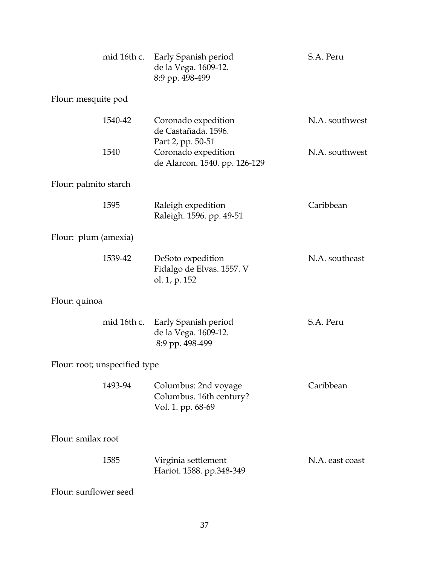|                       |                               | mid 16th c. Early Spanish period<br>de la Vega. 1609-12.<br>8:9 pp. 498-499 | S.A. Peru       |
|-----------------------|-------------------------------|-----------------------------------------------------------------------------|-----------------|
| Flour: mesquite pod   |                               |                                                                             |                 |
|                       | 1540-42                       | Coronado expedition<br>de Castañada. 1596.                                  | N.A. southwest  |
|                       | 1540                          | Part 2, pp. 50-51<br>Coronado expedition<br>de Alarcon. 1540. pp. 126-129   | N.A. southwest  |
| Flour: palmito starch |                               |                                                                             |                 |
|                       | 1595                          | Raleigh expedition<br>Raleigh. 1596. pp. 49-51                              | Caribbean       |
| Flour: plum (amexia)  |                               |                                                                             |                 |
|                       | 1539-42                       | DeSoto expedition<br>Fidalgo de Elvas. 1557. V<br>ol. 1, p. 152             | N.A. southeast  |
| Flour: quinoa         |                               |                                                                             |                 |
|                       |                               | mid 16th c. Early Spanish period<br>de la Vega. 1609-12.<br>8:9 pp. 498-499 | S.A. Peru       |
|                       | Flour: root; unspecified type |                                                                             |                 |
|                       | 1493-94                       | Columbus: 2nd voyage<br>Columbus. 16th century?<br>Vol. 1. pp. 68-69        | Caribbean       |
| Flour: smilax root    |                               |                                                                             |                 |
|                       | 1585                          | Virginia settlement<br>Hariot. 1588. pp.348-349                             | N.A. east coast |
| Flour: sunflower seed |                               |                                                                             |                 |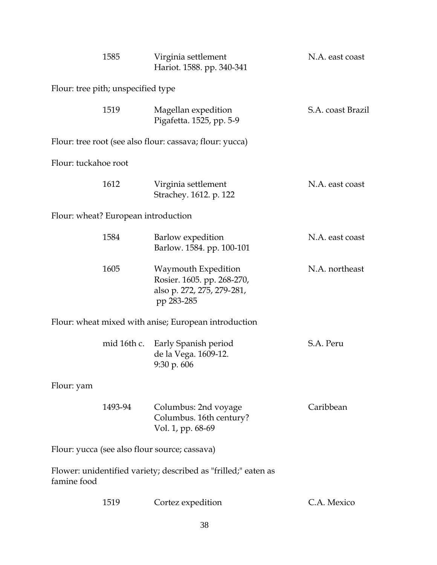|                                               | 1585                                | Virginia settlement<br>Hariot. 1588. pp. 340-341                                              | N.A. east coast   |  |
|-----------------------------------------------|-------------------------------------|-----------------------------------------------------------------------------------------------|-------------------|--|
|                                               | Flour: tree pith; unspecified type  |                                                                                               |                   |  |
|                                               | 1519                                | Magellan expedition<br>Pigafetta. 1525, pp. 5-9                                               | S.A. coast Brazil |  |
|                                               |                                     | Flour: tree root (see also flour: cassava; flour: yucca)                                      |                   |  |
| Flour: tuckahoe root                          |                                     |                                                                                               |                   |  |
|                                               | 1612                                | Virginia settlement<br>Strachey. 1612. p. 122                                                 | N.A. east coast   |  |
|                                               | Flour: wheat? European introduction |                                                                                               |                   |  |
|                                               | 1584                                | Barlow expedition<br>Barlow. 1584. pp. 100-101                                                | N.A. east coast   |  |
|                                               | 1605                                | Waymouth Expedition<br>Rosier. 1605. pp. 268-270,<br>also p. 272, 275, 279-281,<br>pp 283-285 | N.A. northeast    |  |
|                                               |                                     | Flour: wheat mixed with anise; European introduction                                          |                   |  |
|                                               | mid 16th c.                         | Early Spanish period<br>de la Vega. 1609-12.<br>9:30 p.606                                    | S.A. Peru         |  |
| Flour: yam                                    |                                     |                                                                                               |                   |  |
|                                               | 1493-94                             | Columbus: 2nd voyage<br>Columbus. 16th century?<br>Vol. 1, pp. 68-69                          | Caribbean         |  |
| Flour: yucca (see also flour source; cassava) |                                     |                                                                                               |                   |  |
| famine food                                   |                                     | Flower: unidentified variety; described as "frilled;" eaten as                                |                   |  |
|                                               | 1519                                | Cortez expedition                                                                             | C.A. Mexico       |  |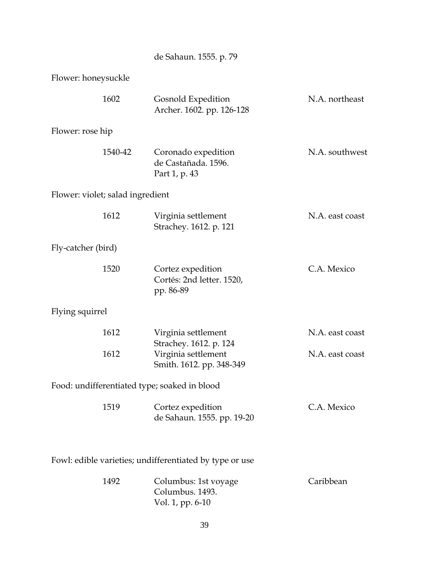de Sahaun. 1555. p. 79

Flower: honeysuckle

|                                                         | 1602                             | Gosnold Expedition<br>Archer. 1602. pp. 126-128                      | N.A. northeast                     |
|---------------------------------------------------------|----------------------------------|----------------------------------------------------------------------|------------------------------------|
| Flower: rose hip                                        |                                  |                                                                      |                                    |
|                                                         | 1540-42                          | Coronado expedition<br>de Castañada. 1596.<br>Part 1, p. 43          | N.A. southwest                     |
|                                                         | Flower: violet; salad ingredient |                                                                      |                                    |
|                                                         | 1612                             | Virginia settlement<br>Strachey. 1612. p. 121                        | N.A. east coast                    |
| Fly-catcher (bird)                                      |                                  |                                                                      |                                    |
|                                                         | 1520                             | Cortez expedition<br>Cortés: 2nd letter. 1520,<br>pp. 86-89          | C.A. Mexico                        |
| Flying squirrel                                         |                                  |                                                                      |                                    |
|                                                         | 1612<br>1612                     | Virginia settlement<br>Strachey. 1612. p. 124<br>Virginia settlement | N.A. east coast<br>N.A. east coast |
|                                                         |                                  | Smith. 1612. pp. 348-349                                             |                                    |
|                                                         |                                  | Food: undifferentiated type; soaked in blood                         |                                    |
|                                                         | 1519                             | Cortez expedition<br>de Sahaun. 1555. pp. 19-20                      | C.A. Mexico                        |
| Fowl: edible varieties; undifferentiated by type or use |                                  |                                                                      |                                    |
|                                                         | 1492                             | Columbus: 1st voyage<br>Columbus. 1493.<br>Vol. 1, pp. 6-10          | Caribbean                          |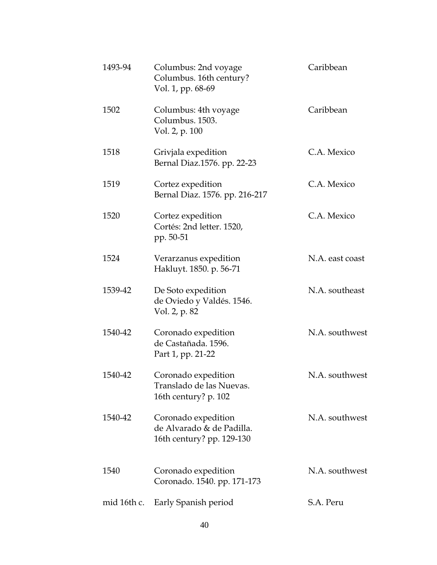| 1493-94     | Columbus: 2nd voyage<br>Columbus. 16th century?<br>Vol. 1, pp. 68-69          | Caribbean       |
|-------------|-------------------------------------------------------------------------------|-----------------|
| 1502        | Columbus: 4th voyage<br>Columbus. 1503.<br>Vol. 2, p. 100                     | Caribbean       |
| 1518        | Grivjala expedition<br>Bernal Diaz.1576. pp. 22-23                            | C.A. Mexico     |
| 1519        | Cortez expedition<br>Bernal Diaz. 1576. pp. 216-217                           | C.A. Mexico     |
| 1520        | Cortez expedition<br>Cortés: 2nd letter. 1520,<br>pp. 50-51                   | C.A. Mexico     |
| 1524        | Verarzanus expedition<br>Hakluyt. 1850. p. 56-71                              | N.A. east coast |
| 1539-42     | De Soto expedition<br>de Oviedo y Valdés. 1546.<br>Vol. 2, p. 82              | N.A. southeast  |
| 1540-42     | Coronado expedition<br>de Castañada. 1596.<br>Part 1, pp. 21-22               | N.A. southwest  |
| 1540-42     | Coronado expedition<br>Translado de las Nuevas.<br>16th century? p. 102       | N.A. southwest  |
| 1540-42     | Coronado expedition<br>de Alvarado & de Padilla.<br>16th century? pp. 129-130 | N.A. southwest  |
| 1540        | Coronado expedition<br>Coronado. 1540. pp. 171-173                            | N.A. southwest  |
| mid 16th c. | Early Spanish period                                                          | S.A. Peru       |
|             |                                                                               |                 |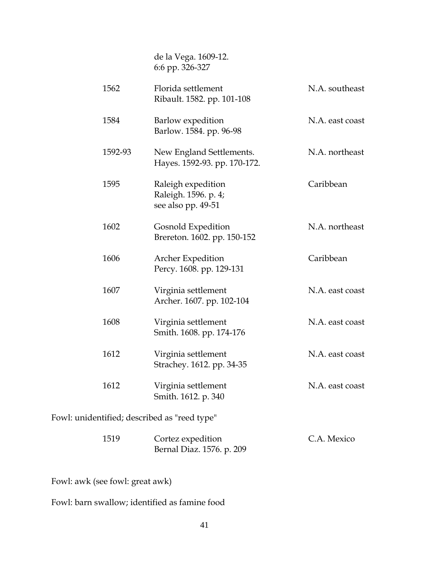de la Vega. 1609-12. 6:6 pp. 326-327

| 1562                                         | Florida settlement<br>Ribault. 1582. pp. 101-108                 | N.A. southeast  |
|----------------------------------------------|------------------------------------------------------------------|-----------------|
| 1584                                         | Barlow expedition<br>Barlow. 1584. pp. 96-98                     | N.A. east coast |
| 1592-93                                      | New England Settlements.<br>Hayes. 1592-93. pp. 170-172.         | N.A. northeast  |
| 1595                                         | Raleigh expedition<br>Raleigh. 1596. p. 4;<br>see also pp. 49-51 | Caribbean       |
| 1602                                         | <b>Gosnold Expedition</b><br>Brereton. 1602. pp. 150-152         | N.A. northeast  |
| 1606                                         | Archer Expedition<br>Percy. 1608. pp. 129-131                    | Caribbean       |
| 1607                                         | Virginia settlement<br>Archer. 1607. pp. 102-104                 | N.A. east coast |
| 1608                                         | Virginia settlement<br>Smith. 1608. pp. 174-176                  | N.A. east coast |
| 1612                                         | Virginia settlement<br>Strachey. 1612. pp. 34-35                 | N.A. east coast |
| 1612                                         | Virginia settlement<br>Smith. 1612. p. 340                       | N.A. east coast |
| Fowl: unidentified; described as "reed type" |                                                                  |                 |

| 1519 | Cortez expedition         | C.A. Mexico |
|------|---------------------------|-------------|
|      | Bernal Diaz. 1576. p. 209 |             |

Fowl: awk (see fowl: great awk)

Fowl: barn swallow; identified as famine food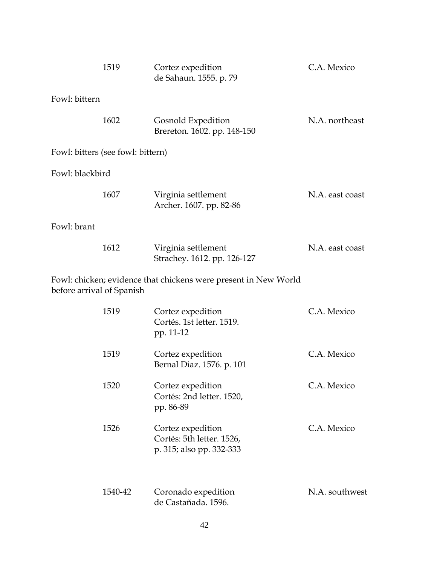|                                   | 1519    | Cortez expedition<br>de Sahaun. 1555. p. 79                                | C.A. Mexico     |
|-----------------------------------|---------|----------------------------------------------------------------------------|-----------------|
| Fowl: bittern                     |         |                                                                            |                 |
|                                   | 1602    | Gosnold Expedition<br>Brereton. 1602. pp. 148-150                          | N.A. northeast  |
| Fowl: bitters (see fowl: bittern) |         |                                                                            |                 |
| Fowl: blackbird                   |         |                                                                            |                 |
|                                   | 1607    | Virginia settlement<br>Archer. 1607. pp. 82-86                             | N.A. east coast |
| Fowl: brant                       |         |                                                                            |                 |
|                                   | 1612    | Virginia settlement<br>Strachey. 1612. pp. 126-127                         | N.A. east coast |
| before arrival of Spanish         |         | Fowl: chicken; evidence that chickens were present in New World            |                 |
|                                   | 1519    | Cortez expedition<br>Cortés. 1st letter. 1519.<br>pp. 11-12                | C.A. Mexico     |
|                                   | 1519    | Cortez expedition<br>Bernal Diaz. 1576. p. 101                             | C.A. Mexico     |
|                                   | 1520    | Cortez expedition<br>Cortés: 2nd letter. 1520,<br>pp. 86-89                | C.A. Mexico     |
|                                   | 1526    | Cortez expedition<br>Cortés: 5th letter. 1526,<br>p. 315; also pp. 332-333 | C.A. Mexico     |
|                                   | 1540-42 | Coronado expedition<br>de Castañada. 1596.                                 | N.A. southwest  |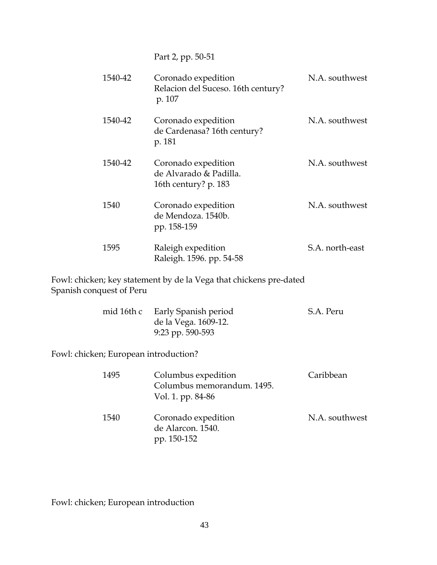Part 2, pp. 50-51

| 1540-42 | Coronado expedition<br>Relacion del Suceso. 16th century?<br>p. 107   | N.A. southwest  |
|---------|-----------------------------------------------------------------------|-----------------|
| 1540-42 | Coronado expedition<br>de Cardenasa? 16th century?<br>p. 181          | N.A. southwest  |
| 1540-42 | Coronado expedition<br>de Alvarado & Padilla.<br>16th century? p. 183 | N.A. southwest  |
| 1540    | Coronado expedition<br>de Mendoza. 1540b.<br>pp. 158-159              | N.A. southwest  |
| 1595    | Raleigh expedition<br>Raleigh. 1596. pp. 54-58                        | S.A. north-east |

Fowl: chicken; key statement by de la Vega that chickens pre-dated Spanish conquest of Peru

| mid 16th c Early Spanish period | S.A. Peru |
|---------------------------------|-----------|
| de la Vega. 1609-12.            |           |
| 9:23 pp. 590-593                |           |

Fowl: chicken; European introduction?

| 1495 | Columbus expedition<br>Columbus memorandum. 1495.<br>Vol. 1. pp. 84-86 | Caribbean      |
|------|------------------------------------------------------------------------|----------------|
| 1540 | Coronado expedition<br>de Alarcon. 1540.<br>pp. 150-152                | N.A. southwest |

Fowl: chicken; European introduction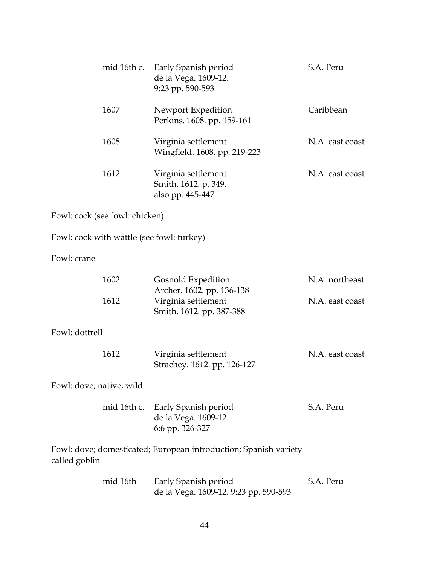|                          |                                | mid 16th c. Early Spanish period<br>de la Vega. 1609-12.<br>9:23 pp. 590-593 | S.A. Peru       |
|--------------------------|--------------------------------|------------------------------------------------------------------------------|-----------------|
|                          | 1607                           | Newport Expedition<br>Perkins. 1608. pp. 159-161                             | Caribbean       |
|                          | 1608                           | Virginia settlement<br>Wingfield. 1608. pp. 219-223                          | N.A. east coast |
|                          | 1612                           | Virginia settlement<br>Smith. 1612. p. 349,<br>also pp. 445-447              | N.A. east coast |
|                          | Fowl: cock (see fowl: chicken) |                                                                              |                 |
|                          |                                | Fowl: cock with wattle (see fowl: turkey)                                    |                 |
| Fowl: crane              |                                |                                                                              |                 |
|                          | 1602                           | Gosnold Expedition<br>Archer. 1602. pp. 136-138                              | N.A. northeast  |
|                          | 1612                           | Virginia settlement<br>Smith. 1612. pp. 387-388                              | N.A. east coast |
| Fowl: dottrell           |                                |                                                                              |                 |
|                          | 1612                           | Virginia settlement<br>Strachey. 1612. pp. 126-127                           | N.A. east coast |
| Fowl: dove; native, wild |                                |                                                                              |                 |
|                          |                                | mid 16th c. Early Spanish period<br>de la Vega. 1609-12.<br>6:6 pp. 326-327  | S.A. Peru       |
| called goblin            |                                | Fowl: dove; domesticated; European introduction; Spanish variety             |                 |
|                          | mid 16th                       | Early Spanish period<br>de la Vega. 1609-12. 9:23 pp. 590-593                | S.A. Peru       |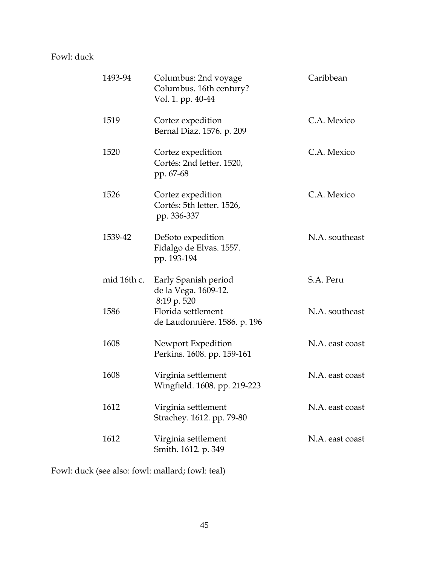### Fowl: duck

| 1493-94     | Columbus: 2nd voyage<br>Columbus. 16th century?<br>Vol. 1. pp. 40-44 | Caribbean       |
|-------------|----------------------------------------------------------------------|-----------------|
| 1519        | Cortez expedition<br>Bernal Diaz. 1576. p. 209                       | C.A. Mexico     |
| 1520        | Cortez expedition<br>Cortés: 2nd letter. 1520,<br>pp. 67-68          | C.A. Mexico     |
| 1526        | Cortez expedition<br>Cortés: 5th letter. 1526,<br>pp. 336-337        | C.A. Mexico     |
| 1539-42     | DeSoto expedition<br>Fidalgo de Elvas. 1557.<br>pp. 193-194          | N.A. southeast  |
| mid 16th c. | Early Spanish period<br>de la Vega. 1609-12.<br>8:19 p. 520          | S.A. Peru       |
| 1586        | Florida settlement<br>de Laudonnière. 1586. p. 196                   | N.A. southeast  |
| 1608        | Newport Expedition<br>Perkins. 1608. pp. 159-161                     | N.A. east coast |
| 1608        | Virginia settlement<br>Wingfield. 1608. pp. 219-223                  | N.A. east coast |
| 1612        | Virginia settlement<br>Strachey. 1612. pp. 79-80                     | N.A. east coast |
| 1612        | Virginia settlement<br>Smith. 1612. p. 349                           | N.A. east coast |

Fowl: duck (see also: fowl: mallard; fowl: teal)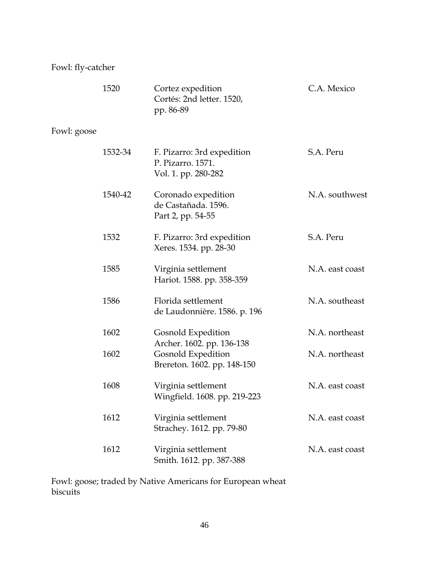### Fowl: fly-catcher

|             | 1520    | Cortez expedition<br>Cortés: 2nd letter. 1520,<br>pp. 86-89                    | C.A. Mexico     |
|-------------|---------|--------------------------------------------------------------------------------|-----------------|
| Fowl: goose |         |                                                                                |                 |
|             | 1532-34 | F. Pizarro: 3rd expedition<br>P. Pizarro, 1571.<br>Vol. 1. pp. 280-282         | S.A. Peru       |
|             | 1540-42 | Coronado expedition<br>de Castañada. 1596.<br>Part 2, pp. 54-55                | N.A. southwest  |
|             | 1532    | F. Pizarro: 3rd expedition<br>Xeres. 1534. pp. 28-30                           | S.A. Peru       |
|             | 1585    | Virginia settlement<br>Hariot. 1588. pp. 358-359                               | N.A. east coast |
|             | 1586    | Florida settlement<br>de Laudonnière. 1586. p. 196                             | N.A. southeast  |
|             | 1602    | Gosnold Expedition                                                             | N.A. northeast  |
|             | 1602    | Archer. 1602. pp. 136-138<br>Gosnold Expedition<br>Brereton. 1602. pp. 148-150 | N.A. northeast  |
|             | 1608    | Virginia settlement<br>Wingfield. 1608. pp. 219-223                            | N.A. east coast |
|             | 1612    | Virginia settlement<br>Strachey. 1612. pp. 79-80                               | N.A. east coast |
|             | 1612    | Virginia settlement<br>Smith. 1612. pp. 387-388                                | N.A. east coast |

Fowl: goose; traded by Native Americans for European wheat biscuits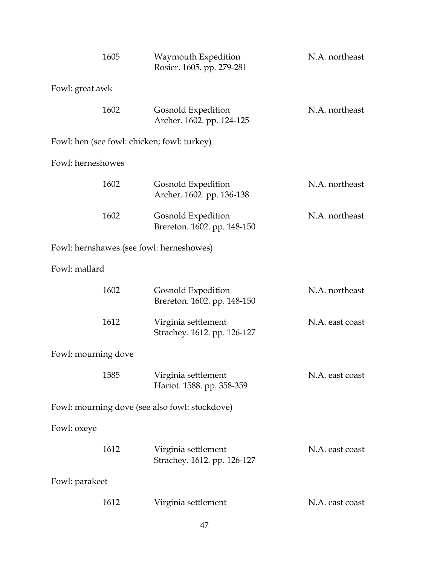| 1605                                        |  | Waymouth Expedition<br>Rosier. 1605. pp. 279-281   | N.A. northeast  |  |
|---------------------------------------------|--|----------------------------------------------------|-----------------|--|
| Fowl: great awk                             |  |                                                    |                 |  |
| 1602                                        |  | Gosnold Expedition<br>Archer. 1602. pp. 124-125    | N.A. northeast  |  |
| Fowl: hen (see fowl: chicken; fowl: turkey) |  |                                                    |                 |  |
| Fowl: herneshowes                           |  |                                                    |                 |  |
| 1602                                        |  | Gosnold Expedition<br>Archer. 1602. pp. 136-138    | N.A. northeast  |  |
| 1602                                        |  | Gosnold Expedition<br>Brereton. 1602. pp. 148-150  | N.A. northeast  |  |
| Fowl: hernshawes (see fowl: herneshowes)    |  |                                                    |                 |  |
| Fowl: mallard                               |  |                                                    |                 |  |
| 1602                                        |  | Gosnold Expedition<br>Brereton. 1602. pp. 148-150  | N.A. northeast  |  |
| 1612                                        |  | Virginia settlement<br>Strachey. 1612. pp. 126-127 | N.A. east coast |  |
| Fowl: mourning dove                         |  |                                                    |                 |  |
| 1585                                        |  | Virginia settlement<br>Hariot. 1588. pp. 358-359   | N.A. east coast |  |
|                                             |  | Fowl: mourning dove (see also fowl: stockdove)     |                 |  |
| Fowl: oxeye                                 |  |                                                    |                 |  |
| 1612                                        |  | Virginia settlement<br>Strachey. 1612. pp. 126-127 | N.A. east coast |  |
| Fowl: parakeet                              |  |                                                    |                 |  |
| 1612                                        |  | Virginia settlement                                | N.A. east coast |  |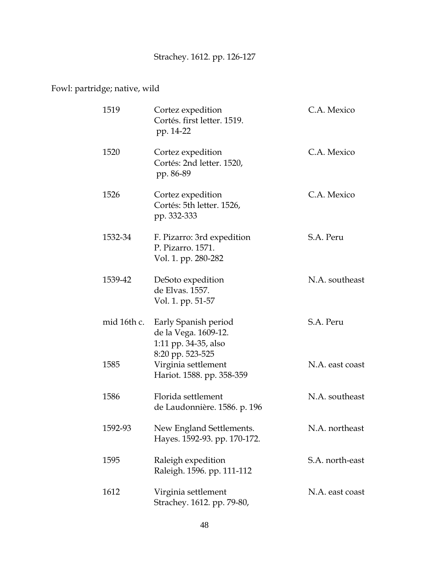# Strachey. 1612. pp. 126-127

## Fowl: partridge; native, wild

| 1519        | Cortez expedition<br>Cortés. first letter. 1519.<br>pp. 14-22          | C.A. Mexico     |
|-------------|------------------------------------------------------------------------|-----------------|
| 1520        | Cortez expedition<br>Cortés: 2nd letter. 1520,<br>pp. 86-89            | C.A. Mexico     |
| 1526        | Cortez expedition<br>Cortés: 5th letter. 1526,<br>pp. 332-333          | C.A. Mexico     |
| 1532-34     | F. Pizarro: 3rd expedition<br>P. Pizarro. 1571.<br>Vol. 1. pp. 280-282 | S.A. Peru       |
| 1539-42     | DeSoto expedition<br>de Elvas. 1557.<br>Vol. 1. pp. 51-57              | N.A. southeast  |
| mid 16th c. | Early Spanish period<br>de la Vega. 1609-12.<br>1:11 pp. 34-35, also   | S.A. Peru       |
| 1585        | 8:20 pp. 523-525<br>Virginia settlement<br>Hariot. 1588. pp. 358-359   | N.A. east coast |
| 1586        | Florida settlement<br>de Laudonnière. 1586. p. 196                     | N.A. southeast  |
| 1592-93     | New England Settlements.<br>Hayes. 1592-93. pp. 170-172.               | N.A. northeast  |
| 1595        | Raleigh expedition<br>Raleigh. 1596. pp. 111-112                       | S.A. north-east |
| 1612        | Virginia settlement<br>Strachey. 1612. pp. 79-80,                      | N.A. east coast |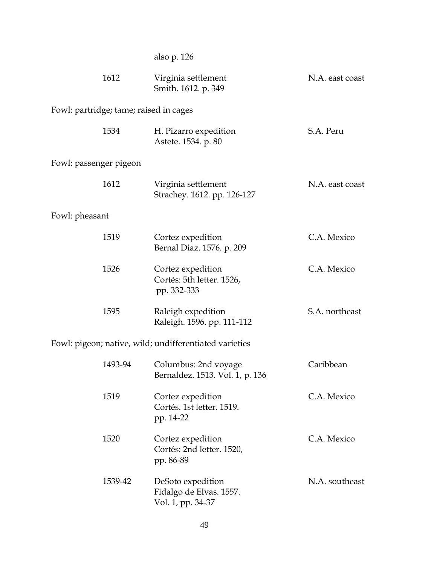| also p. 126 |  |  |
|-------------|--|--|
|-------------|--|--|

|                | 1612                                   | Virginia settlement<br>Smith. 1612. p. 349                        | N.A. east coast |
|----------------|----------------------------------------|-------------------------------------------------------------------|-----------------|
|                | Fowl: partridge; tame; raised in cages |                                                                   |                 |
|                | 1534                                   | H. Pizarro expedition<br>Astete. 1534. p. 80                      | S.A. Peru       |
|                | Fowl: passenger pigeon                 |                                                                   |                 |
|                | 1612                                   | Virginia settlement<br>Strachey. 1612. pp. 126-127                | N.A. east coast |
| Fowl: pheasant |                                        |                                                                   |                 |
|                | 1519                                   | Cortez expedition<br>Bernal Diaz. 1576. p. 209                    | C.A. Mexico     |
|                | 1526                                   | Cortez expedition<br>Cortés: 5th letter. 1526,<br>pp. 332-333     | C.A. Mexico     |
|                | 1595                                   | Raleigh expedition<br>Raleigh. 1596. pp. 111-112                  | S.A. northeast  |
|                |                                        | Fowl: pigeon; native, wild; undifferentiated varieties            |                 |
|                | 1493-94                                | Columbus: 2nd voyage<br>Bernaldez. 1513. Vol. 1, p. 136           | Caribbean       |
|                | 1519                                   | Cortez expedition<br>Cortés. 1st letter. 1519.<br>pp. 14-22       | C.A. Mexico     |
|                | 1520                                   | Cortez expedition<br>Cortés: 2nd letter. 1520,<br>pp. 86-89       | C.A. Mexico     |
|                | 1539-42                                | DeSoto expedition<br>Fidalgo de Elvas. 1557.<br>Vol. 1, pp. 34-37 | N.A. southeast  |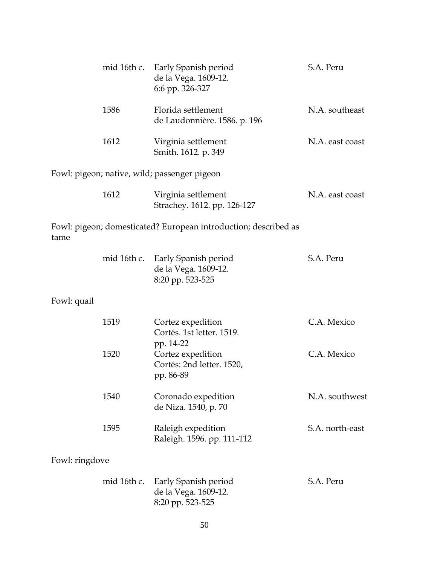|                | mid 16th c. | Early Spanish period<br>de la Vega. 1609-12.<br>6:6 pp. 326-327              | S.A. Peru       |
|----------------|-------------|------------------------------------------------------------------------------|-----------------|
|                | 1586        | Florida settlement<br>de Laudonnière. 1586. p. 196                           | N.A. southeast  |
|                | 1612        | Virginia settlement<br>Smith. 1612. p. 349                                   | N.A. east coast |
|                |             | Fowl: pigeon; native, wild; passenger pigeon                                 |                 |
|                | 1612        | Virginia settlement<br>Strachey. 1612. pp. 126-127                           | N.A. east coast |
| tame           |             | Fowl: pigeon; domesticated? European introduction; described as              |                 |
|                |             | mid 16th c. Early Spanish period<br>de la Vega. 1609-12.<br>8:20 pp. 523-525 | S.A. Peru       |
| Fowl: quail    |             |                                                                              |                 |
|                | 1519        | Cortez expedition<br>Cortés. 1st letter. 1519.<br>pp. 14-22                  | C.A. Mexico     |
|                | 1520        | Cortez expedition<br>Cortés: 2nd letter. 1520,<br>pp. 86-89                  | C.A. Mexico     |
|                | 1540        | Coronado expedition<br>de Niza. 1540, p. 70                                  | N.A. southwest  |
|                | 1595        | Raleigh expedition<br>Raleigh. 1596. pp. 111-112                             | S.A. north-east |
| Fowl: ringdove |             |                                                                              |                 |
|                | mid 16th c. | Early Spanish period<br>de la Vega. 1609-12.<br>8:20 pp. 523-525             | S.A. Peru       |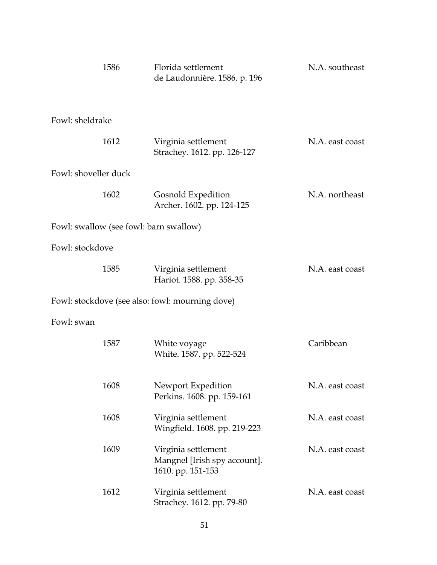| 1586                                            | Florida settlement<br>de Laudonnière. 1586. p. 196                       | N.A. southeast  |
|-------------------------------------------------|--------------------------------------------------------------------------|-----------------|
| Fowl: sheldrake                                 |                                                                          |                 |
| 1612                                            | Virginia settlement<br>Strachey. 1612. pp. 126-127                       | N.A. east coast |
| Fowl: shoveller duck                            |                                                                          |                 |
| 1602                                            | Gosnold Expedition<br>Archer. 1602. pp. 124-125                          | N.A. northeast  |
| Fowl: swallow (see fowl: barn swallow)          |                                                                          |                 |
| Fowl: stockdove                                 |                                                                          |                 |
| 1585                                            | Virginia settlement<br>Hariot. 1588. pp. 358-35                          | N.A. east coast |
| Fowl: stockdove (see also: fowl: mourning dove) |                                                                          |                 |
| Fowl: swan                                      |                                                                          |                 |
| 1587                                            | White voyage<br>White. 1587. pp. 522-524                                 | Caribbean       |
| 1608                                            | Newport Expedition<br>Perkins. 1608. pp. 159-161                         | N.A. east coast |
| 1608                                            | Virginia settlement<br>Wingfield. 1608. pp. 219-223                      | N.A. east coast |
| 1609                                            | Virginia settlement<br>Mangnel [Irish spy account].<br>1610. pp. 151-153 | N.A. east coast |
| 1612                                            | Virginia settlement<br>Strachey. 1612. pp. 79-80                         | N.A. east coast |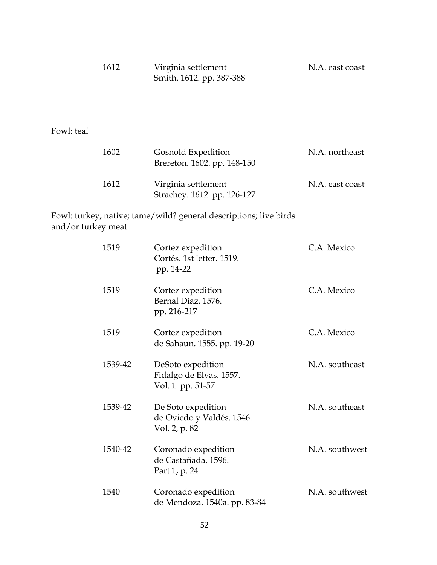| 1612 | Virginia settlement      | N.A. east coast |
|------|--------------------------|-----------------|
|      | Smith. 1612. pp. 387-388 |                 |

Fowl: teal

| 1602 | Gosnold Expedition<br>Brereton. 1602. pp. 148-150  | N.A. northeast  |
|------|----------------------------------------------------|-----------------|
| 1612 | Virginia settlement<br>Strachey. 1612. pp. 126-127 | N.A. east coast |

Fowl: turkey; native; tame/wild? general descriptions; live birds and/or turkey meat

| 1519    | Cortez expedition<br>Cortés. 1st letter. 1519.<br>pp. 14-22       | C.A. Mexico    |
|---------|-------------------------------------------------------------------|----------------|
| 1519    | Cortez expedition<br>Bernal Diaz. 1576.<br>pp. 216-217            | C.A. Mexico    |
| 1519    | Cortez expedition<br>de Sahaun. 1555. pp. 19-20                   | C.A. Mexico    |
| 1539-42 | DeSoto expedition<br>Fidalgo de Elvas. 1557.<br>Vol. 1. pp. 51-57 | N.A. southeast |
| 1539-42 | De Soto expedition<br>de Oviedo y Valdés. 1546.<br>Vol. 2, p. 82  | N.A. southeast |
| 1540-42 | Coronado expedition<br>de Castañada, 1596.<br>Part 1, p. 24       | N.A. southwest |
| 1540    | Coronado expedition<br>de Mendoza. 1540a. pp. 83-84               | N.A. southwest |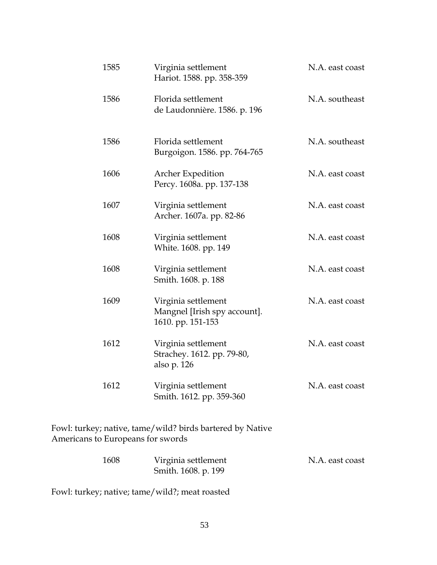| 1585                                                                                           | Virginia settlement<br>Hariot. 1588. pp. 358-359                         | N.A. east coast |  |
|------------------------------------------------------------------------------------------------|--------------------------------------------------------------------------|-----------------|--|
| 1586                                                                                           | Florida settlement<br>de Laudonnière. 1586. p. 196                       | N.A. southeast  |  |
| 1586                                                                                           | Florida settlement<br>Burgoigon. 1586. pp. 764-765                       | N.A. southeast  |  |
| 1606                                                                                           | <b>Archer Expedition</b><br>Percy. 1608a. pp. 137-138                    | N.A. east coast |  |
| 1607                                                                                           | Virginia settlement<br>Archer. 1607a. pp. 82-86                          | N.A. east coast |  |
| 1608                                                                                           | Virginia settlement<br>White. 1608. pp. 149                              | N.A. east coast |  |
| 1608                                                                                           | Virginia settlement<br>Smith. 1608. p. 188                               | N.A. east coast |  |
| 1609                                                                                           | Virginia settlement<br>Mangnel [Irish spy account].<br>1610. pp. 151-153 | N.A. east coast |  |
| 1612                                                                                           | Virginia settlement<br>Strachey. 1612. pp. 79-80,<br>also p. 126         | N.A. east coast |  |
| 1612                                                                                           | Virginia settlement<br>Smith. 1612. pp. 359-360                          | N.A. east coast |  |
| Fowl: turkey; native, tame/wild? birds bartered by Native<br>Americans to Europeans for swords |                                                                          |                 |  |

| 1608 | Virginia settlement | N.A. east coast |
|------|---------------------|-----------------|
|      | Smith. 1608. p. 199 |                 |

Fowl: turkey; native; tame/wild?; meat roasted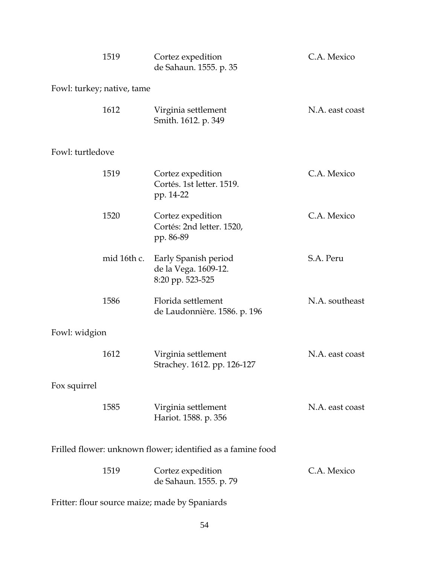|                  | 1519                       | Cortez expedition<br>de Sahaun. 1555. p. 35                      | C.A. Mexico     |
|------------------|----------------------------|------------------------------------------------------------------|-----------------|
|                  | Fowl: turkey; native, tame |                                                                  |                 |
|                  | 1612                       | Virginia settlement<br>Smith. 1612. p. 349                       | N.A. east coast |
| Fowl: turtledove |                            |                                                                  |                 |
|                  | 1519                       | Cortez expedition<br>Cortés. 1st letter. 1519.<br>pp. 14-22      | C.A. Mexico     |
|                  | 1520                       | Cortez expedition<br>Cortés: 2nd letter. 1520,<br>pp. 86-89      | C.A. Mexico     |
|                  | mid 16th c.                | Early Spanish period<br>de la Vega. 1609-12.<br>8:20 pp. 523-525 | S.A. Peru       |
|                  | 1586                       | Florida settlement<br>de Laudonnière. 1586. p. 196               | N.A. southeast  |
| Fowl: widgion    |                            |                                                                  |                 |
|                  | 1612                       | Virginia settlement<br>Strachey. 1612. pp. 126-127               | N.A. east coast |
| Fox squirrel     |                            |                                                                  |                 |
|                  | 1585                       | Virginia settlement<br>Hariot. 1588. p. 356                      | N.A. east coast |
|                  |                            | Frilled flower: unknown flower; identified as a famine food      |                 |
|                  | 1519                       | Cortez expedition<br>de Sahaun. 1555. p. 79                      | C.A. Mexico     |
|                  |                            | Fritter: flour source maize; made by Spaniards                   |                 |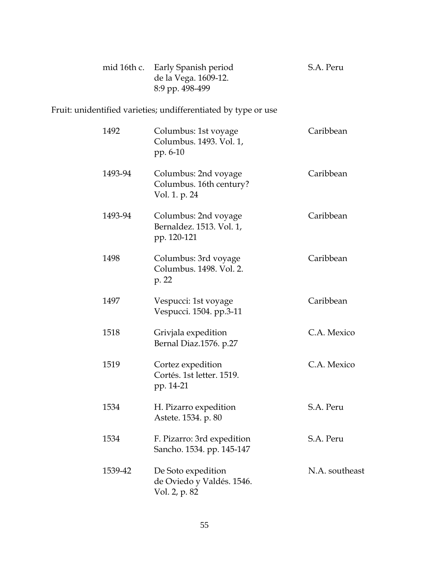| mid 16th c. | Early Spanish period<br>de la Vega. 1609-12.<br>8:9 pp. 498-499  | S.A. Peru      |
|-------------|------------------------------------------------------------------|----------------|
|             | Fruit: unidentified varieties; undifferentiated by type or use   |                |
| 1492        | Columbus: 1st voyage<br>Columbus. 1493. Vol. 1,<br>pp. 6-10      | Caribbean      |
| 1493-94     | Columbus: 2nd voyage<br>Columbus. 16th century?<br>Vol. 1. p. 24 | Caribbean      |
| 1493-94     | Columbus: 2nd voyage<br>Bernaldez. 1513. Vol. 1,<br>pp. 120-121  | Caribbean      |
| 1498        | Columbus: 3rd voyage<br>Columbus. 1498. Vol. 2.<br>p. 22         | Caribbean      |
| 1497        | Vespucci: 1st voyage<br>Vespucci. 1504. pp.3-11                  | Caribbean      |
| 1518        | Grivjala expedition<br>Bernal Diaz.1576. p.27                    | C.A. Mexico    |
| 1519        | Cortez expedition<br>Cortés. 1st letter. 1519.<br>pp. 14-21      | C.A. Mexico    |
| 1534        | H. Pizarro expedition<br>Astete. 1534. p. 80                     | S.A. Peru      |
| 1534        | F. Pizarro: 3rd expedition<br>Sancho. 1534. pp. 145-147          | S.A. Peru      |
| 1539-42     | De Soto expedition<br>de Oviedo y Valdés. 1546.<br>Vol. 2, p. 82 | N.A. southeast |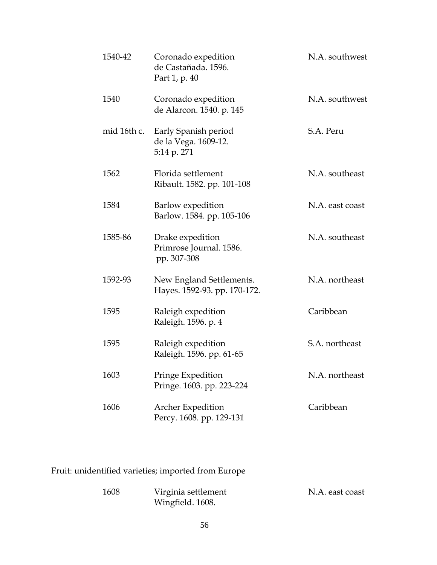| 1540-42     | Coronado expedition<br>de Castañada. 1596.<br>Part 1, p. 40 | N.A. southwest  |
|-------------|-------------------------------------------------------------|-----------------|
| 1540        | Coronado expedition<br>de Alarcon. 1540. p. 145             | N.A. southwest  |
| mid 16th c. | Early Spanish period<br>de la Vega. 1609-12.<br>5:14 p. 271 | S.A. Peru       |
| 1562        | Florida settlement<br>Ribault. 1582. pp. 101-108            | N.A. southeast  |
| 1584        | Barlow expedition<br>Barlow. 1584. pp. 105-106              | N.A. east coast |
| 1585-86     | Drake expedition<br>Primrose Journal. 1586.<br>pp. 307-308  | N.A. southeast  |
| 1592-93     | New England Settlements.<br>Hayes. 1592-93. pp. 170-172.    | N.A. northeast  |
| 1595        | Raleigh expedition<br>Raleigh. 1596. p. 4                   | Caribbean       |
| 1595        | Raleigh expedition<br>Raleigh. 1596. pp. 61-65              | S.A. northeast  |
| 1603        | Pringe Expedition<br>Pringe. 1603. pp. 223-224              | N.A. northeast  |
| 1606        | <b>Archer Expedition</b><br>Percy. 1608. pp. 129-131        | Caribbean       |

Fruit: unidentified varieties; imported from Europe

| 1608 | Virginia settlement | N.A. east coast |
|------|---------------------|-----------------|
|      | Wingfield. 1608.    |                 |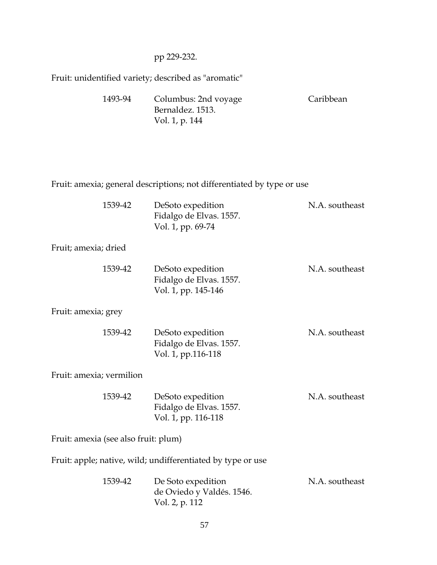#### pp 229-232.

Fruit: unidentified variety; described as "aromatic"

| 1493-94 | Columbus: 2nd voyage | Caribbean |
|---------|----------------------|-----------|
|         | Bernaldez. 1513.     |           |
|         | Vol. 1, p. 144       |           |

Fruit: amexia; general descriptions; not differentiated by type or use

| 1539-42              | DeSoto expedition<br>Fidalgo de Elvas. 1557.<br>Vol. 1, pp. 69-74   | N.A. southeast |
|----------------------|---------------------------------------------------------------------|----------------|
| Fruit; amexia; dried |                                                                     |                |
| 1539-42              | DeSoto expedition<br>Fidalgo de Elvas. 1557.<br>Vol. 1, pp. 145-146 | N.A. southeast |
| Fruit: amexia; grey  |                                                                     |                |
| 1539-42              | DeSoto expedition<br>Fidalgo de Elvas. 1557.<br>Vol. 1, pp.116-118  | N.A. southeast |

Fruit: amexia; vermilion

| 1539-42 | DeSoto expedition       | N.A. southeast |
|---------|-------------------------|----------------|
|         | Fidalgo de Elvas. 1557. |                |
|         | Vol. 1, pp. 116-118     |                |

Fruit: amexia (see also fruit: plum)

Fruit: apple; native, wild; undifferentiated by type or use

| 1539-42 | De Soto expedition        | N.A. southeast |
|---------|---------------------------|----------------|
|         | de Oviedo y Valdés. 1546. |                |
|         | Vol. 2, p. 112            |                |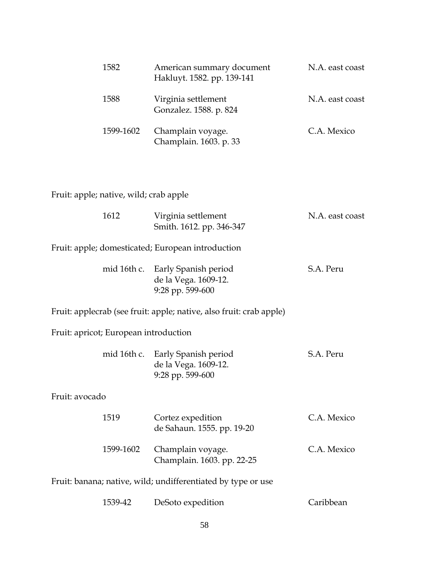| 1582      | American summary document<br>Hakluyt. 1582. pp. 139-141 | N.A. east coast |
|-----------|---------------------------------------------------------|-----------------|
| 1588      | Virginia settlement<br>Gonzalez. 1588. p. 824           | N.A. east coast |
| 1599-1602 | Champlain voyage.<br>Champlain. 1603. p. 33             | C.A. Mexico     |

## Fruit: apple; native, wild; crab apple

|                                       | 1612                                                         | Virginia settlement<br>Smith. 1612. pp. 346-347                              | N.A. east coast |  |
|---------------------------------------|--------------------------------------------------------------|------------------------------------------------------------------------------|-----------------|--|
|                                       |                                                              | Fruit: apple; domesticated; European introduction                            |                 |  |
|                                       | mid 16th c.                                                  | Early Spanish period<br>de la Vega. 1609-12.<br>9:28 pp. 599-600             | S.A. Peru       |  |
|                                       |                                                              | Fruit: applecrab (see fruit: apple; native, also fruit: crab apple)          |                 |  |
| Fruit: apricot; European introduction |                                                              |                                                                              |                 |  |
|                                       |                                                              | mid 16th c. Early Spanish period<br>de la Vega. 1609-12.<br>9:28 pp. 599-600 | S.A. Peru       |  |
| Fruit: avocado                        |                                                              |                                                                              |                 |  |
|                                       | 1519                                                         | Cortez expedition<br>de Sahaun. 1555. pp. 19-20                              | C.A. Mexico     |  |
|                                       | 1599-1602                                                    | Champlain voyage.<br>Champlain. 1603. pp. 22-25                              | C.A. Mexico     |  |
|                                       | Fruit: banana; native, wild; undifferentiated by type or use |                                                                              |                 |  |
|                                       | 1539-42                                                      | DeSoto expedition                                                            | Caribbean       |  |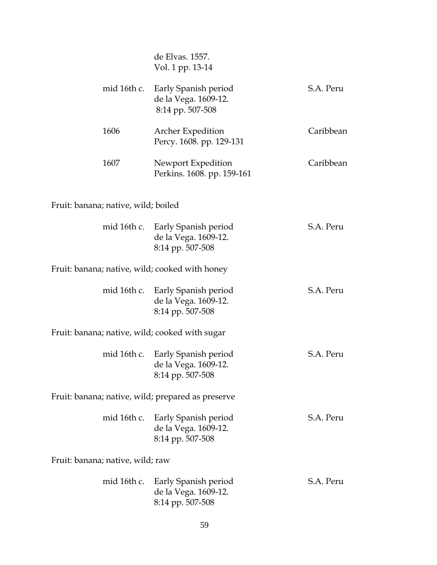|                                                   | de Elvas. 1557.<br>Vol. 1 pp. 13-14                                          |           |
|---------------------------------------------------|------------------------------------------------------------------------------|-----------|
| mid 16th c.                                       | Early Spanish period<br>de la Vega. 1609-12.<br>8:14 pp. 507-508             | S.A. Peru |
| 1606                                              | Archer Expedition<br>Percy. 1608. pp. 129-131                                | Caribbean |
| 1607                                              | Newport Expedition<br>Perkins. 1608. pp. 159-161                             | Caribbean |
| Fruit: banana; native, wild; boiled               |                                                                              |           |
|                                                   | mid 16th c. Early Spanish period<br>de la Vega. 1609-12.<br>8:14 pp. 507-508 | S.A. Peru |
| Fruit: banana; native, wild; cooked with honey    |                                                                              |           |
|                                                   | mid 16th c. Early Spanish period<br>de la Vega. 1609-12.<br>8:14 pp. 507-508 | S.A. Peru |
| Fruit: banana; native, wild; cooked with sugar    |                                                                              |           |
|                                                   | mid 16th c. Early Spanish period<br>de la Vega. 1609-12.<br>8:14 pp. 507-508 | S.A. Peru |
| Fruit: banana; native, wild; prepared as preserve |                                                                              |           |
| mid 16th c.                                       | Early Spanish period<br>de la Vega. 1609-12.<br>8:14 pp. 507-508             | S.A. Peru |
| Fruit: banana; native, wild; raw                  |                                                                              |           |
| mid 16th c.                                       | Early Spanish period<br>de la Vega. 1609-12.<br>8:14 pp. 507-508             | S.A. Peru |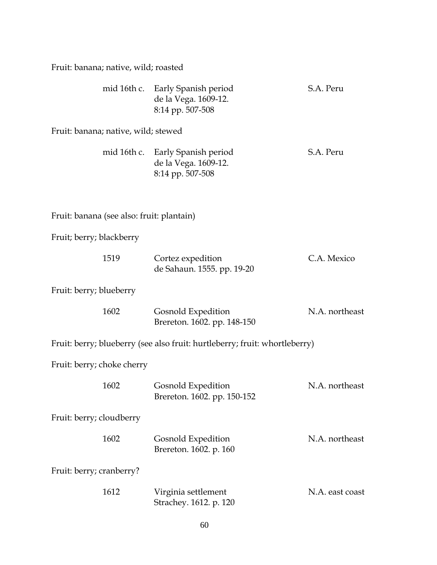Fruit: banana; native, wild; roasted

|                                           | mid 16th c. Early Spanish period<br>de la Vega. 1609-12.<br>8:14 pp. 507-508 | S.A. Peru       |
|-------------------------------------------|------------------------------------------------------------------------------|-----------------|
| Fruit: banana; native, wild; stewed       |                                                                              |                 |
|                                           | mid 16th c. Early Spanish period<br>de la Vega. 1609-12.<br>8:14 pp. 507-508 | S.A. Peru       |
| Fruit: banana (see also: fruit: plantain) |                                                                              |                 |
| Fruit; berry; blackberry                  |                                                                              |                 |
| 1519                                      | Cortez expedition<br>de Sahaun. 1555. pp. 19-20                              | C.A. Mexico     |
| Fruit: berry; blueberry                   |                                                                              |                 |
| 1602                                      | Gosnold Expedition<br>Brereton. 1602. pp. 148-150                            | N.A. northeast  |
|                                           | Fruit: berry; blueberry (see also fruit: hurtleberry; fruit: whortleberry)   |                 |
| Fruit: berry; choke cherry                |                                                                              |                 |
| 1602                                      | Gosnold Expedition<br>Brereton. 1602. pp. 150-152                            | N.A. northeast  |
| Fruit: berry; cloudberry                  |                                                                              |                 |
| 1602                                      | Gosnold Expedition<br>Brereton. 1602. p. 160                                 | N.A. northeast  |
| Fruit: berry; cranberry?                  |                                                                              |                 |
| 1612                                      | Virginia settlement<br>Strachey. 1612. p. 120                                | N.A. east coast |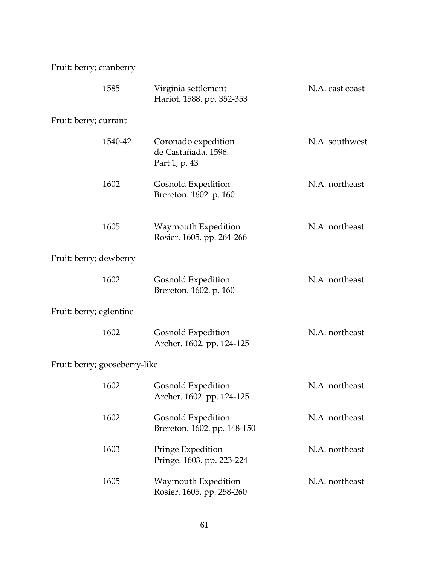Fruit: berry; cranberry

|                               | 1585    | Virginia settlement<br>Hariot. 1588. pp. 352-353            | N.A. east coast |
|-------------------------------|---------|-------------------------------------------------------------|-----------------|
| Fruit: berry; currant         |         |                                                             |                 |
|                               | 1540-42 | Coronado expedition<br>de Castañada. 1596.<br>Part 1, p. 43 | N.A. southwest  |
|                               | 1602    | Gosnold Expedition<br>Brereton. 1602. p. 160                | N.A. northeast  |
|                               | 1605    | Waymouth Expedition<br>Rosier. 1605. pp. 264-266            | N.A. northeast  |
| Fruit: berry; dewberry        |         |                                                             |                 |
|                               | 1602    | Gosnold Expedition<br>Brereton. 1602. p. 160                | N.A. northeast  |
| Fruit: berry; eglentine       |         |                                                             |                 |
|                               | 1602    | Gosnold Expedition<br>Archer. 1602. pp. 124-125             | N.A. northeast  |
| Fruit: berry; gooseberry-like |         |                                                             |                 |
|                               | 1602    | Gosnold Expedition<br>Archer. 1602. pp. 124-125             | N.A. northeast  |
|                               | 1602    | Gosnold Expedition<br>Brereton. 1602. pp. 148-150           | N.A. northeast  |
|                               | 1603    | Pringe Expedition<br>Pringe. 1603. pp. 223-224              | N.A. northeast  |
|                               | 1605    | Waymouth Expedition<br>Rosier. 1605. pp. 258-260            | N.A. northeast  |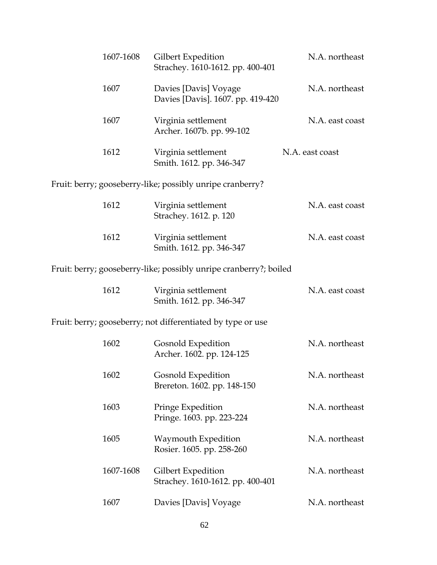| 1607-1608 | Gilbert Expedition<br>Strachey. 1610-1612. pp. 400-401            | N.A. northeast  |  |
|-----------|-------------------------------------------------------------------|-----------------|--|
| 1607      | Davies [Davis] Voyage<br>Davies [Davis]. 1607. pp. 419-420        | N.A. northeast  |  |
| 1607      | Virginia settlement<br>Archer. 1607b. pp. 99-102                  | N.A. east coast |  |
| 1612      | Virginia settlement<br>Smith. 1612. pp. 346-347                   | N.A. east coast |  |
|           | Fruit: berry; gooseberry-like; possibly unripe cranberry?         |                 |  |
| 1612      | Virginia settlement<br>Strachey. 1612. p. 120                     | N.A. east coast |  |
| 1612      | Virginia settlement<br>Smith. 1612. pp. 346-347                   | N.A. east coast |  |
|           | Fruit: berry; gooseberry-like; possibly unripe cranberry?; boiled |                 |  |
| 1612      | Virginia settlement<br>Smith. 1612. pp. 346-347                   | N.A. east coast |  |
|           | Fruit: berry; gooseberry; not differentiated by type or use       |                 |  |
| 1602      | Gosnold Expedition<br>Archer. 1602. pp. 124-125                   | N.A. northeast  |  |
| 1602      | Gosnold Expedition<br>Brereton. 1602. pp. 148-150                 | N.A. northeast  |  |
| 1603      | Pringe Expedition<br>Pringe. 1603. pp. 223-224                    | N.A. northeast  |  |
| 1605      | Waymouth Expedition<br>Rosier. 1605. pp. 258-260                  | N.A. northeast  |  |
| 1607-1608 | Gilbert Expedition<br>Strachey. 1610-1612. pp. 400-401            | N.A. northeast  |  |
| 1607      | Davies [Davis] Voyage                                             | N.A. northeast  |  |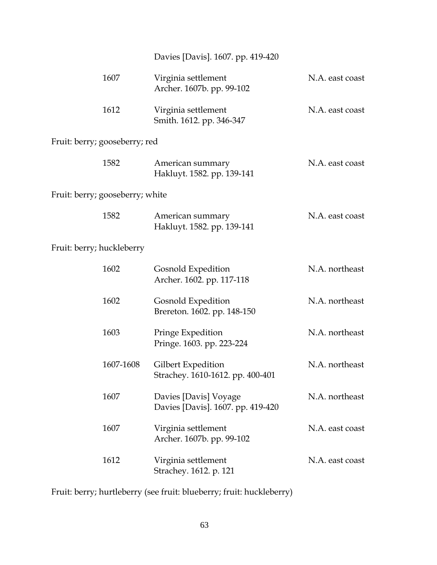|                                 | Davies [Davis]. 1607. pp. 419-420                          |                 |
|---------------------------------|------------------------------------------------------------|-----------------|
| 1607                            | Virginia settlement<br>Archer. 1607b. pp. 99-102           | N.A. east coast |
| 1612                            | Virginia settlement<br>Smith. 1612. pp. 346-347            | N.A. east coast |
| Fruit: berry; gooseberry; red   |                                                            |                 |
| 1582                            | American summary<br>Hakluyt. 1582. pp. 139-141             | N.A. east coast |
| Fruit: berry; gooseberry; white |                                                            |                 |
| 1582                            | American summary<br>Hakluyt. 1582. pp. 139-141             | N.A. east coast |
| Fruit: berry; huckleberry       |                                                            |                 |
| 1602                            | Gosnold Expedition<br>Archer. 1602. pp. 117-118            | N.A. northeast  |
| 1602                            | Gosnold Expedition<br>Brereton. 1602. pp. 148-150          | N.A. northeast  |
| 1603                            | Pringe Expedition<br>Pringe. 1603. pp. 223-224             | N.A. northeast  |
| 1607-1608                       | Gilbert Expedition<br>Strachey. 1610-1612. pp. 400-401     | N.A. northeast  |
| 1607                            | Davies [Davis] Voyage<br>Davies [Davis]. 1607. pp. 419-420 | N.A. northeast  |
| 1607                            | Virginia settlement<br>Archer. 1607b. pp. 99-102           | N.A. east coast |
| 1612                            | Virginia settlement<br>Strachey. 1612. p. 121              | N.A. east coast |

Fruit: berry; hurtleberry (see fruit: blueberry; fruit: huckleberry)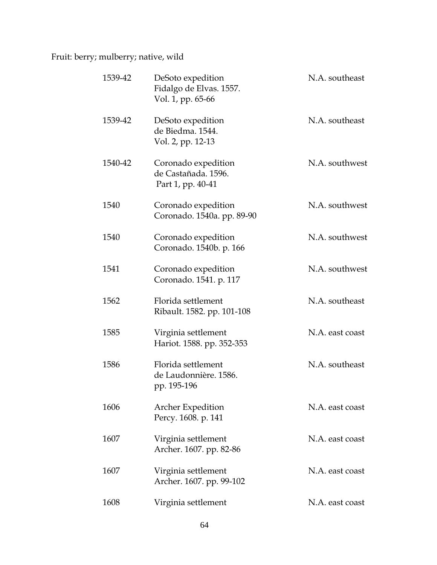Fruit: berry; mulberry; native, wild

| 1539-42 | DeSoto expedition<br>Fidalgo de Elvas. 1557.<br>Vol. 1, pp. 65-66 | N.A. southeast  |
|---------|-------------------------------------------------------------------|-----------------|
| 1539-42 | DeSoto expedition<br>de Biedma. 1544.<br>Vol. 2, pp. 12-13        | N.A. southeast  |
| 1540-42 | Coronado expedition<br>de Castañada. 1596.<br>Part 1, pp. 40-41   | N.A. southwest  |
| 1540    | Coronado expedition<br>Coronado. 1540a. pp. 89-90                 | N.A. southwest  |
| 1540    | Coronado expedition<br>Coronado. 1540b. p. 166                    | N.A. southwest  |
| 1541    | Coronado expedition<br>Coronado. 1541. p. 117                     | N.A. southwest  |
| 1562    | Florida settlement<br>Ribault. 1582. pp. 101-108                  | N.A. southeast  |
| 1585    | Virginia settlement<br>Hariot. 1588. pp. 352-353                  | N.A. east coast |
| 1586    | Florida settlement<br>de Laudonnière. 1586.<br>pp. 195-196        | N.A. southeast  |
| 1606    | <b>Archer Expedition</b><br>Percy. 1608. p. 141                   | N.A. east coast |
| 1607    | Virginia settlement<br>Archer. 1607. pp. 82-86                    | N.A. east coast |
| 1607    | Virginia settlement<br>Archer. 1607. pp. 99-102                   | N.A. east coast |
| 1608    | Virginia settlement                                               | N.A. east coast |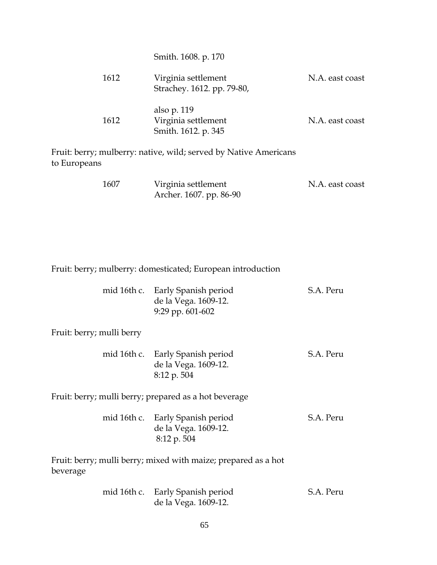|      | Smith. 1608. p. 170                                       |                 |
|------|-----------------------------------------------------------|-----------------|
| 1612 | Virginia settlement<br>Strachey. 1612. pp. 79-80,         | N.A. east coast |
| 1612 | also p. 119<br>Virginia settlement<br>Smith. 1612. p. 345 | N.A. east coast |

Fruit: berry; mulberry: native, wild; served by Native Americans to Europeans

| 1607 | Virginia settlement     | N.A. east coast |
|------|-------------------------|-----------------|
|      | Archer. 1607. pp. 86-90 |                 |

Fruit: berry; mulberry: domesticated; European introduction

| mid 16th c. Early Spanish period | S.A. Peru |
|----------------------------------|-----------|
| de la Vega. 1609-12.             |           |
| 9:29 pp. $601-602$               |           |

Fruit: berry; mulli berry

| mid 16th c. Early Spanish period | S.A. Peru |
|----------------------------------|-----------|
| de la Vega. 1609-12.             |           |
| $8:12 \text{ p. }504$            |           |

Fruit: berry; mulli berry; prepared as a hot beverage

| mid 16th c. Early Spanish period | S.A. Peru |
|----------------------------------|-----------|
| de la Vega. 1609-12.             |           |
| 8:12 p. 504                      |           |

Fruit: berry; mulli berry; mixed with maize; prepared as a hot beverage

|  | mid 16th c. Early Spanish period | S.A. Peru |
|--|----------------------------------|-----------|
|  | de la Vega. 1609-12.             |           |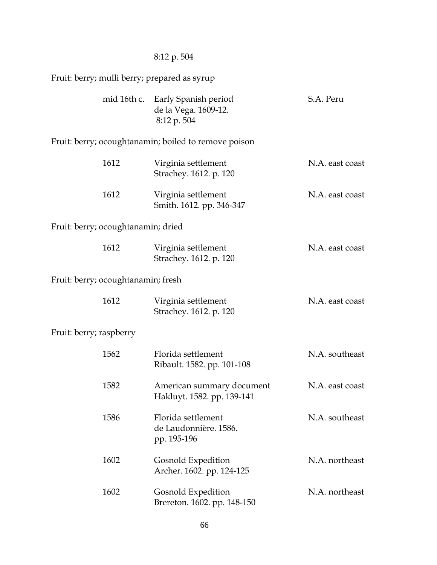#### 8:12 p. 504

Fruit: berry; mulli berry; prepared as syrup

|                                    | mid 16th c. Early Spanish period<br>de la Vega. 1609-12.<br>8:12 p. 504 | S.A. Peru       |
|------------------------------------|-------------------------------------------------------------------------|-----------------|
|                                    | Fruit: berry; ocoughtanamin; boiled to remove poison                    |                 |
| 1612                               | Virginia settlement<br>Strachey. 1612. p. 120                           | N.A. east coast |
| 1612                               | Virginia settlement<br>Smith. 1612. pp. 346-347                         | N.A. east coast |
| Fruit: berry; ocoughtanamin; dried |                                                                         |                 |
| 1612                               | Virginia settlement<br>Strachey. 1612. p. 120                           | N.A. east coast |
| Fruit: berry; ocoughtanamin; fresh |                                                                         |                 |
| 1612                               | Virginia settlement<br>Strachey. 1612. p. 120                           | N.A. east coast |
| Fruit: berry; raspberry            |                                                                         |                 |
| 1562                               | Florida settlement<br>Ribault. 1582. pp. 101-108                        | N.A. southeast  |
| 1582                               | American summary document<br>Hakluyt. 1582. pp. 139-141                 | N.A. east coast |
| 1586                               | Florida settlement<br>de Laudonnière. 1586.<br>pp. 195-196              | N.A. southeast  |
| 1602                               | Gosnold Expedition                                                      | N.A. northeast  |

 1602 Gosnold Expedition N.A. northeast Brereton. 1602. pp. 148-150

Archer. 1602. pp. 124-125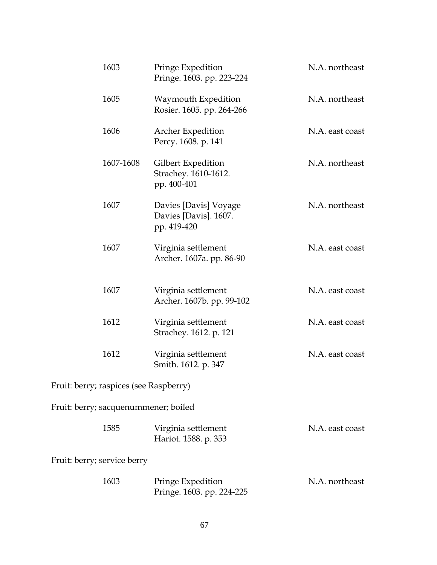| 1603                                   | Pringe Expedition<br>Pringe. 1603. pp. 223-224                | N.A. northeast  |
|----------------------------------------|---------------------------------------------------------------|-----------------|
| 1605                                   | Waymouth Expedition<br>Rosier. 1605. pp. 264-266              | N.A. northeast  |
| 1606                                   | Archer Expedition<br>Percy. 1608. p. 141                      | N.A. east coast |
| 1607-1608                              | Gilbert Expedition<br>Strachey. 1610-1612.<br>pp. 400-401     | N.A. northeast  |
| 1607                                   | Davies [Davis] Voyage<br>Davies [Davis]. 1607.<br>pp. 419-420 | N.A. northeast  |
| 1607                                   | Virginia settlement<br>Archer. 1607a. pp. 86-90               | N.A. east coast |
| 1607                                   | Virginia settlement<br>Archer. 1607b. pp. 99-102              | N.A. east coast |
| 1612                                   | Virginia settlement<br>Strachey. 1612. p. 121                 | N.A. east coast |
| 1612                                   | Virginia settlement<br>Smith. 1612. p. 347                    | N.A. east coast |
| Fruit: berry; raspices (see Raspberry) |                                                               |                 |
| Fruit: berry; sacquenummener; boiled   |                                                               |                 |
| 1585                                   | Virginia settlement<br>Hariot. 1588. p. 353                   | N.A. east coast |
| Fruit: berry; service berry            |                                                               |                 |
| 1603                                   | Pringe Expedition<br>Pringe. 1603. pp. 224-225                | N.A. northeast  |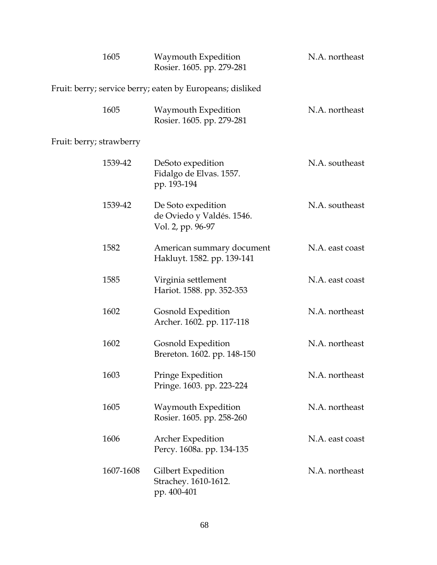| 1605                                                      |           | Waymouth Expedition<br>Rosier. 1605. pp. 279-281                     | N.A. northeast  |
|-----------------------------------------------------------|-----------|----------------------------------------------------------------------|-----------------|
| Fruit: berry; service berry; eaten by Europeans; disliked |           |                                                                      |                 |
| 1605                                                      |           | Waymouth Expedition<br>Rosier. 1605. pp. 279-281                     | N.A. northeast  |
| Fruit: berry; strawberry                                  |           |                                                                      |                 |
| 1539-42                                                   |           | DeSoto expedition<br>Fidalgo de Elvas. 1557.<br>pp. 193-194          | N.A. southeast  |
| 1539-42                                                   |           | De Soto expedition<br>de Oviedo y Valdés. 1546.<br>Vol. 2, pp. 96-97 | N.A. southeast  |
| 1582                                                      |           | American summary document<br>Hakluyt. 1582. pp. 139-141              | N.A. east coast |
| 1585                                                      |           | Virginia settlement<br>Hariot. 1588. pp. 352-353                     | N.A. east coast |
| 1602                                                      |           | Gosnold Expedition<br>Archer. 1602. pp. 117-118                      | N.A. northeast  |
| 1602                                                      |           | Gosnold Expedition<br>Brereton. 1602. pp. 148-150                    | N.A. northeast  |
| 1603                                                      |           | Pringe Expedition<br>Pringe. 1603. pp. 223-224                       | N.A. northeast  |
| 1605                                                      |           | Waymouth Expedition<br>Rosier. 1605. pp. 258-260                     | N.A. northeast  |
| 1606                                                      |           | Archer Expedition<br>Percy. 1608a. pp. 134-135                       | N.A. east coast |
|                                                           | 1607-1608 | Gilbert Expedition<br>Strachey. 1610-1612.<br>pp. 400-401            | N.A. northeast  |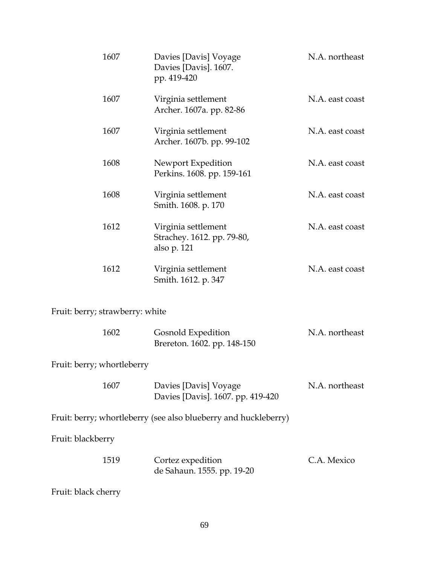| 1607                            | Davies [Davis] Voyage<br>Davies [Davis]. 1607.<br>pp. 419-420    | N.A. northeast  |
|---------------------------------|------------------------------------------------------------------|-----------------|
| 1607                            | Virginia settlement<br>Archer. 1607a. pp. 82-86                  | N.A. east coast |
| 1607                            | Virginia settlement<br>Archer. 1607b. pp. 99-102                 | N.A. east coast |
| 1608                            | Newport Expedition<br>Perkins. 1608. pp. 159-161                 | N.A. east coast |
| 1608                            | Virginia settlement<br>Smith. 1608. p. 170                       | N.A. east coast |
| 1612                            | Virginia settlement<br>Strachey. 1612. pp. 79-80,<br>also p. 121 | N.A. east coast |
| 1612                            | Virginia settlement<br>Smith. 1612. p. 347                       | N.A. east coast |
| Fruit: berry; strawberry: white |                                                                  |                 |
| 1602                            | Gosnold Expedition<br>Brereton. 1602. pp. 148-150                | N.A. northeast  |

Fruit: berry; whortleberry

| 1607 | Davies [Davis] Voyage             | N.A. northeast |
|------|-----------------------------------|----------------|
|      | Davies [Davis]. 1607. pp. 419-420 |                |

Fruit: berry; whortleberry (see also blueberry and huckleberry)

Fruit: blackberry

| 1519 | Cortez expedition          | C.A. Mexico |
|------|----------------------------|-------------|
|      | de Sahaun. 1555. pp. 19-20 |             |

Fruit: black cherry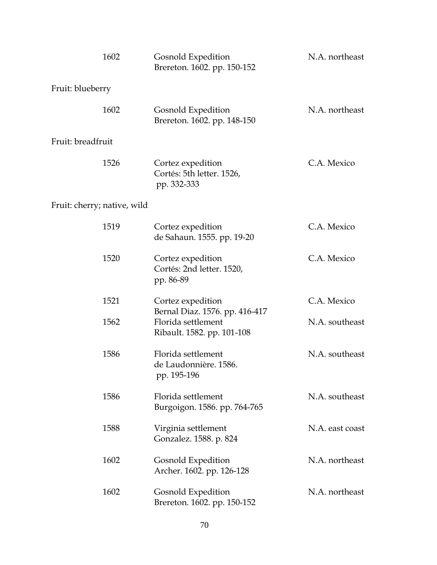|                             | 1602 | Gosnold Expedition<br>Brereton. 1602. pp. 150-152                                  | N.A. northeast  |
|-----------------------------|------|------------------------------------------------------------------------------------|-----------------|
| Fruit: blueberry            |      |                                                                                    |                 |
|                             | 1602 | Gosnold Expedition<br>Brereton. 1602. pp. 148-150                                  | N.A. northeast  |
| Fruit: breadfruit           |      |                                                                                    |                 |
|                             | 1526 | Cortez expedition<br>Cortés: 5th letter. 1526,<br>pp. 332-333                      | C.A. Mexico     |
| Fruit: cherry; native, wild |      |                                                                                    |                 |
|                             | 1519 | Cortez expedition<br>de Sahaun. 1555. pp. 19-20                                    | C.A. Mexico     |
|                             | 1520 | Cortez expedition<br>Cortés: 2nd letter. 1520,<br>pp. 86-89                        | C.A. Mexico     |
|                             | 1521 | Cortez expedition                                                                  | C.A. Mexico     |
|                             | 1562 | Bernal Diaz. 1576. pp. 416-417<br>Florida settlement<br>Ribault. 1582. pp. 101-108 | N.A. southeast  |
|                             | 1586 | Florida settlement<br>de Laudonnière. 1586.<br>pp. 195-196                         | N.A. southeast  |
|                             | 1586 | Florida settlement<br>Burgoigon. 1586. pp. 764-765                                 | N.A. southeast  |
|                             | 1588 | Virginia settlement<br>Gonzalez. 1588. p. 824                                      | N.A. east coast |
|                             | 1602 | Gosnold Expedition<br>Archer. 1602. pp. 126-128                                    | N.A. northeast  |
|                             | 1602 | Gosnold Expedition<br>Brereton. 1602. pp. 150-152                                  | N.A. northeast  |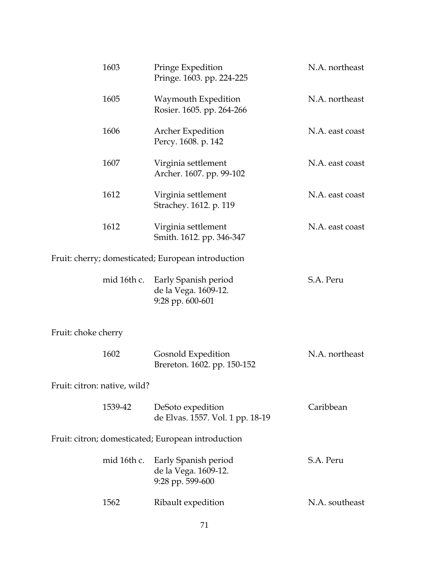|                                                    | 1603        | Pringe Expedition<br>Pringe. 1603. pp. 224-225                   | N.A. northeast  |
|----------------------------------------------------|-------------|------------------------------------------------------------------|-----------------|
|                                                    | 1605        | Waymouth Expedition<br>Rosier. 1605. pp. 264-266                 | N.A. northeast  |
|                                                    | 1606        | Archer Expedition<br>Percy. 1608. p. 142                         | N.A. east coast |
|                                                    | 1607        | Virginia settlement<br>Archer. 1607. pp. 99-102                  | N.A. east coast |
|                                                    | 1612        | Virginia settlement<br>Strachey. 1612. p. 119                    | N.A. east coast |
|                                                    | 1612        | Virginia settlement<br>Smith. 1612. pp. 346-347                  | N.A. east coast |
|                                                    |             | Fruit: cherry; domesticated; European introduction               |                 |
|                                                    | mid 16th c. | Early Spanish period<br>de la Vega. 1609-12.<br>9:28 pp. 600-601 | S.A. Peru       |
| Fruit: choke cherry                                |             |                                                                  |                 |
|                                                    | 1602        | Gosnold Expedition<br>Brereton. 1602. pp. 150-152                | N.A. northeast  |
| Fruit: citron: native, wild?                       |             |                                                                  |                 |
|                                                    | 1539-42     | DeSoto expedition<br>de Elvas. 1557. Vol. 1 pp. 18-19            | Caribbean       |
| Fruit: citron; domesticated; European introduction |             |                                                                  |                 |
|                                                    | mid 16th c. | Early Spanish period<br>de la Vega. 1609-12.<br>9:28 pp. 599-600 | S.A. Peru       |
|                                                    | 1562        | Ribault expedition                                               | N.A. southeast  |
|                                                    |             |                                                                  |                 |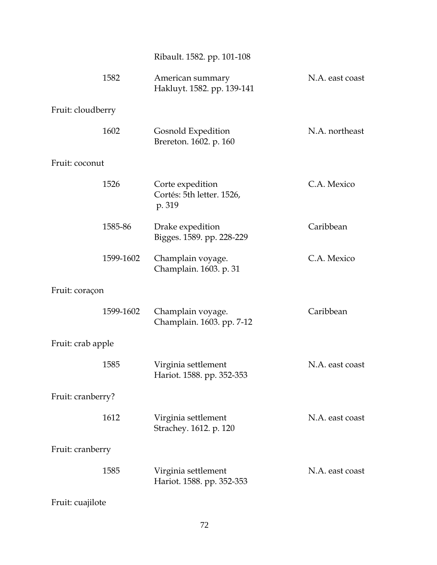# Ribault. 1582. pp. 101-108

|                   | 1582      | American summary<br>Hakluyt. 1582. pp. 139-141          | N.A. east coast |
|-------------------|-----------|---------------------------------------------------------|-----------------|
| Fruit: cloudberry |           |                                                         |                 |
|                   | 1602      | Gosnold Expedition<br>Brereton. 1602. p. 160            | N.A. northeast  |
| Fruit: coconut    |           |                                                         |                 |
|                   | 1526      | Corte expedition<br>Cortés: 5th letter. 1526,<br>p. 319 | C.A. Mexico     |
|                   | 1585-86   | Drake expedition<br>Bigges. 1589. pp. 228-229           | Caribbean       |
|                   | 1599-1602 | Champlain voyage.<br>Champlain. 1603. p. 31             | C.A. Mexico     |
| Fruit: coraçon    |           |                                                         |                 |
|                   | 1599-1602 | Champlain voyage.<br>Champlain. 1603. pp. 7-12          | Caribbean       |
| Fruit: crab apple |           |                                                         |                 |
|                   | 1585      | Virginia settlement<br>Hariot. 1588. pp. 352-353        | N.A. east coast |
| Fruit: cranberry? |           |                                                         |                 |
|                   | 1612      | Virginia settlement<br>Strachey. 1612. p. 120           | N.A. east coast |
| Fruit: cranberry  |           |                                                         |                 |
|                   | 1585      | Virginia settlement<br>Hariot. 1588. pp. 352-353        | N.A. east coast |
| Fruit: cuajilote  |           |                                                         |                 |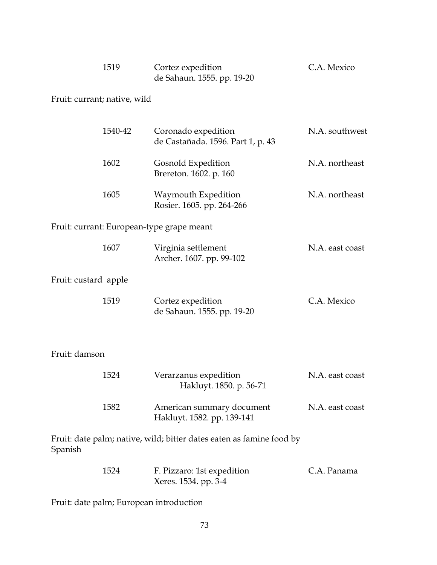| 1519 | Cortez expedition          | C.A. Mexico |
|------|----------------------------|-------------|
|      | de Sahaun. 1555. pp. 19-20 |             |

Fruit: currant; native, wild

|                      | 1540-42 | Coronado expedition<br>de Castañada. 1596. Part 1, p. 43             | N.A. southwest  |
|----------------------|---------|----------------------------------------------------------------------|-----------------|
|                      | 1602    | Gosnold Expedition<br>Brereton. 1602. p. 160                         | N.A. northeast  |
|                      | 1605    | Waymouth Expedition<br>Rosier. 1605. pp. 264-266                     | N.A. northeast  |
|                      |         | Fruit: currant: European-type grape meant                            |                 |
|                      | 1607    | Virginia settlement<br>Archer. 1607. pp. 99-102                      | N.A. east coast |
| Fruit: custard apple |         |                                                                      |                 |
|                      | 1519    | Cortez expedition<br>de Sahaun. 1555. pp. 19-20                      | C.A. Mexico     |
| Fruit: damson        |         |                                                                      |                 |
|                      | 1524    | Verarzanus expedition<br>Hakluyt. 1850. p. 56-71                     | N.A. east coast |
|                      | 1582    | American summary document<br>Hakluyt. 1582. pp. 139-141              | N.A. east coast |
| Spanish              |         | Fruit: date palm; native, wild; bitter dates eaten as famine food by |                 |

| 1524 | F. Pizzaro: 1st expedition | C.A. Panama |
|------|----------------------------|-------------|
|      | Xeres. 1534. pp. 3-4       |             |

Fruit: date palm; European introduction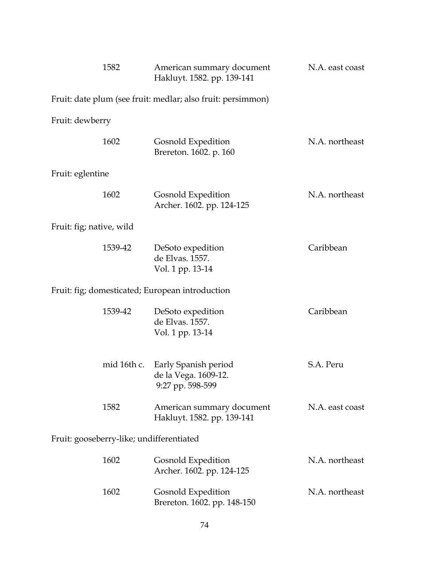| 1582                                            |             | American summary document<br>Hakluyt. 1582. pp. 139-141          | N.A. east coast |
|-------------------------------------------------|-------------|------------------------------------------------------------------|-----------------|
|                                                 |             | Fruit: date plum (see fruit: medlar; also fruit: persimmon)      |                 |
| Fruit: dewberry                                 |             |                                                                  |                 |
| 1602                                            |             | Gosnold Expedition<br>Brereton. 1602. p. 160                     | N.A. northeast  |
| Fruit: eglentine                                |             |                                                                  |                 |
| 1602                                            |             | Gosnold Expedition<br>Archer. 1602. pp. 124-125                  | N.A. northeast  |
| Fruit: fig; native, wild                        |             |                                                                  |                 |
| 1539-42                                         |             | DeSoto expedition<br>de Elvas. 1557.<br>Vol. 1 pp. 13-14         | Caribbean       |
| Fruit: fig; domesticated; European introduction |             |                                                                  |                 |
| 1539-42                                         |             | DeSoto expedition<br>de Elvas. 1557.<br>Vol. 1 pp. 13-14         | Caribbean       |
|                                                 | mid 16th c. | Early Spanish period<br>de la Vega. 1609-12.<br>9:27 pp. 598-599 | S.A. Peru       |
| 1582                                            |             | American summary document<br>Hakluyt. 1582. pp. 139-141          | N.A. east coast |
| Fruit: gooseberry-like; undifferentiated        |             |                                                                  |                 |
| 1602                                            |             | Gosnold Expedition<br>Archer. 1602. pp. 124-125                  | N.A. northeast  |
| 1602                                            |             | Gosnold Expedition<br>Brereton. 1602. pp. 148-150                | N.A. northeast  |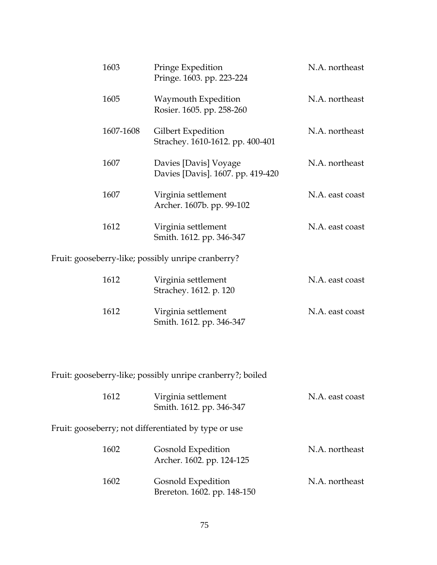| 1603                                               | Pringe Expedition<br>Pringe. 1603. pp. 223-224             | N.A. northeast  |  |
|----------------------------------------------------|------------------------------------------------------------|-----------------|--|
| 1605                                               | Waymouth Expedition<br>Rosier. 1605. pp. 258-260           | N.A. northeast  |  |
| 1607-1608                                          | Gilbert Expedition<br>Strachey. 1610-1612. pp. 400-401     | N.A. northeast  |  |
| 1607                                               | Davies [Davis] Voyage<br>Davies [Davis]. 1607. pp. 419-420 | N.A. northeast  |  |
| 1607                                               | Virginia settlement<br>Archer. 1607b. pp. 99-102           | N.A. east coast |  |
| 1612                                               | Virginia settlement<br>Smith. 1612. pp. 346-347            | N.A. east coast |  |
| Fruit: gooseberry-like; possibly unripe cranberry? |                                                            |                 |  |

| 1612 | Virginia settlement<br>Strachey. 1612. p. 120   | N.A. east coast |
|------|-------------------------------------------------|-----------------|
| 1612 | Virginia settlement<br>Smith. 1612. pp. 346-347 | N.A. east coast |

Fruit: gooseberry-like; possibly unripe cranberry?; boiled

| 1612 | Virginia settlement<br>Smith. 1612. pp. 346-347      | N.A. east coast |
|------|------------------------------------------------------|-----------------|
|      | Fruit: gooseberry; not differentiated by type or use |                 |
| 1602 | Gosnold Expedition<br>Archer. 1602. pp. 124-125      | N.A. northeast  |
| 1602 | Gosnold Expedition<br>Brereton. 1602. pp. 148-150    | N.A. northeast  |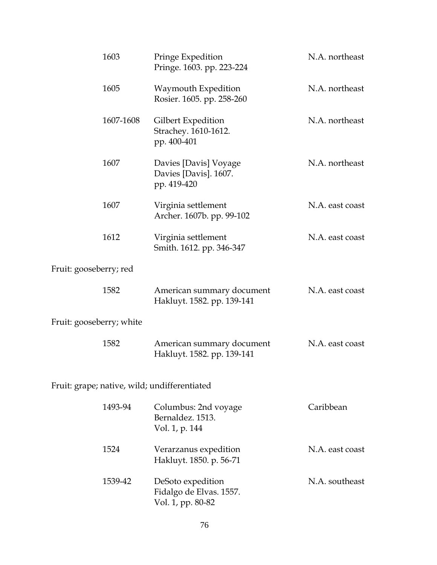|                          | 1603      | Pringe Expedition<br>Pringe. 1603. pp. 223-224                    | N.A. northeast  |
|--------------------------|-----------|-------------------------------------------------------------------|-----------------|
|                          | 1605      | Waymouth Expedition<br>Rosier. 1605. pp. 258-260                  | N.A. northeast  |
|                          | 1607-1608 | Gilbert Expedition<br>Strachey. 1610-1612.<br>pp. 400-401         | N.A. northeast  |
|                          | 1607      | Davies [Davis] Voyage<br>Davies [Davis]. 1607.<br>pp. 419-420     | N.A. northeast  |
|                          | 1607      | Virginia settlement<br>Archer. 1607b. pp. 99-102                  | N.A. east coast |
|                          | 1612      | Virginia settlement<br>Smith. 1612. pp. 346-347                   | N.A. east coast |
| Fruit: gooseberry; red   |           |                                                                   |                 |
|                          | 1582      | American summary document<br>Hakluyt. 1582. pp. 139-141           | N.A. east coast |
| Fruit: gooseberry; white |           |                                                                   |                 |
|                          | 1582      | American summary document<br>Hakluyt. 1582. pp. 139-141           | N.A. east coast |
|                          |           | Fruit: grape; native, wild; undifferentiated                      |                 |
|                          | 1493-94   | Columbus: 2nd voyage<br>Bernaldez. 1513.<br>Vol. 1, p. 144        | Caribbean       |
|                          | 1524      | Verarzanus expedition<br>Hakluyt. 1850. p. 56-71                  | N.A. east coast |
|                          | 1539-42   | DeSoto expedition<br>Fidalgo de Elvas. 1557.<br>Vol. 1, pp. 80-82 | N.A. southeast  |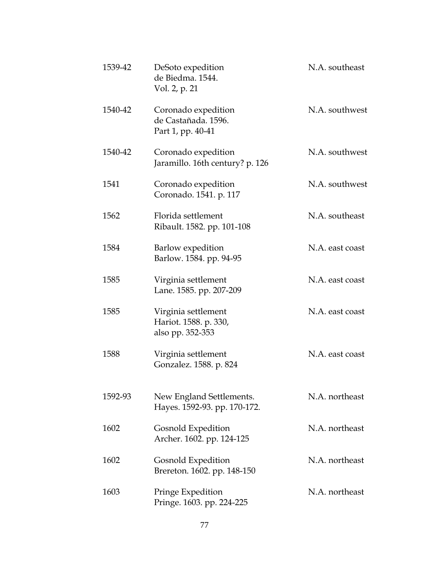| 1539-42 | DeSoto expedition<br>de Biedma. 1544.<br>Vol. 2, p. 21           | N.A. southeast  |
|---------|------------------------------------------------------------------|-----------------|
| 1540-42 | Coronado expedition<br>de Castañada. 1596.<br>Part 1, pp. 40-41  | N.A. southwest  |
| 1540-42 | Coronado expedition<br>Jaramillo. 16th century? p. 126           | N.A. southwest  |
| 1541    | Coronado expedition<br>Coronado. 1541. p. 117                    | N.A. southwest  |
| 1562    | Florida settlement<br>Ribault. 1582. pp. 101-108                 | N.A. southeast  |
| 1584    | Barlow expedition<br>Barlow. 1584. pp. 94-95                     | N.A. east coast |
| 1585    | Virginia settlement<br>Lane. 1585. pp. 207-209                   | N.A. east coast |
| 1585    | Virginia settlement<br>Hariot. 1588. p. 330,<br>also pp. 352-353 | N.A. east coast |
| 1588    | Virginia settlement<br>Gonzalez. 1588. p. 824                    | N.A. east coast |
| 1592-93 | New England Settlements.<br>Hayes. 1592-93. pp. 170-172.         | N.A. northeast  |
| 1602    | Gosnold Expedition<br>Archer. 1602. pp. 124-125                  | N.A. northeast  |
| 1602    | Gosnold Expedition<br>Brereton. 1602. pp. 148-150                | N.A. northeast  |
| 1603    | Pringe Expedition<br>Pringe. 1603. pp. 224-225                   | N.A. northeast  |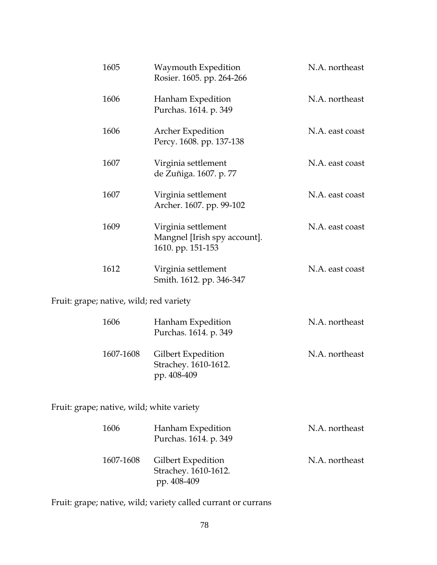| 1605 | Waymouth Expedition<br>Rosier. 1605. pp. 264-266                         | N.A. northeast  |
|------|--------------------------------------------------------------------------|-----------------|
| 1606 | Hanham Expedition<br>Purchas. 1614. p. 349                               | N.A. northeast  |
| 1606 | <b>Archer Expedition</b><br>Percy. 1608. pp. 137-138                     | N.A. east coast |
| 1607 | Virginia settlement<br>de Zuñiga. 1607. p. 77                            | N.A. east coast |
| 1607 | Virginia settlement<br>Archer. 1607. pp. 99-102                          | N.A. east coast |
| 1609 | Virginia settlement<br>Mangnel [Irish spy account].<br>1610. pp. 151-153 | N.A. east coast |
| 1612 | Virginia settlement<br>Smith. 1612. pp. 346-347                          | N.A. east coast |

Fruit: grape; native, wild; red variety

| 1606      | Hanham Expedition<br>Purchas. 1614. p. 349                | N.A. northeast |
|-----------|-----------------------------------------------------------|----------------|
| 1607-1608 | Gilbert Expedition<br>Strachey. 1610-1612.<br>pp. 408-409 | N.A. northeast |

Fruit: grape; native, wild; white variety

| 1606      | Hanham Expedition<br>Purchas. 1614. p. 349 | N.A. northeast |
|-----------|--------------------------------------------|----------------|
| 1607-1608 | Gilbert Expedition<br>Strachey. 1610-1612. | N.A. northeast |
|           | pp. 408-409                                |                |

Fruit: grape; native, wild; variety called currant or currans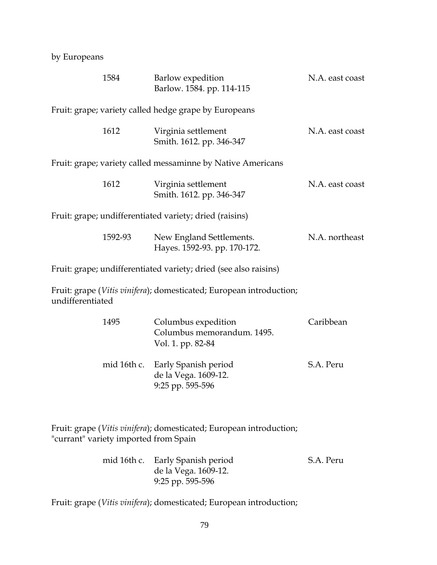by Europeans

|                  | 1584                                  | Barlow expedition<br>Barlow. 1584. pp. 114-115                         | N.A. east coast |
|------------------|---------------------------------------|------------------------------------------------------------------------|-----------------|
|                  |                                       | Fruit: grape; variety called hedge grape by Europeans                  |                 |
|                  | 1612                                  | Virginia settlement<br>Smith. 1612. pp. 346-347                        | N.A. east coast |
|                  |                                       | Fruit: grape; variety called messaminne by Native Americans            |                 |
|                  | 1612                                  | Virginia settlement<br>Smith. 1612. pp. 346-347                        | N.A. east coast |
|                  |                                       | Fruit: grape; undifferentiated variety; dried (raisins)                |                 |
|                  | 1592-93                               | New England Settlements.<br>Hayes. 1592-93. pp. 170-172.               | N.A. northeast  |
|                  |                                       | Fruit: grape; undifferentiated variety; dried (see also raisins)       |                 |
| undifferentiated |                                       | Fruit: grape (Vitis vinifera); domesticated; European introduction;    |                 |
|                  | 1495                                  | Columbus expedition<br>Columbus memorandum. 1495.<br>Vol. 1. pp. 82-84 | Caribbean       |
|                  | mid 16th c.                           | Early Spanish period<br>de la Vega. 1609-12.<br>9:25 pp. 595-596       | S.A. Peru       |
|                  | "currant" variety imported from Spain | Fruit: grape (Vitis vinifera); domesticated; European introduction;    |                 |
|                  |                                       |                                                                        | D               |

| mid 16th c. Early Spanish period | S.A. Peru |
|----------------------------------|-----------|
| de la Vega. 1609-12.             |           |
| $9:25$ pp. 595-596               |           |

Fruit: grape (*Vitis vinifera*); domesticated; European introduction;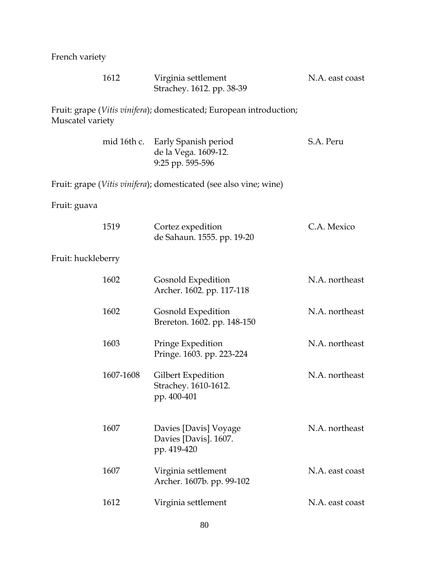French variety

|                    | 1612        | Virginia settlement<br>Strachey. 1612. pp. 38-39                           | N.A. east coast |
|--------------------|-------------|----------------------------------------------------------------------------|-----------------|
| Muscatel variety   |             | Fruit: grape (Vitis vinifera); domesticated; European introduction;        |                 |
|                    | mid 16th c. | Early Spanish period<br>de la Vega. 1609-12.<br>9:25 pp. 595-596           | S.A. Peru       |
|                    |             | Fruit: grape ( <i>Vitis vinifera</i> ); domesticated (see also vine; wine) |                 |
| Fruit: guava       |             |                                                                            |                 |
|                    | 1519        | Cortez expedition<br>de Sahaun. 1555. pp. 19-20                            | C.A. Mexico     |
| Fruit: huckleberry |             |                                                                            |                 |
|                    | 1602        | Gosnold Expedition<br>Archer. 1602. pp. 117-118                            | N.A. northeast  |
|                    | 1602        | Gosnold Expedition<br>Brereton. 1602. pp. 148-150                          | N.A. northeast  |
|                    | 1603        | Pringe Expedition<br>Pringe. 1603. pp. 223-224                             | N.A. northeast  |
|                    | 1607-1608   | Gilbert Expedition<br>Strachey. 1610-1612.<br>pp. 400-401                  | N.A. northeast  |
|                    | 1607        | Davies [Davis] Voyage<br>Davies [Davis]. 1607.<br>pp. 419-420              | N.A. northeast  |
|                    | 1607        | Virginia settlement<br>Archer. 1607b. pp. 99-102                           | N.A. east coast |
|                    | 1612        | Virginia settlement                                                        | N.A. east coast |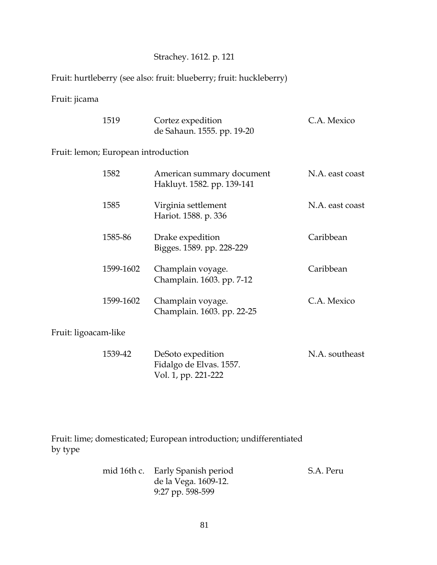### Strachey. 1612. p. 121

Fruit: hurtleberry (see also: fruit: blueberry; fruit: huckleberry)

### Fruit: jicama

| 1519 | Cortez expedition          | C.A. Mexico |
|------|----------------------------|-------------|
|      | de Sahaun. 1555. pp. 19-20 |             |

#### Fruit: lemon; European introduction

| 1582                 | American summary document<br>Hakluyt. 1582. pp. 139-141 | N.A. east coast |
|----------------------|---------------------------------------------------------|-----------------|
| 1585                 | Virginia settlement<br>Hariot. 1588. p. 336             | N.A. east coast |
| 1585-86              | Drake expedition<br>Bigges. 1589. pp. 228-229           | Caribbean       |
| 1599-1602            | Champlain voyage.<br>Champlain. 1603. pp. 7-12          | Caribbean       |
| 1599-1602            | Champlain voyage.<br>Champlain. 1603. pp. 22-25         | C.A. Mexico     |
| Fruit: ligoacam-like |                                                         |                 |

| 1539-42 | DeSoto expedition       | N.A. southeast |
|---------|-------------------------|----------------|
|         | Fidalgo de Elvas. 1557. |                |
|         | Vol. 1, pp. 221-222     |                |

Fruit: lime; domesticated; European introduction; undifferentiated by type

| mid 16th c. Early Spanish period | S.A. Peru |
|----------------------------------|-----------|
| de la Vega. 1609-12.             |           |
| 9:27 pp. 598-599                 |           |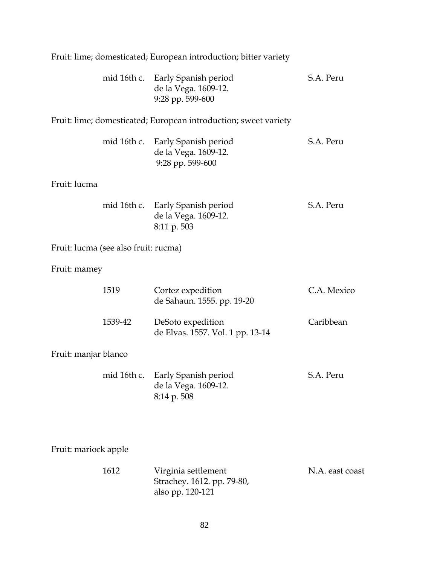|                      |                                      | mid 16th c. Early Spanish period<br>de la Vega. 1609-12.<br>9:28 pp. 599-600 | S.A. Peru       |
|----------------------|--------------------------------------|------------------------------------------------------------------------------|-----------------|
|                      |                                      | Fruit: lime; domesticated; European introduction; sweet variety              |                 |
|                      |                                      | mid 16th c. Early Spanish period<br>de la Vega. 1609-12.<br>9:28 pp. 599-600 | S.A. Peru       |
| Fruit: lucma         |                                      |                                                                              |                 |
|                      |                                      | mid 16th c. Early Spanish period<br>de la Vega. 1609-12.<br>8:11 p. 503      | S.A. Peru       |
|                      | Fruit: lucma (see also fruit: rucma) |                                                                              |                 |
| Fruit: mamey         |                                      |                                                                              |                 |
|                      | 1519                                 | Cortez expedition<br>de Sahaun. 1555. pp. 19-20                              | C.A. Mexico     |
|                      | 1539-42                              | DeSoto expedition<br>de Elvas. 1557. Vol. 1 pp. 13-14                        | Caribbean       |
| Fruit: manjar blanco |                                      |                                                                              |                 |
|                      | mid 16th c.                          | Early Spanish period<br>de la Vega. 1609-12.<br>8:14 p. 508                  | S.A. Peru       |
|                      |                                      |                                                                              |                 |
| Fruit: mariock apple |                                      |                                                                              |                 |
|                      | 1612                                 | Virginia settlement<br>Strachey. 1612. pp. 79-80,<br>also pp. 120-121        | N.A. east coast |

Fruit: lime; domesticated; European introduction; bitter variety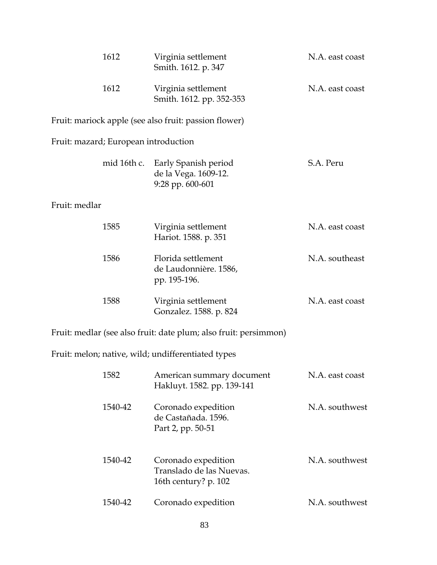|               | 1612                                 | Virginia settlement<br>Smith. 1612. p. 347                              | N.A. east coast |
|---------------|--------------------------------------|-------------------------------------------------------------------------|-----------------|
|               | 1612                                 | Virginia settlement<br>Smith. 1612. pp. 352-353                         | N.A. east coast |
|               |                                      | Fruit: mariock apple (see also fruit: passion flower)                   |                 |
|               | Fruit: mazard; European introduction |                                                                         |                 |
|               | mid 16th c.                          | Early Spanish period<br>de la Vega. 1609-12.<br>9:28 pp. 600-601        | S.A. Peru       |
| Fruit: medlar |                                      |                                                                         |                 |
|               | 1585                                 | Virginia settlement<br>Hariot. 1588. p. 351                             | N.A. east coast |
|               | 1586                                 | Florida settlement<br>de Laudonnière. 1586,<br>pp. 195-196.             | N.A. southeast  |
|               | 1588                                 | Virginia settlement<br>Gonzalez. 1588. p. 824                           | N.A. east coast |
|               |                                      | Fruit: medlar (see also fruit: date plum; also fruit: persimmon)        |                 |
|               |                                      | Fruit: melon; native, wild; undifferentiated types                      |                 |
|               | 1582                                 | American summary document<br>Hakluyt. 1582. pp. 139-141                 | N.A. east coast |
|               | 1540-42                              | Coronado expedition<br>de Castañada. 1596.<br>Part 2, pp. 50-51         | N.A. southwest  |
|               | 1540-42                              | Coronado expedition<br>Translado de las Nuevas.<br>16th century? p. 102 | N.A. southwest  |
|               | 1540-42                              | Coronado expedition                                                     | N.A. southwest  |
|               |                                      |                                                                         |                 |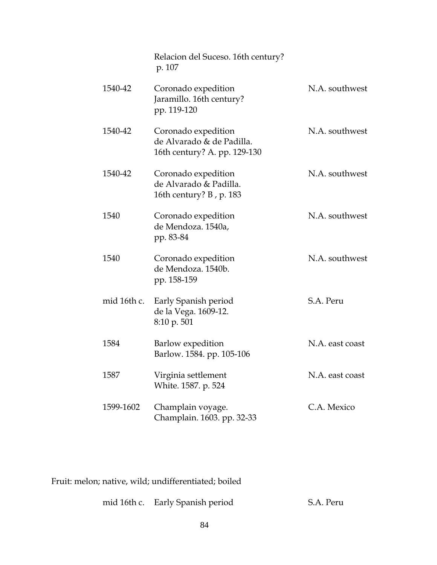|      |             | Relacion del Suceso. 16th century?<br>p. 107                                     |                 |
|------|-------------|----------------------------------------------------------------------------------|-----------------|
|      | 1540-42     | Coronado expedition<br>Jaramillo. 16th century?<br>pp. 119-120                   | N.A. southwest  |
|      | 1540-42     | Coronado expedition<br>de Alvarado & de Padilla.<br>16th century? A. pp. 129-130 | N.A. southwest  |
|      | 1540-42     | Coronado expedition<br>de Alvarado & Padilla.<br>16th century? B, p. 183         | N.A. southwest  |
| 1540 |             | Coronado expedition<br>de Mendoza. 1540a,<br>pp. 83-84                           | N.A. southwest  |
| 1540 |             | Coronado expedition<br>de Mendoza. 1540b.<br>pp. 158-159                         | N.A. southwest  |
|      | mid 16th c. | Early Spanish period<br>de la Vega. 1609-12.<br>8:10 p. 501                      | S.A. Peru       |
| 1584 |             | Barlow expedition<br>Barlow. 1584. pp. 105-106                                   | N.A. east coast |
| 1587 |             | Virginia settlement<br>White. 1587. p. 524                                       | N.A. east coast |
|      | 1599-1602   | Champlain voyage.<br>Champlain. 1603. pp. 32-33                                  | C.A. Mexico     |

Fruit: melon; native, wild; undifferentiated; boiled

| mid 16th c. | . Early Spanish period | S.A. Peru |
|-------------|------------------------|-----------|
|-------------|------------------------|-----------|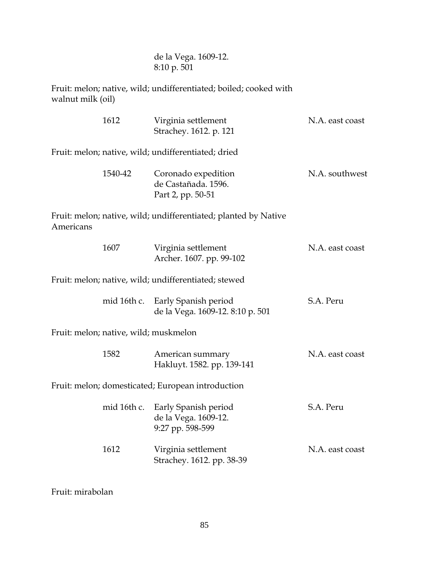de la Vega. 1609-12. 8:10 p. 501

Fruit: melon; native, wild; undifferentiated; boiled; cooked with walnut milk (oil)

|                                                      | 1612                                  | Virginia settlement<br>Strachey. 1612. p. 121                    | N.A. east coast |
|------------------------------------------------------|---------------------------------------|------------------------------------------------------------------|-----------------|
|                                                      |                                       | Fruit: melon; native, wild; undifferentiated; dried              |                 |
|                                                      | 1540-42                               | Coronado expedition<br>de Castañada. 1596.<br>Part 2, pp. 50-51  | N.A. southwest  |
| Americans                                            |                                       | Fruit: melon; native, wild; undifferentiated; planted by Native  |                 |
|                                                      | 1607                                  | Virginia settlement<br>Archer. 1607. pp. 99-102                  | N.A. east coast |
| Fruit: melon; native, wild; undifferentiated; stewed |                                       |                                                                  |                 |
|                                                      | mid 16th c.                           | Early Spanish period<br>de la Vega. 1609-12. 8:10 p. 501         | S.A. Peru       |
|                                                      | Fruit: melon; native, wild; muskmelon |                                                                  |                 |
|                                                      | 1582                                  | American summary<br>Hakluyt. 1582. pp. 139-141                   | N.A. east coast |
|                                                      |                                       | Fruit: melon; domesticated; European introduction                |                 |
|                                                      | mid 16th c.                           | Early Spanish period<br>de la Vega. 1609-12.<br>9:27 pp. 598-599 | S.A. Peru       |
|                                                      | 1612                                  | Virginia settlement<br>Strachey. 1612. pp. 38-39                 | N.A. east coast |

Fruit: mirabolan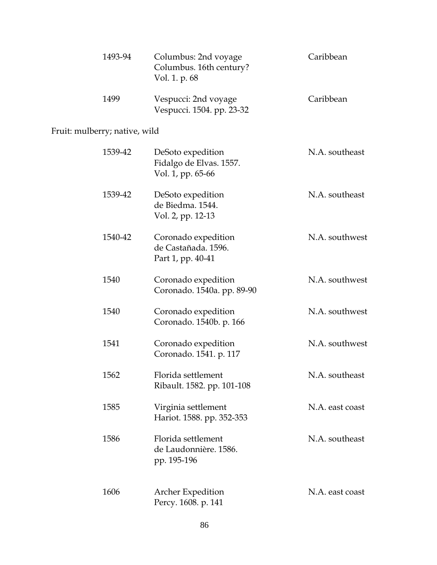| 1493-94 | Columbus: 2nd voyage<br>Columbus. 16th century?<br>Vol. 1. p. 68 | Caribbean |
|---------|------------------------------------------------------------------|-----------|
| 1499    | Vespucci: 2nd voyage<br>Vespucci. 1504. pp. 23-32                | Caribbean |

# Fruit: mulberry; native, wild

| 1539-42 | DeSoto expedition<br>Fidalgo de Elvas. 1557.<br>Vol. 1, pp. 65-66 | N.A. southeast  |
|---------|-------------------------------------------------------------------|-----------------|
| 1539-42 | DeSoto expedition<br>de Biedma. 1544.<br>Vol. 2, pp. 12-13        | N.A. southeast  |
| 1540-42 | Coronado expedition<br>de Castañada. 1596.<br>Part 1, pp. 40-41   | N.A. southwest  |
| 1540    | Coronado expedition<br>Coronado. 1540a. pp. 89-90                 | N.A. southwest  |
| 1540    | Coronado expedition<br>Coronado. 1540b. p. 166                    | N.A. southwest  |
| 1541    | Coronado expedition<br>Coronado. 1541. p. 117                     | N.A. southwest  |
| 1562    | Florida settlement<br>Ribault. 1582. pp. 101-108                  | N.A. southeast  |
| 1585    | Virginia settlement<br>Hariot. 1588. pp. 352-353                  | N.A. east coast |
| 1586    | Florida settlement<br>de Laudonnière. 1586.<br>pp. 195-196        | N.A. southeast  |
| 1606    | <b>Archer Expedition</b><br>Percy. 1608. p. 141                   | N.A. east coast |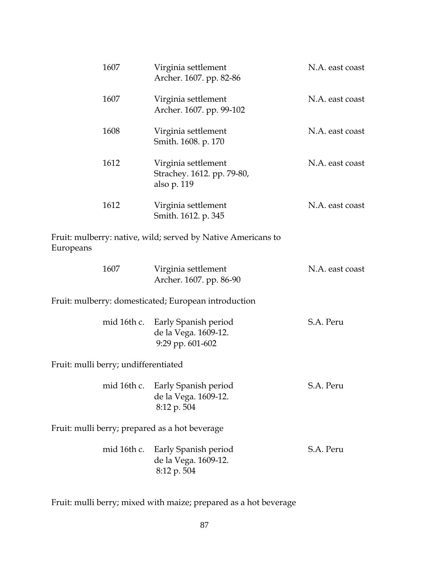| 1607                                           | Virginia settlement<br>Archer. 1607. pp. 82-86                          | N.A. east coast |
|------------------------------------------------|-------------------------------------------------------------------------|-----------------|
| 1607                                           | Virginia settlement<br>Archer. 1607. pp. 99-102                         | N.A. east coast |
| 1608                                           | Virginia settlement<br>Smith. 1608. p. 170                              | N.A. east coast |
| 1612                                           | Virginia settlement<br>Strachey. 1612. pp. 79-80,<br>also p. 119        | N.A. east coast |
| 1612                                           | Virginia settlement<br>Smith. 1612. p. 345                              | N.A. east coast |
| Europeans                                      | Fruit: mulberry: native, wild; served by Native Americans to            |                 |
| 1607                                           | Virginia settlement<br>Archer. 1607. pp. 86-90                          | N.A. east coast |
|                                                | Fruit: mulberry: domesticated; European introduction                    |                 |
| mid 16th c.                                    | Early Spanish period<br>de la Vega. 1609-12.<br>9:29 pp. 601-602        | S.A. Peru       |
| Fruit: mulli berry; undifferentiated           |                                                                         |                 |
|                                                | mid 16th c. Early Spanish period<br>de la Vega. 1609-12.<br>8:12 p. 504 | S.A. Peru       |
| Fruit: mulli berry; prepared as a hot beverage |                                                                         |                 |
| mid 16th c.                                    | Early Spanish period<br>de la Vega. 1609-12.<br>8:12 p. 504             | S.A. Peru       |

Fruit: mulli berry; mixed with maize; prepared as a hot beverage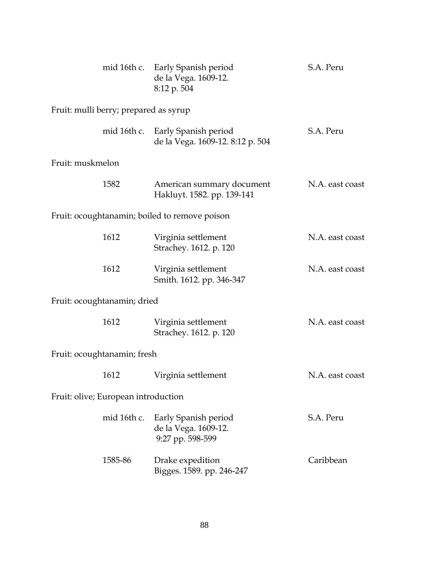|                                       | mid 16th c. Early Spanish period<br>de la Vega. 1609-12.<br>8:12 p. 504 | S.A. Peru       |  |  |
|---------------------------------------|-------------------------------------------------------------------------|-----------------|--|--|
| Fruit: mulli berry; prepared as syrup |                                                                         |                 |  |  |
|                                       | mid 16th c. Early Spanish period<br>de la Vega. 1609-12. 8:12 p. 504    | S.A. Peru       |  |  |
| Fruit: muskmelon                      |                                                                         |                 |  |  |
| 1582                                  | American summary document<br>Hakluyt. 1582. pp. 139-141                 | N.A. east coast |  |  |
|                                       | Fruit: ocoughtanamin; boiled to remove poison                           |                 |  |  |
| 1612                                  | Virginia settlement<br>Strachey. 1612. p. 120                           | N.A. east coast |  |  |
| 1612                                  | Virginia settlement<br>Smith. 1612. pp. 346-347                         | N.A. east coast |  |  |
| Fruit: ocoughtanamin; dried           |                                                                         |                 |  |  |
| 1612                                  | Virginia settlement<br>Strachey. 1612. p. 120                           | N.A. east coast |  |  |
| Fruit: ocoughtanamin; fresh           |                                                                         |                 |  |  |
| 1612                                  | Virginia settlement                                                     | N.A. east coast |  |  |
| Fruit: olive; European introduction   |                                                                         |                 |  |  |
| mid 16th c.                           | Early Spanish period<br>de la Vega. 1609-12.<br>9:27 pp. 598-599        | S.A. Peru       |  |  |
| 1585-86                               | Drake expedition<br>Bigges. 1589. pp. 246-247                           | Caribbean       |  |  |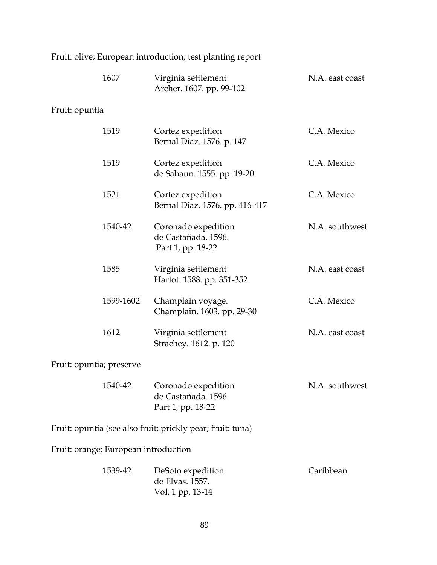|  | Fruit: olive; European introduction; test planting report |  |  |  |
|--|-----------------------------------------------------------|--|--|--|
|  |                                                           |  |  |  |

|                          | 1607                                 | Virginia settlement<br>Archer. 1607. pp. 99-102                 | N.A. east coast |
|--------------------------|--------------------------------------|-----------------------------------------------------------------|-----------------|
| Fruit: opuntia           |                                      |                                                                 |                 |
|                          | 1519                                 | Cortez expedition<br>Bernal Diaz. 1576. p. 147                  | C.A. Mexico     |
|                          | 1519                                 | Cortez expedition<br>de Sahaun. 1555. pp. 19-20                 | C.A. Mexico     |
|                          | 1521                                 | Cortez expedition<br>Bernal Diaz. 1576. pp. 416-417             | C.A. Mexico     |
|                          | 1540-42                              | Coronado expedition<br>de Castañada. 1596.<br>Part 1, pp. 18-22 | N.A. southwest  |
|                          | 1585                                 | Virginia settlement<br>Hariot. 1588. pp. 351-352                | N.A. east coast |
|                          | 1599-1602                            | Champlain voyage.<br>Champlain. 1603. pp. 29-30                 | C.A. Mexico     |
|                          | 1612                                 | Virginia settlement<br>Strachey. 1612. p. 120                   | N.A. east coast |
| Fruit: opuntia; preserve |                                      |                                                                 |                 |
|                          | 1540-42                              | Coronado expedition<br>de Castañada. 1596.<br>Part 1, pp. 18-22 | N.A. southwest  |
|                          |                                      | Fruit: opuntia (see also fruit: prickly pear; fruit: tuna)      |                 |
|                          | Fruit: orange; European introduction |                                                                 |                 |
|                          | 1539-42                              | DeSoto expedition<br>de Elvas. 1557.<br>Vol. 1 pp. 13-14        | Caribbean       |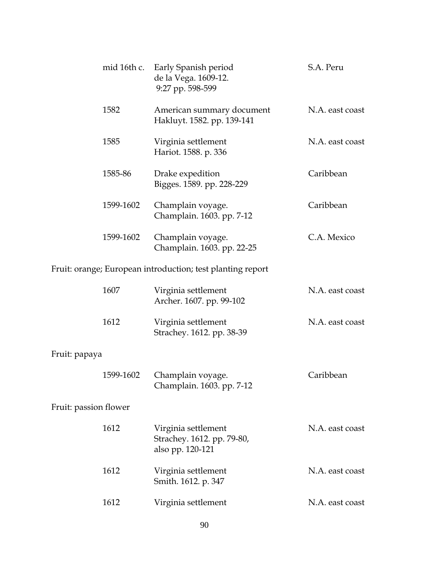|                       | mid 16th c. | Early Spanish period<br>de la Vega. 1609-12.<br>9:27 pp. 598-599      | S.A. Peru       |
|-----------------------|-------------|-----------------------------------------------------------------------|-----------------|
|                       | 1582        | American summary document<br>Hakluyt. 1582. pp. 139-141               | N.A. east coast |
|                       | 1585        | Virginia settlement<br>Hariot. 1588. p. 336                           | N.A. east coast |
|                       | 1585-86     | Drake expedition<br>Bigges. 1589. pp. 228-229                         | Caribbean       |
|                       | 1599-1602   | Champlain voyage.<br>Champlain. 1603. pp. 7-12                        | Caribbean       |
|                       | 1599-1602   | Champlain voyage.<br>Champlain. 1603. pp. 22-25                       | C.A. Mexico     |
|                       |             | Fruit: orange; European introduction; test planting report            |                 |
|                       | 1607        | Virginia settlement<br>Archer. 1607. pp. 99-102                       | N.A. east coast |
|                       | 1612        | Virginia settlement<br>Strachey. 1612. pp. 38-39                      | N.A. east coast |
| Fruit: papaya         |             |                                                                       |                 |
|                       | 1599-1602   | Champlain voyage.<br>Champlain. 1603. pp. 7-12                        | Caribbean       |
| Fruit: passion flower |             |                                                                       |                 |
|                       | 1612        | Virginia settlement<br>Strachey. 1612. pp. 79-80,<br>also pp. 120-121 | N.A. east coast |
|                       | 1612        | Virginia settlement<br>Smith. 1612. p. 347                            | N.A. east coast |
|                       | 1612        | Virginia settlement                                                   | N.A. east coast |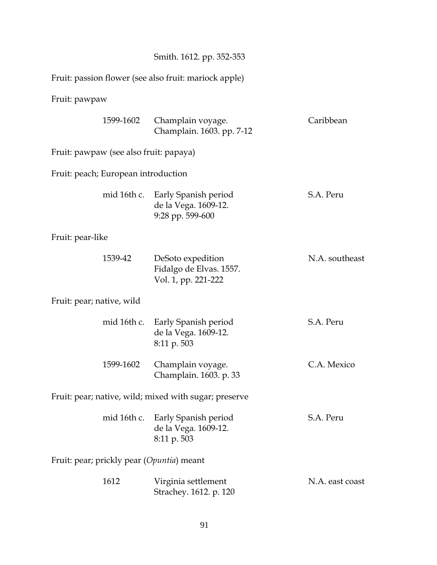|                                                       |                                                                         | Smith. 1612. pp. 352-353  |                 |
|-------------------------------------------------------|-------------------------------------------------------------------------|---------------------------|-----------------|
| Fruit: passion flower (see also fruit: mariock apple) |                                                                         |                           |                 |
| Fruit: pawpaw                                         |                                                                         |                           |                 |
| 1599-1602                                             | Champlain voyage.                                                       | Champlain. 1603. pp. 7-12 | Caribbean       |
| Fruit: pawpaw (see also fruit: papaya)                |                                                                         |                           |                 |
| Fruit: peach; European introduction                   |                                                                         |                           |                 |
| mid 16th c.                                           | Early Spanish period<br>de la Vega. 1609-12.<br>9:28 pp. 599-600        |                           | S.A. Peru       |
| Fruit: pear-like                                      |                                                                         |                           |                 |
| 1539-42                                               | DeSoto expedition<br>Fidalgo de Elvas. 1557.<br>Vol. 1, pp. 221-222     |                           | N.A. southeast  |
| Fruit: pear; native, wild                             |                                                                         |                           |                 |
| mid 16th c.                                           | Early Spanish period<br>de la Vega. 1609-12.<br>8:11 p. 503             |                           | S.A. Peru       |
| 1599-1602                                             | Champlain voyage.<br>Champlain. 1603. p. 33                             |                           | C.A. Mexico     |
| Fruit: pear; native, wild; mixed with sugar; preserve |                                                                         |                           |                 |
|                                                       | mid 16th c. Early Spanish period<br>de la Vega. 1609-12.<br>8:11 p. 503 |                           | S.A. Peru       |
| Fruit: pear; prickly pear (Opuntia) meant             |                                                                         |                           |                 |
| 1612                                                  | Virginia settlement<br>Strachey. 1612. p. 120                           |                           | N.A. east coast |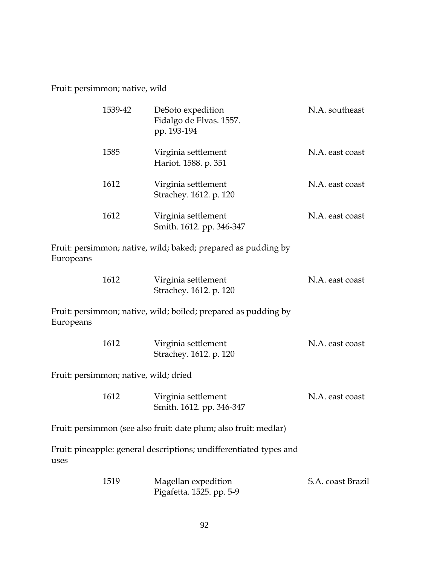Fruit: persimmon; native, wild

| 1539-42 | DeSoto expedition<br>Fidalgo de Elvas. 1557.<br>pp. 193-194 | N.A. southeast  |
|---------|-------------------------------------------------------------|-----------------|
| 1585    | Virginia settlement<br>Hariot. 1588. p. 351                 | N.A. east coast |
| 1612    | Virginia settlement<br>Strachey. 1612. p. 120               | N.A. east coast |
| 1612    | Virginia settlement<br>Smith. 1612. pp. 346-347             | N.A. east coast |

Fruit: persimmon; native, wild; baked; prepared as pudding by Europeans

| 1612 | Virginia settlement    | N.A. east coast |
|------|------------------------|-----------------|
|      | Strachey. 1612. p. 120 |                 |

Fruit: persimmon; native, wild; boiled; prepared as pudding by Europeans

| 1612 | Virginia settlement    | N.A. east coast |
|------|------------------------|-----------------|
|      | Strachey. 1612. p. 120 |                 |

Fruit: persimmon; native, wild; dried

| 1612 | Virginia settlement      | N.A. east coast |
|------|--------------------------|-----------------|
|      | Smith. 1612. pp. 346-347 |                 |

Fruit: persimmon (see also fruit: date plum; also fruit: medlar)

Fruit: pineapple: general descriptions; undifferentiated types and uses

| 1519 | Magellan expedition      | S.A. coast Brazil |
|------|--------------------------|-------------------|
|      | Pigafetta. 1525. pp. 5-9 |                   |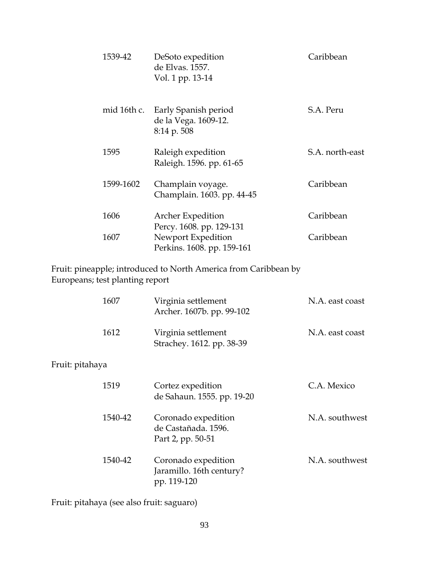| 1539-42 | DeSoto expedition<br>de Elvas. 1557.<br>Vol. 1 pp. 13-14 |                                                  | Caribbean       |
|---------|----------------------------------------------------------|--------------------------------------------------|-----------------|
|         | mid 16th c.<br>8:14 p. 508                               | Early Spanish period<br>de la Vega. 1609-12.     | S.A. Peru       |
| 1595    | Raleigh expedition                                       | Raleigh. 1596. pp. 61-65                         | S.A. north-east |
|         | 1599-1602                                                | Champlain voyage.<br>Champlain. 1603. pp. 44-45  | Caribbean       |
| 1606    | Archer Expedition                                        | Percy. 1608. pp. 129-131                         | Caribbean       |
| 1607    |                                                          | Newport Expedition<br>Perkins. 1608. pp. 159-161 | Caribbean       |

Fruit: pineapple; introduced to North America from Caribbean by Europeans; test planting report

|                 | 1607    | Virginia settlement<br>Archer. 1607b. pp. 99-102                | N.A. east coast |
|-----------------|---------|-----------------------------------------------------------------|-----------------|
|                 | 1612    | Virginia settlement<br>Strachey. 1612. pp. 38-39                | N.A. east coast |
| Fruit: pitahaya |         |                                                                 |                 |
|                 | 1519    | Cortez expedition<br>de Sahaun. 1555. pp. 19-20                 | C.A. Mexico     |
|                 | 1540-42 | Coronado expedition<br>de Castañada, 1596.<br>Part 2, pp. 50-51 | N.A. southwest  |
|                 | 1540-42 | Coronado expedition<br>Jaramillo. 16th century?<br>pp. 119-120  | N.A. southwest  |

Fruit: pitahaya (see also fruit: saguaro)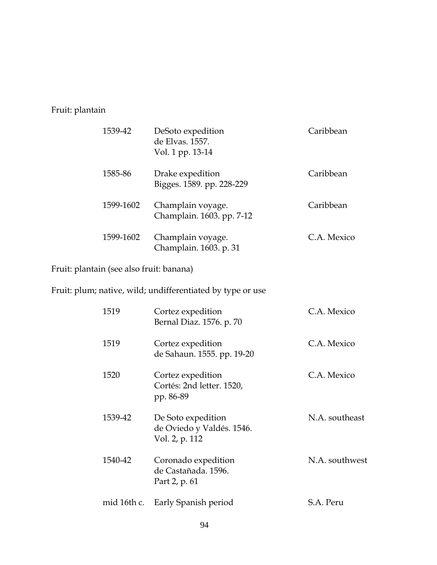Fruit: plantain

| 1539-42   | DeSoto expedition<br>de Elvas. 1557.<br>Vol. 1 pp. 13-14 | Caribbean   |
|-----------|----------------------------------------------------------|-------------|
| 1585-86   | Drake expedition<br>Bigges. 1589. pp. 228-229            | Caribbean   |
| 1599-1602 | Champlain voyage.<br>Champlain. 1603. pp. 7-12           | Caribbean   |
| 1599-1602 | Champlain voyage.<br>Champlain. 1603. p. 31              | C.A. Mexico |

Fruit: plantain (see also fruit: banana)

Fruit: plum; native, wild; undifferentiated by type or use

| 1519        | Cortez expedition<br>Bernal Diaz. 1576. p. 70                     | C.A. Mexico    |
|-------------|-------------------------------------------------------------------|----------------|
| 1519        | Cortez expedition<br>de Sahaun. 1555. pp. 19-20                   | C.A. Mexico    |
| 1520        | Cortez expedition<br>Cortés: 2nd letter. 1520,<br>pp. 86-89       | C.A. Mexico    |
| 1539-42     | De Soto expedition<br>de Oviedo y Valdés. 1546.<br>Vol. 2, p. 112 | N.A. southeast |
| 1540-42     | Coronado expedition<br>de Castañada. 1596.<br>Part 2, p. 61       | N.A. southwest |
| mid 16th c. | Early Spanish period                                              | S.A. Peru      |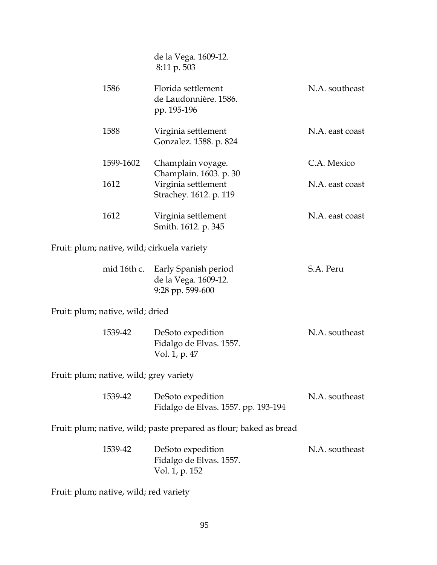de la Vega. 1609-12. 8:11 p. 503

| 1586      | Florida settlement<br>de Laudonnière. 1586.<br>pp. 195-196 | N.A. southeast  |
|-----------|------------------------------------------------------------|-----------------|
| 1588      | Virginia settlement<br>Gonzalez. 1588. p. 824              | N.A. east coast |
| 1599-1602 | Champlain voyage.<br>Champlain. 1603. p. 30                | C.A. Mexico     |
| 1612      | Virginia settlement<br>Strachey. 1612. p. 119              | N.A. east coast |
| 1612      | Virginia settlement<br>Smith. 1612. p. 345                 | N.A. east coast |

Fruit: plum; native, wild; cirkuela variety

| mid 16th c. Early Spanish period | S.A. Peru |
|----------------------------------|-----------|
| de la Vega. 1609-12.             |           |
| $9:28$ pp. 599-600               |           |

Fruit: plum; native, wild; dried

| 1539-42 | DeSoto expedition       | N.A. southeast |
|---------|-------------------------|----------------|
|         | Fidalgo de Elvas. 1557. |                |
|         | Vol. 1, p. 47           |                |

Fruit: plum; native, wild; grey variety

| 1539-42 | DeSoto expedition                   | N.A. southeast |
|---------|-------------------------------------|----------------|
|         | Fidalgo de Elvas. 1557. pp. 193-194 |                |

Fruit: plum; native, wild; paste prepared as flour; baked as bread

| 1539-42 | DeSoto expedition       | N.A. southeast |
|---------|-------------------------|----------------|
|         | Fidalgo de Elvas. 1557. |                |
|         | Vol. 1, p. 152          |                |

Fruit: plum; native, wild; red variety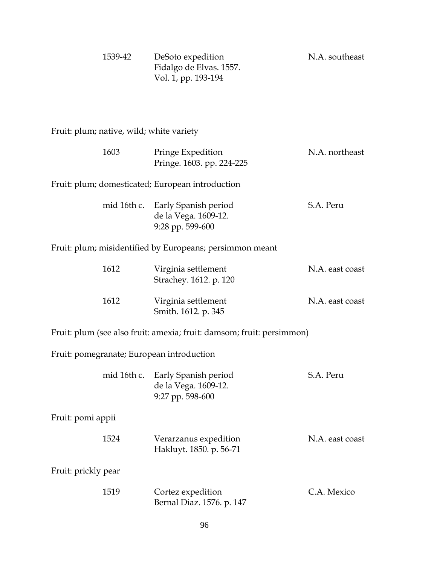| 1539-42 | DeSoto expedition       | N.A. southeast |
|---------|-------------------------|----------------|
|         | Fidalgo de Elvas. 1557. |                |
|         | Vol. 1, pp. 193-194     |                |

Fruit: plum; native, wild; white variety

| Pringe Expedition<br>Pringe. 1603. pp. 224-225                                  | N.A. northeast  |
|---------------------------------------------------------------------------------|-----------------|
| Fruit: plum; domesticated; European introduction                                |                 |
| mid 16th c.<br>Early Spanish period<br>de la Vega. 1609-12.<br>9:28 pp. 599-600 | S.A. Peru       |
| Fruit: plum; misidentified by Europeans; persimmon meant                        |                 |
| Virginia settlement<br>Strachey. 1612. p. 120                                   | N.A. east coast |
| Virginia settlement<br>Smith. 1612. p. 345                                      | N.A. east coast |
| Fruit: plum (see also fruit: amexia; fruit: damsom; fruit: persimmon)           |                 |
| Fruit: pomegranate; European introduction                                       |                 |
| mid 16th c.<br>Early Spanish period<br>de la Vega. 1609-12.<br>9:27 pp. 598-600 | S.A. Peru       |
|                                                                                 |                 |
| Verarzanus expedition<br>Hakluyt. 1850. p. 56-71                                | N.A. east coast |
|                                                                                 |                 |
| Cortez expedition<br>Bernal Diaz. 1576. p. 147                                  | C.A. Mexico     |
|                                                                                 |                 |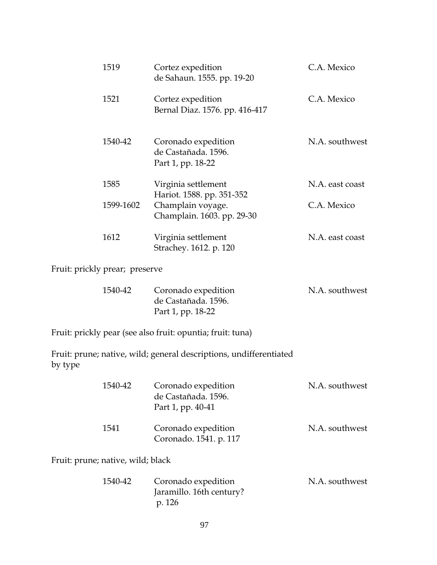| 1519      | Cortez expedition<br>de Sahaun. 1555. pp. 19-20                 | C.A. Mexico     |
|-----------|-----------------------------------------------------------------|-----------------|
| 1521      | Cortez expedition<br>Bernal Diaz. 1576. pp. 416-417             | C.A. Mexico     |
| 1540-42   | Coronado expedition<br>de Castañada. 1596.<br>Part 1, pp. 18-22 | N.A. southwest  |
| 1585      | Virginia settlement<br>Hariot. 1588. pp. 351-352                | N.A. east coast |
| 1599-1602 | Champlain voyage.<br>Champlain. 1603. pp. 29-30                 | C.A. Mexico     |
| 1612      | Virginia settlement<br>Strachey. 1612. p. 120                   | N.A. east coast |
|           |                                                                 |                 |

Fruit: prickly prear; preserve

| 1540-42 | Coronado expedition | N.A. southwest |
|---------|---------------------|----------------|
|         | de Castañada. 1596. |                |
|         | Part 1, pp. 18-22   |                |

Fruit: prickly pear (see also fruit: opuntia; fruit: tuna)

Fruit: prune; native, wild; general descriptions, undifferentiated by type

| 1540-42 | Coronado expedition<br>de Castañada. 1596.<br>Part 1, pp. 40-41 | N.A. southwest |
|---------|-----------------------------------------------------------------|----------------|
| 1541    | Coronado expedition<br>Coronado. 1541. p. 117                   | N.A. southwest |

Fruit: prune; native, wild; black

| 1540-42 | Coronado expedition      | N.A. southwest |
|---------|--------------------------|----------------|
|         | Jaramillo. 16th century? |                |
|         | p. 126                   |                |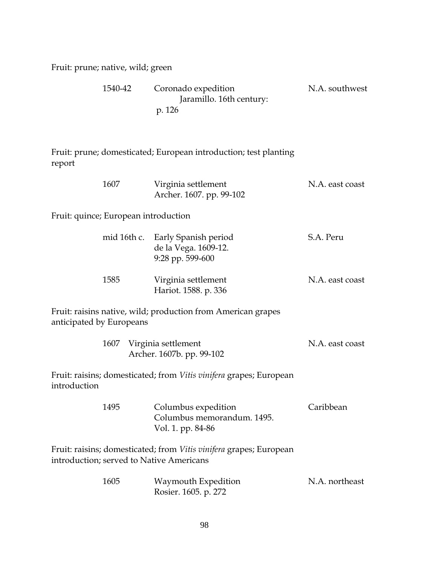Fruit: prune; native, wild; green

| 1540-42 | Coronado expedition      | N.A. southwest |
|---------|--------------------------|----------------|
|         | Jaramillo. 16th century: |                |
|         | p. 126                   |                |

Fruit: prune; domesticated; European introduction; test planting report

| 1607 | Virginia settlement      | N.A. east coast |
|------|--------------------------|-----------------|
|      | Archer. 1607. pp. 99-102 |                 |

Fruit: quince; European introduction

|      | mid 16th c. Early Spanish period<br>de la Vega. 1609-12.<br>$9:28$ pp. 599-600 | S.A. Peru       |
|------|--------------------------------------------------------------------------------|-----------------|
| 1585 | Virginia settlement<br>Hariot. 1588. p. 336                                    | N.A. east coast |

Fruit: raisins native, wild; production from American grapes anticipated by Europeans

| 1607 Virginia settlement  | N.A. east coast |
|---------------------------|-----------------|
| Archer. 1607b. pp. 99-102 |                 |

Fruit: raisins; domesticated; from *Vitis vinifera* grapes; European introduction

| 1495 | Columbus expedition        | Caribbean |
|------|----------------------------|-----------|
|      | Columbus memorandum, 1495. |           |
|      | Vol. 1. pp. 84-86          |           |

Fruit: raisins; domesticated; from *Vitis vinifera* grapes; European introduction; served to Native Americans

| 1605 | Waymouth Expedition  | N.A. northeast |
|------|----------------------|----------------|
|      | Rosier. 1605. p. 272 |                |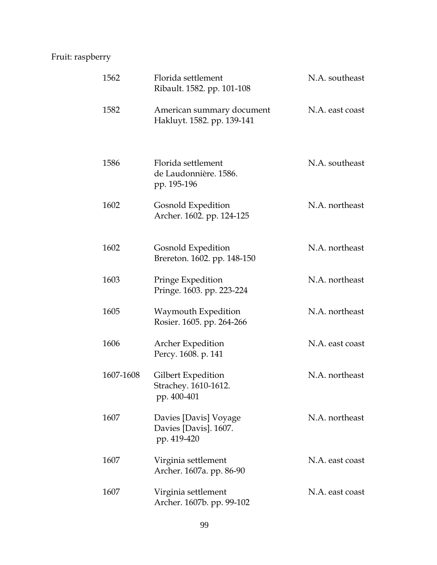# Fruit: raspberry

| 1562      | Florida settlement<br>Ribault. 1582. pp. 101-108              | N.A. southeast  |
|-----------|---------------------------------------------------------------|-----------------|
| 1582      | American summary document<br>Hakluyt. 1582. pp. 139-141       | N.A. east coast |
| 1586      | Florida settlement<br>de Laudonnière. 1586.<br>pp. 195-196    | N.A. southeast  |
| 1602      | Gosnold Expedition<br>Archer. 1602. pp. 124-125               | N.A. northeast  |
| 1602      | Gosnold Expedition<br>Brereton. 1602. pp. 148-150             | N.A. northeast  |
| 1603      | Pringe Expedition<br>Pringe. 1603. pp. 223-224                | N.A. northeast  |
| 1605      | Waymouth Expedition<br>Rosier. 1605. pp. 264-266              | N.A. northeast  |
| 1606      | Archer Expedition<br>Percy. 1608. p. 141                      | N.A. east coast |
| 1607-1608 | Gilbert Expedition<br>Strachey. 1610-1612.<br>pp. 400-401     | N.A. northeast  |
| 1607      | Davies [Davis] Voyage<br>Davies [Davis]. 1607.<br>pp. 419-420 | N.A. northeast  |
| 1607      | Virginia settlement<br>Archer. 1607a. pp. 86-90               | N.A. east coast |
| 1607      | Virginia settlement<br>Archer. 1607b. pp. 99-102              | N.A. east coast |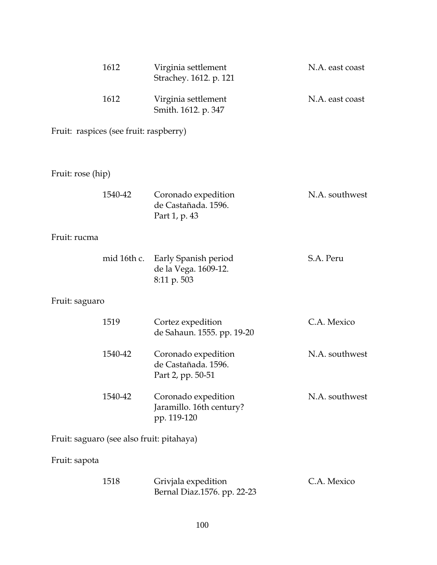|                                           | 1612        | Virginia settlement<br>Strachey. 1612. p. 121                   | N.A. east coast |
|-------------------------------------------|-------------|-----------------------------------------------------------------|-----------------|
|                                           | 1612        | Virginia settlement<br>Smith. 1612. p. 347                      | N.A. east coast |
| Fruit: raspices (see fruit: raspberry)    |             |                                                                 |                 |
| Fruit: rose (hip)                         |             |                                                                 |                 |
|                                           | 1540-42     | Coronado expedition<br>de Castañada. 1596.<br>Part 1, p. 43     | N.A. southwest  |
| Fruit: rucma                              |             |                                                                 |                 |
|                                           | mid 16th c. | Early Spanish period<br>de la Vega. 1609-12.<br>8:11 p. 503     | S.A. Peru       |
| Fruit: saguaro                            |             |                                                                 |                 |
|                                           | 1519        | Cortez expedition<br>de Sahaun. 1555. pp. 19-20                 | C.A. Mexico     |
|                                           | 1540-42     | Coronado expedition<br>de Castañada. 1596.<br>Part 2, pp. 50-51 | N.A. southwest  |
|                                           | 1540-42     | Coronado expedition<br>Jaramillo. 16th century?<br>pp. 119-120  | N.A. southwest  |
| Fruit: saguaro (see also fruit: pitahaya) |             |                                                                 |                 |
| Fruit: sapota                             |             |                                                                 |                 |
|                                           | 1518        | Grivjala expedition<br>Bernal Diaz.1576. pp. 22-23              | C.A. Mexico     |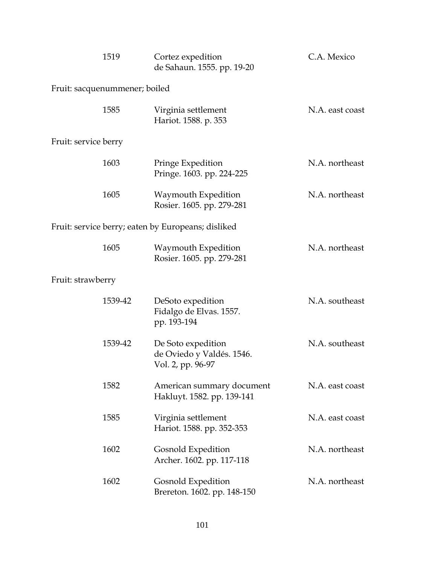|                               | 1519    | Cortez expedition<br>de Sahaun. 1555. pp. 19-20                      | C.A. Mexico     |
|-------------------------------|---------|----------------------------------------------------------------------|-----------------|
| Fruit: sacquenummener; boiled |         |                                                                      |                 |
|                               | 1585    | Virginia settlement<br>Hariot. 1588. p. 353                          | N.A. east coast |
| Fruit: service berry          |         |                                                                      |                 |
|                               | 1603    | Pringe Expedition<br>Pringe. 1603. pp. 224-225                       | N.A. northeast  |
|                               | 1605    | Waymouth Expedition<br>Rosier. 1605. pp. 279-281                     | N.A. northeast  |
|                               |         | Fruit: service berry; eaten by Europeans; disliked                   |                 |
|                               | 1605    | Waymouth Expedition<br>Rosier. 1605. pp. 279-281                     | N.A. northeast  |
| Fruit: strawberry             |         |                                                                      |                 |
|                               | 1539-42 | DeSoto expedition<br>Fidalgo de Elvas. 1557.<br>pp. 193-194          | N.A. southeast  |
|                               | 1539-42 | De Soto expedition<br>de Oviedo y Valdés. 1546.<br>Vol. 2, pp. 96-97 | N.A. southeast  |
|                               | 1582    | American summary document<br>Hakluyt. 1582. pp. 139-141              | N.A. east coast |
|                               | 1585    | Virginia settlement<br>Hariot. 1588. pp. 352-353                     | N.A. east coast |
|                               | 1602    | Gosnold Expedition<br>Archer. 1602. pp. 117-118                      | N.A. northeast  |
|                               | 1602    | Gosnold Expedition<br>Brereton. 1602. pp. 148-150                    | N.A. northeast  |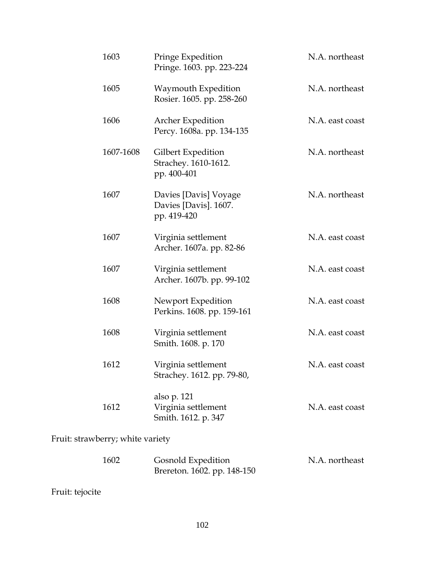| 1603                             | Pringe Expedition<br>Pringe. 1603. pp. 223-224                | N.A. northeast  |
|----------------------------------|---------------------------------------------------------------|-----------------|
| 1605                             | Waymouth Expedition<br>Rosier. 1605. pp. 258-260              | N.A. northeast  |
| 1606                             | Archer Expedition<br>Percy. 1608a. pp. 134-135                | N.A. east coast |
| 1607-1608                        | Gilbert Expedition<br>Strachey. 1610-1612.<br>pp. 400-401     | N.A. northeast  |
| 1607                             | Davies [Davis] Voyage<br>Davies [Davis]. 1607.<br>pp. 419-420 | N.A. northeast  |
| 1607                             | Virginia settlement<br>Archer. 1607a. pp. 82-86               | N.A. east coast |
| 1607                             | Virginia settlement<br>Archer. 1607b. pp. 99-102              | N.A. east coast |
| 1608                             | Newport Expedition<br>Perkins. 1608. pp. 159-161              | N.A. east coast |
| 1608                             | Virginia settlement<br>Smith. 1608. p. 170                    | N.A. east coast |
| 1612                             | Virginia settlement<br>Strachey. 1612. pp. 79-80,             | N.A. east coast |
| 1612                             | also p. 121<br>Virginia settlement<br>Smith. 1612. p. 347     | N.A. east coast |
| Fruit: strawberry; white variety |                                                               |                 |

Fruit: straw

| 1602 | Gosnold Expedition          | N.A. northeast |
|------|-----------------------------|----------------|
|      | Brereton. 1602. pp. 148-150 |                |

Fruit: tejocite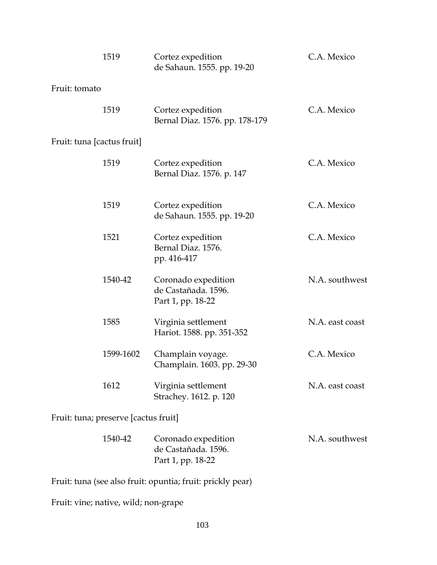|                            | 1519                                 | Cortez expedition<br>de Sahaun. 1555. pp. 19-20                 | C.A. Mexico     |
|----------------------------|--------------------------------------|-----------------------------------------------------------------|-----------------|
| Fruit: tomato              |                                      |                                                                 |                 |
|                            | 1519                                 | Cortez expedition<br>Bernal Diaz. 1576. pp. 178-179             | C.A. Mexico     |
| Fruit: tuna [cactus fruit] |                                      |                                                                 |                 |
|                            | 1519                                 | Cortez expedition<br>Bernal Diaz. 1576. p. 147                  | C.A. Mexico     |
|                            | 1519                                 | Cortez expedition<br>de Sahaun. 1555. pp. 19-20                 | C.A. Mexico     |
|                            | 1521                                 | Cortez expedition<br>Bernal Diaz. 1576.<br>pp. 416-417          | C.A. Mexico     |
|                            | 1540-42                              | Coronado expedition<br>de Castañada. 1596.<br>Part 1, pp. 18-22 | N.A. southwest  |
|                            | 1585                                 | Virginia settlement<br>Hariot. 1588. pp. 351-352                | N.A. east coast |
|                            | 1599-1602                            | Champlain voyage.<br>Champlain. 1603. pp. 29-30                 | C.A. Mexico     |
|                            | 1612                                 | Virginia settlement<br>Strachey. 1612. p. 120                   | N.A. east coast |
|                            | Fruit: tuna; preserve [cactus fruit] |                                                                 |                 |
|                            | 1540-42                              | Coronado expedition<br>de Castañada. 1596.<br>Part 1, pp. 18-22 | N.A. southwest  |

Fruit: tuna (see also fruit: opuntia; fruit: prickly pear)

Fruit: vine; native, wild; non-grape